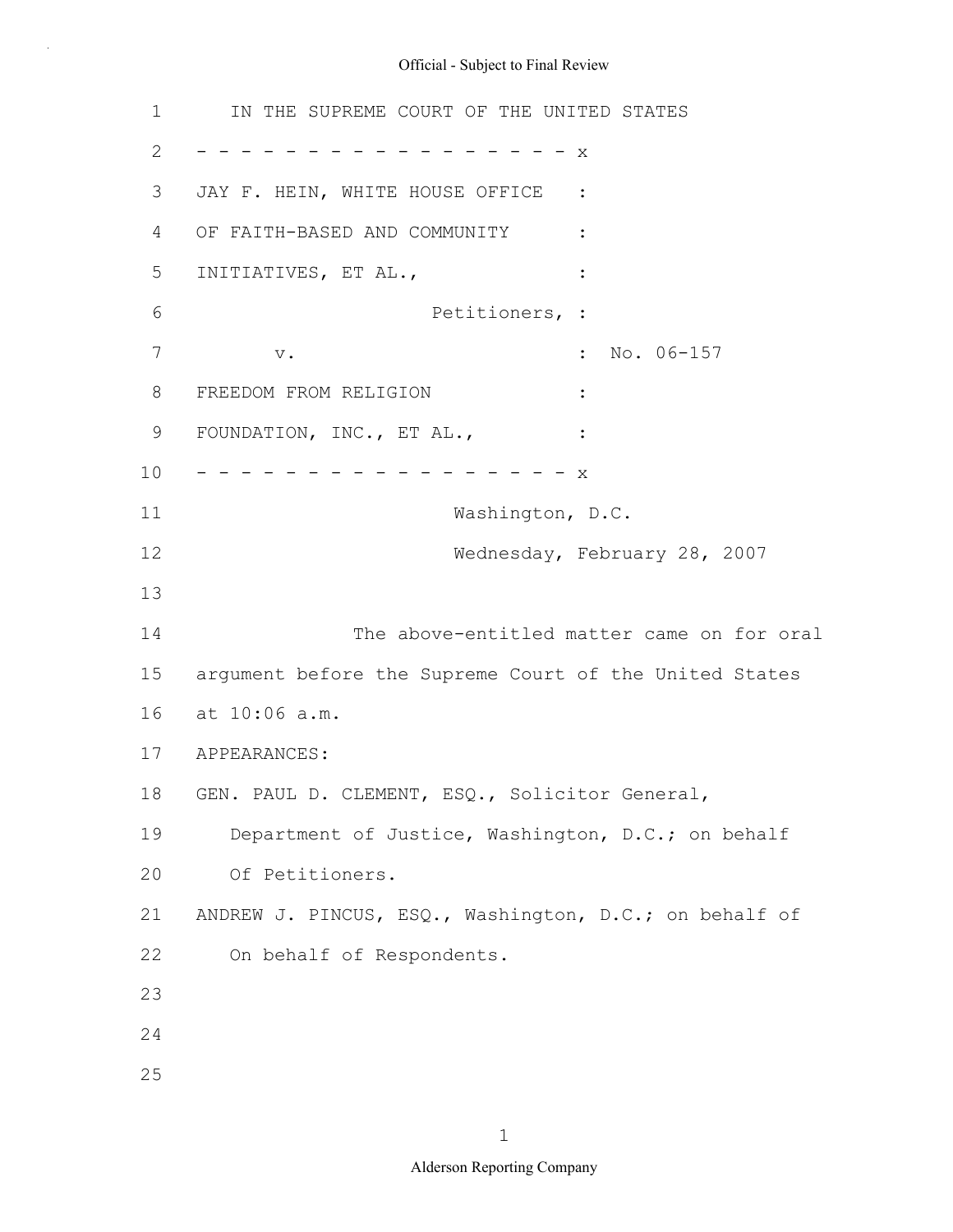1 2 3 4 5 6 7 8 9 10 11 12 13 14 15 16 at 10:06 a.m. 17 18 19 20 21 22 23 24 25 IN THE SUPREME COURT OF THE UNITED STATES - - - - - - - - - - - - - - - - - x JAY F. HEIN, WHITE HOUSE OFFICE : OF FAITH-BASED AND COMMUNITY : INITIATIVES, ET AL.,  $\cdot$  : Petitioners, : v.  $\qquad \qquad \bullet$  : No. 06-157 FREEDOM FROM RELIGION : FOUNDATION, INC., ET AL.,  $\cdot$  : - - - - - - - - - - - - - - - - X Washington, D.C. Wednesday, February 28, 2007 The above-entitled matter came on for oral argument before the Supreme Court of the United States APPEARANCES: GEN. PAUL D. CLEMENT, ESQ., Solicitor General, Department of Justice, Washington, D.C.; on behalf Of Petitioners. ANDREW J. PINCUS, ESQ., Washington, D.C.; on behalf of On behalf of Respondents.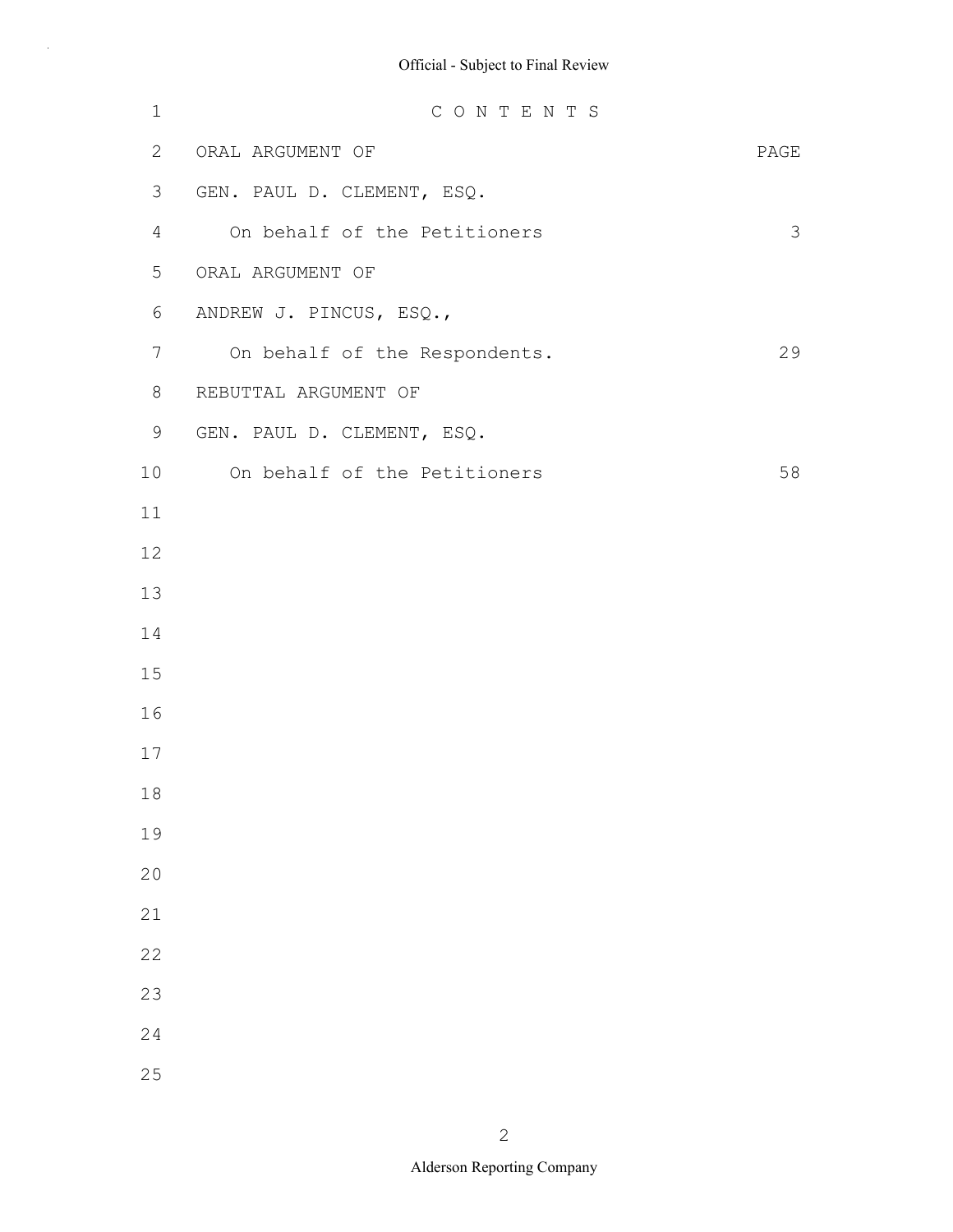| $1\,$        | CONTENTS                      |      |
|--------------|-------------------------------|------|
| $\mathbf{2}$ | ORAL ARGUMENT OF              | PAGE |
| 3            | GEN. PAUL D. CLEMENT, ESQ.    |      |
| 4            | On behalf of the Petitioners  | 3    |
| 5            | ORAL ARGUMENT OF              |      |
| 6            | ANDREW J. PINCUS, ESQ.,       |      |
| 7            | On behalf of the Respondents. | 29   |
| 8            | REBUTTAL ARGUMENT OF          |      |
| 9            | GEN. PAUL D. CLEMENT, ESQ.    |      |
| 10           | On behalf of the Petitioners  | 58   |
| 11           |                               |      |
| 12           |                               |      |
| 13           |                               |      |
| 14           |                               |      |
| 15           |                               |      |
| 16           |                               |      |
| 17           |                               |      |
| 18           |                               |      |
| 19           |                               |      |
| 20           |                               |      |
| 21           |                               |      |
| 22           |                               |      |
| 23           |                               |      |
| 24           |                               |      |
| 25           |                               |      |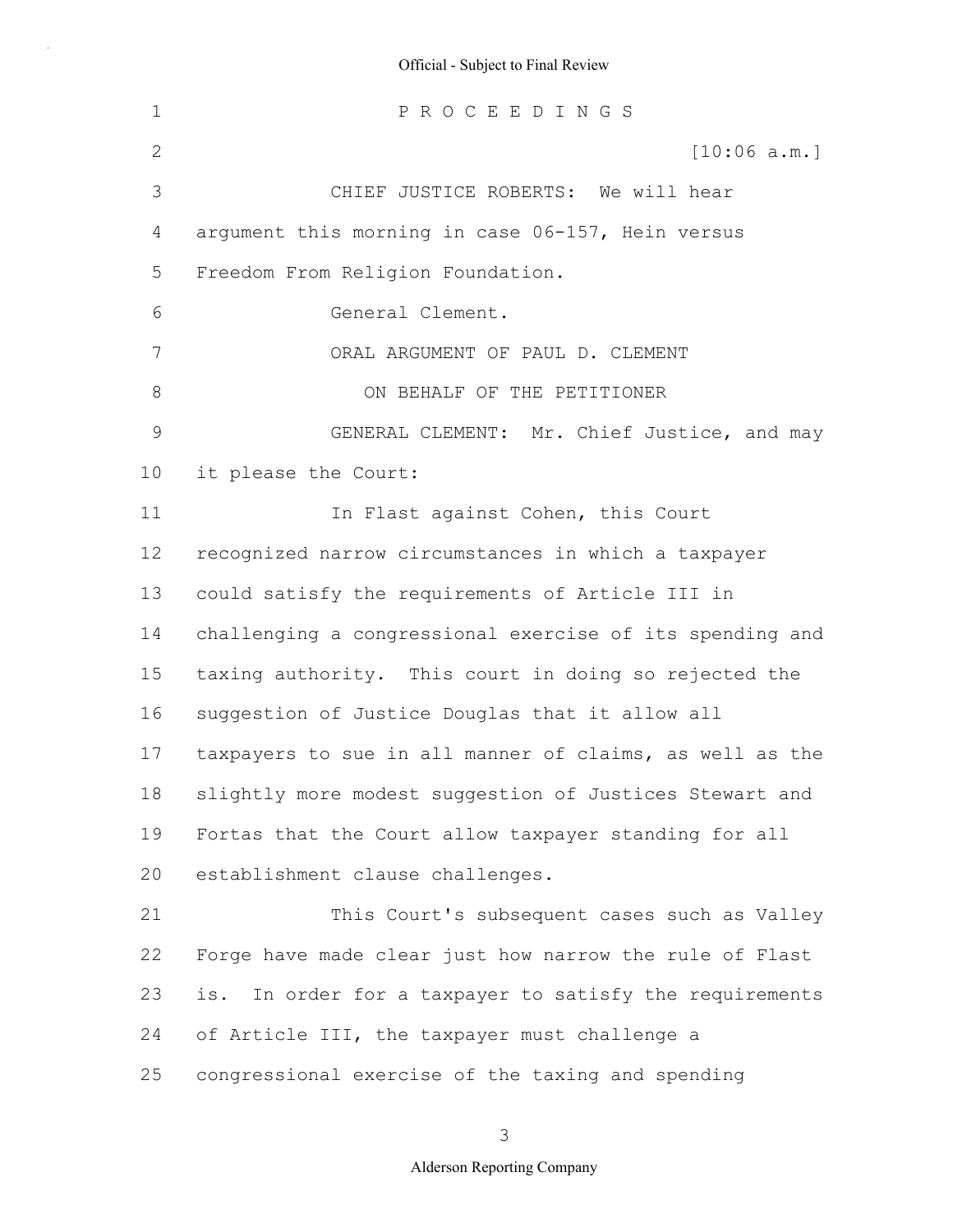| $\mathbf 1$     | PROCEEDINGS                                              |
|-----------------|----------------------------------------------------------|
| 2               | [10:06 a.m.]                                             |
| 3               | CHIEF JUSTICE ROBERTS: We will hear                      |
| 4               | argument this morning in case 06-157, Hein versus        |
| 5               | Freedom From Religion Foundation.                        |
| 6               | General Clement.                                         |
| 7               | ORAL ARGUMENT OF PAUL D. CLEMENT                         |
| $8\,$           | ON BEHALF OF THE PETITIONER                              |
| 9               | GENERAL CLEMENT: Mr. Chief Justice, and may              |
| 10 <sup>°</sup> | it please the Court:                                     |
| 11              | In Flast against Cohen, this Court                       |
| 12              | recognized narrow circumstances in which a taxpayer      |
| 13              | could satisfy the requirements of Article III in         |
| 14              | challenging a congressional exercise of its spending and |
| 15              | taxing authority. This court in doing so rejected the    |
| 16              | suggestion of Justice Douglas that it allow all          |
| 17              | taxpayers to sue in all manner of claims, as well as the |
| 18              | slightly more modest suggestion of Justices Stewart and  |
| 19              | Fortas that the Court allow taxpayer standing for all    |
| 20              | establishment clause challenges.                         |
| 21              | This Court's subsequent cases such as Valley             |
| 22              | Forge have made clear just how narrow the rule of Flast  |
| 23              | is. In order for a taxpayer to satisfy the requirements  |
| 24              | of Article III, the taxpayer must challenge a            |
| 25              | congressional exercise of the taxing and spending        |

3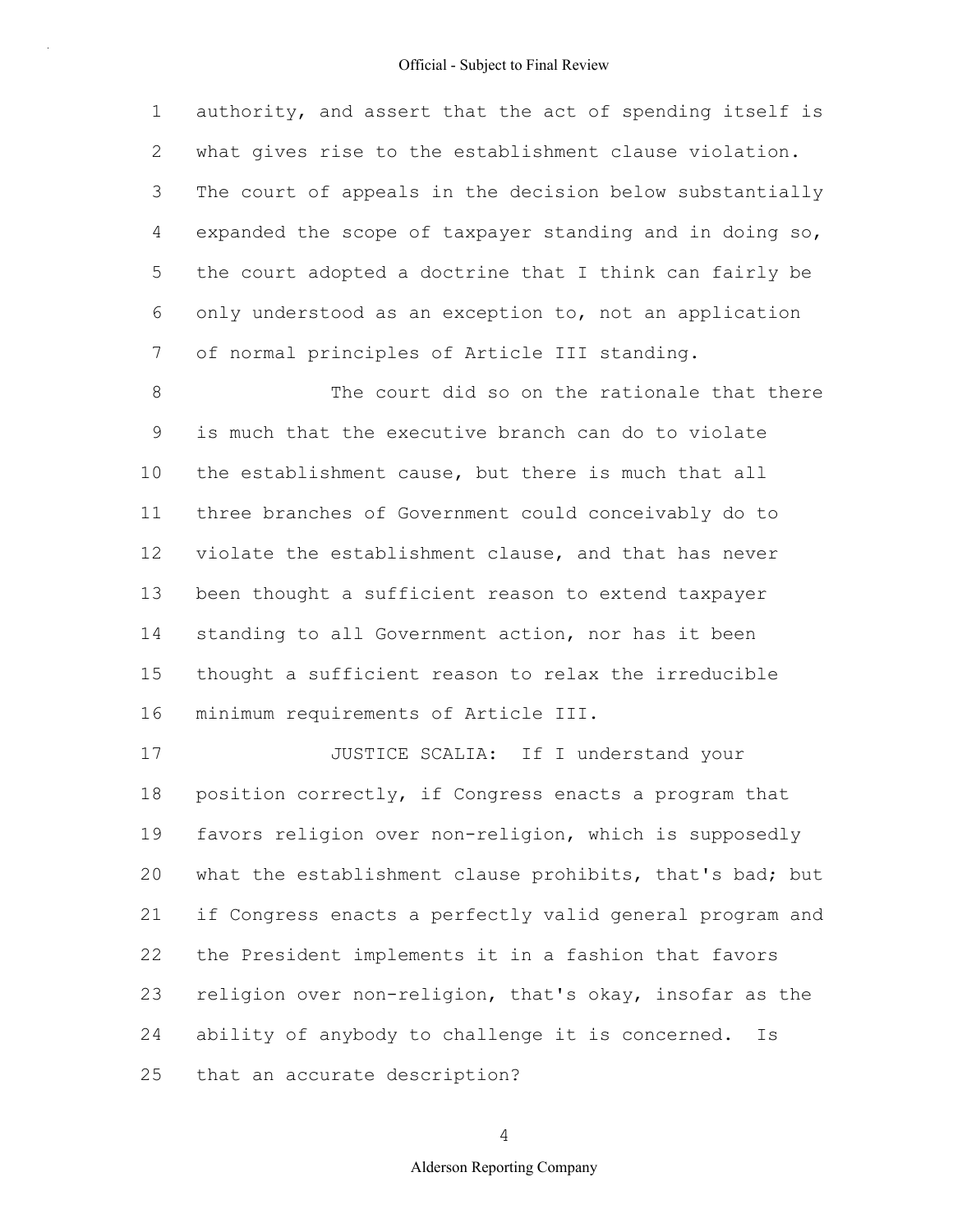1 2 3 4 5 6 7 authority, and assert that the act of spending itself is what gives rise to the establishment clause violation. The court of appeals in the decision below substantially expanded the scope of taxpayer standing and in doing so, the court adopted a doctrine that I think can fairly be only understood as an exception to, not an application of normal principles of Article III standing.

8 9 10 11 12 13 14 15 16 The court did so on the rationale that there is much that the executive branch can do to violate the establishment cause, but there is much that all three branches of Government could conceivably do to violate the establishment clause, and that has never been thought a sufficient reason to extend taxpayer standing to all Government action, nor has it been thought a sufficient reason to relax the irreducible minimum requirements of Article III.

17 18 19 20 21 22 23 24 25 JUSTICE SCALIA: If I understand your position correctly, if Congress enacts a program that favors religion over non-religion, which is supposedly what the establishment clause prohibits, that's bad; but if Congress enacts a perfectly valid general program and the President implements it in a fashion that favors religion over non-religion, that's okay, insofar as the ability of anybody to challenge it is concerned. Is that an accurate description?

4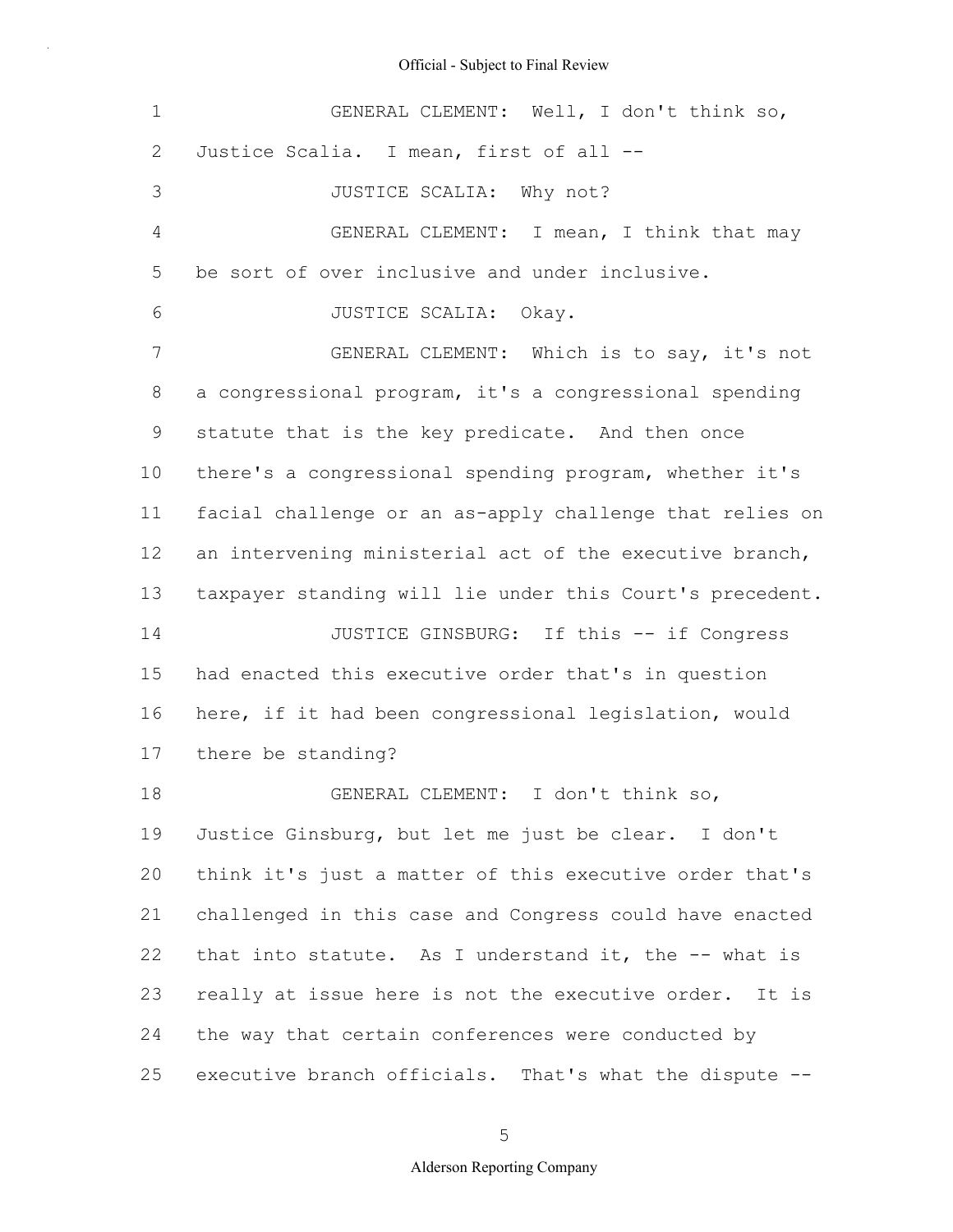| 1              | GENERAL CLEMENT: Well, I don't think so,                 |  |  |
|----------------|----------------------------------------------------------|--|--|
| 2              | Justice Scalia. I mean, first of all --                  |  |  |
| 3              | JUSTICE SCALIA: Why not?                                 |  |  |
| $\overline{4}$ | GENERAL CLEMENT: I mean, I think that may                |  |  |
| 5              | be sort of over inclusive and under inclusive.           |  |  |
| 6              | JUSTICE SCALIA: Okay.                                    |  |  |
| 7              | GENERAL CLEMENT: Which is to say, it's not               |  |  |
| 8              | a congressional program, it's a congressional spending   |  |  |
| 9              | statute that is the key predicate. And then once         |  |  |
| 10             | there's a congressional spending program, whether it's   |  |  |
| 11             | facial challenge or an as-apply challenge that relies on |  |  |
| 12             | an intervening ministerial act of the executive branch,  |  |  |
| 13             | taxpayer standing will lie under this Court's precedent. |  |  |
| 14             | JUSTICE GINSBURG: If this -- if Congress                 |  |  |
| 15             | had enacted this executive order that's in question      |  |  |
| 16             | here, if it had been congressional legislation, would    |  |  |
| 17             | there be standing?                                       |  |  |
| 18             | GENERAL CLEMENT: I don't think so,                       |  |  |
| 19             | Justice Ginsburg, but let me just be clear. I don't      |  |  |
| 20             | think it's just a matter of this executive order that's  |  |  |
| 21             | challenged in this case and Congress could have enacted  |  |  |
| 22             | that into statute. As I understand it, the -- what is    |  |  |
| 23             | really at issue here is not the executive order. It is   |  |  |
| 24             | the way that certain conferences were conducted by       |  |  |
| 25             | executive branch officials. That's what the dispute --   |  |  |

5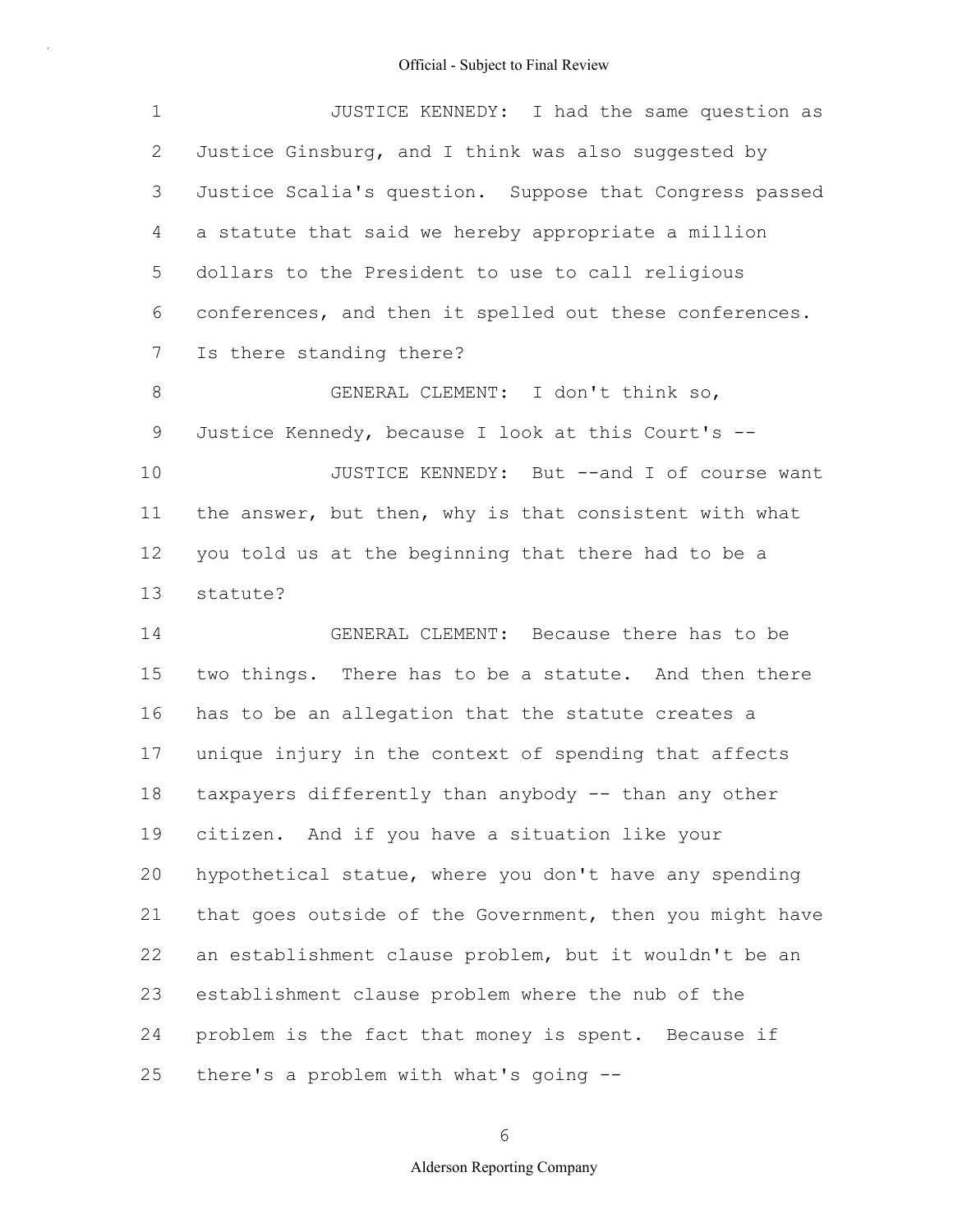| $\mathbf 1$     | JUSTICE KENNEDY: I had the same question as              |
|-----------------|----------------------------------------------------------|
| 2               | Justice Ginsburg, and I think was also suggested by      |
| 3               | Justice Scalia's question. Suppose that Congress passed  |
| 4               | a statute that said we hereby appropriate a million      |
| 5               | dollars to the President to use to call religious        |
| 6               | conferences, and then it spelled out these conferences.  |
| $7\phantom{.0}$ | Is there standing there?                                 |
| 8               | GENERAL CLEMENT: I don't think so,                       |
| 9               | Justice Kennedy, because I look at this Court's --       |
| 10              | JUSTICE KENNEDY: But --and I of course want              |
| 11              | the answer, but then, why is that consistent with what   |
| 12              | you told us at the beginning that there had to be a      |
| 13              | statute?                                                 |
| 14              | GENERAL CLEMENT: Because there has to be                 |
| 15              | two things. There has to be a statute. And then there    |
| 16              | has to be an allegation that the statute creates a       |
| 17              | unique injury in the context of spending that affects    |
| 18              | taxpayers differently than anybody -- than any other     |
| 19              | citizen. And if you have a situation like your           |
| 20              | hypothetical statue, where you don't have any spending   |
| 21              | that goes outside of the Government, then you might have |
| 22              | an establishment clause problem, but it wouldn't be an   |
| 23              | establishment clause problem where the nub of the        |
| 24              | problem is the fact that money is spent. Because if      |
| 25              | there's a problem with what's going --                   |

6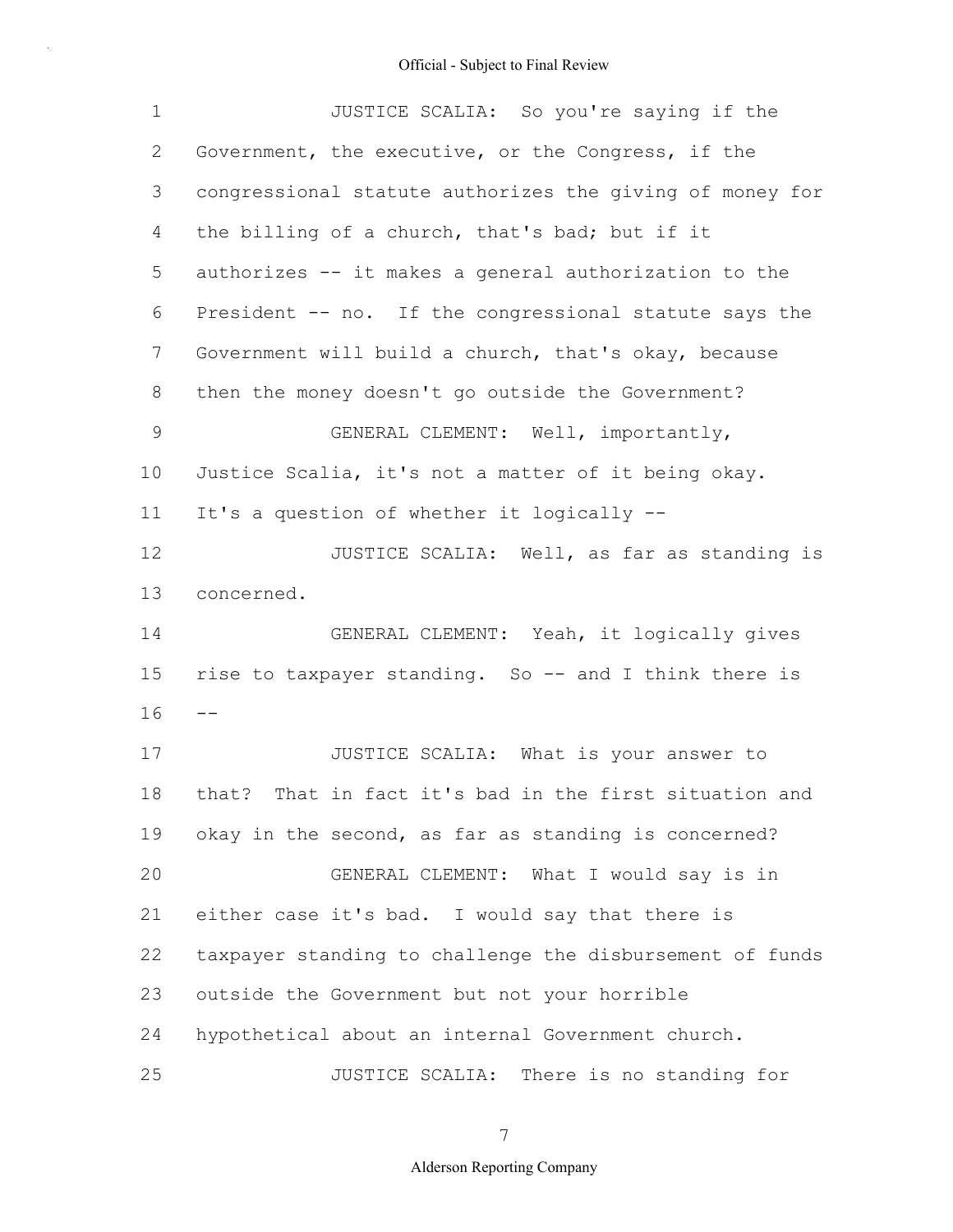| $\mathbf 1$   | JUSTICE SCALIA: So you're saying if the                   |
|---------------|-----------------------------------------------------------|
| $\mathbf{2}$  | Government, the executive, or the Congress, if the        |
| 3             | congressional statute authorizes the giving of money for  |
| 4             | the billing of a church, that's bad; but if it            |
| 5             | authorizes -- it makes a general authorization to the     |
| 6             | President -- no. If the congressional statute says the    |
| 7             | Government will build a church, that's okay, because      |
| 8             | then the money doesn't go outside the Government?         |
| $\mathcal{G}$ | GENERAL CLEMENT: Well, importantly,                       |
| 10            | Justice Scalia, it's not a matter of it being okay.       |
| 11            | It's a question of whether it logically --                |
| 12            | JUSTICE SCALIA: Well, as far as standing is               |
| 13            | concerned.                                                |
| 14            | GENERAL CLEMENT: Yeah, it logically gives                 |
| 15            | rise to taxpayer standing. So -- and I think there is     |
| 16            | $- -$                                                     |
| 17            | JUSTICE SCALIA: What is your answer to                    |
| 18            | That in fact it's bad in the first situation and<br>that? |
| 19            | okay in the second, as far as standing is concerned?      |
| 20            | GENERAL CLEMENT: What I would say is in                   |
| 21            | either case it's bad. I would say that there is           |
| 22            | taxpayer standing to challenge the disbursement of funds  |
| 23            | outside the Government but not your horrible              |
| 24            | hypothetical about an internal Government church.         |
| 25            | JUSTICE SCALIA: There is no standing for                  |

7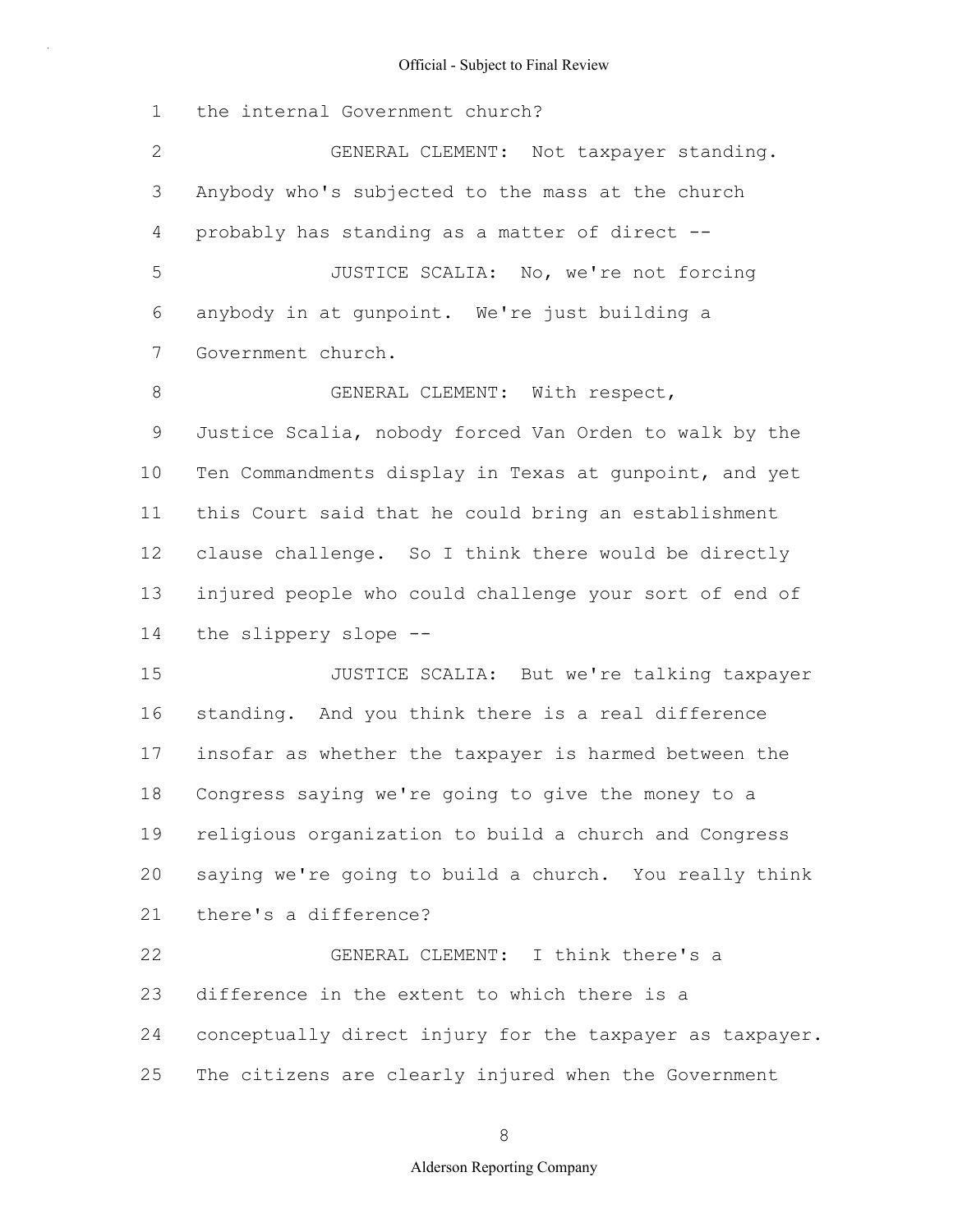1 the internal Government church?

2 3 4 5 6 7 8 9 10 11 12 13 14 15 16 17 18 19 20 21 22 23 24 25 GENERAL CLEMENT: Not taxpayer standing. Anybody who's subjected to the mass at the church probably has standing as a matter of direct -- JUSTICE SCALIA: No, we're not forcing anybody in at gunpoint. We're just building a Government church. GENERAL CLEMENT: With respect, Justice Scalia, nobody forced Van Orden to walk by the Ten Commandments display in Texas at gunpoint, and yet this Court said that he could bring an establishment clause challenge. So I think there would be directly injured people who could challenge your sort of end of the slippery slope -- JUSTICE SCALIA: But we're talking taxpayer standing. And you think there is a real difference insofar as whether the taxpayer is harmed between the Congress saying we're going to give the money to a religious organization to build a church and Congress saying we're going to build a church. You really think there's a difference? GENERAL CLEMENT: I think there's a difference in the extent to which there is a conceptually direct injury for the taxpayer as taxpayer. The citizens are clearly injured when the Government

8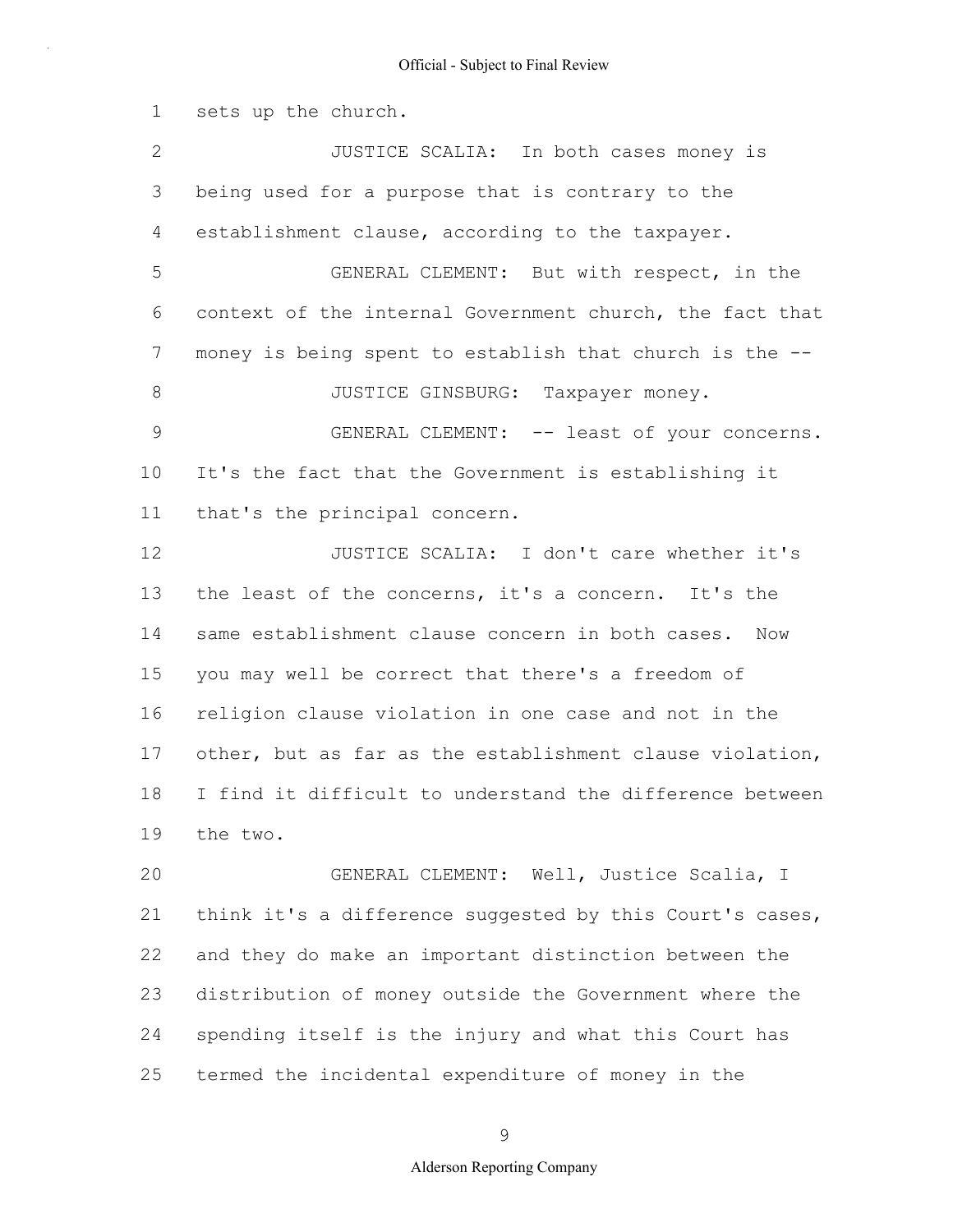1 2 3 4 5 6 7 8 9 10 11 12 13 14 15 16 17 18 19 20 21 22 23 24 sets up the church. JUSTICE SCALIA: In both cases money is being used for a purpose that is contrary to the establishment clause, according to the taxpayer. GENERAL CLEMENT: But with respect, in the context of the internal Government church, the fact that money is being spent to establish that church is the -- JUSTICE GINSBURG: Taxpayer money. GENERAL CLEMENT: -- least of your concerns. It's the fact that the Government is establishing it that's the principal concern. JUSTICE SCALIA: I don't care whether it's the least of the concerns, it's a concern. It's the same establishment clause concern in both cases. Now you may well be correct that there's a freedom of religion clause violation in one case and not in the other, but as far as the establishment clause violation, I find it difficult to understand the difference between the two. GENERAL CLEMENT: Well, Justice Scalia, I think it's a difference suggested by this Court's cases, and they do make an important distinction between the distribution of money outside the Government where the spending itself is the injury and what this Court has

25 termed the incidental expenditure of money in the

9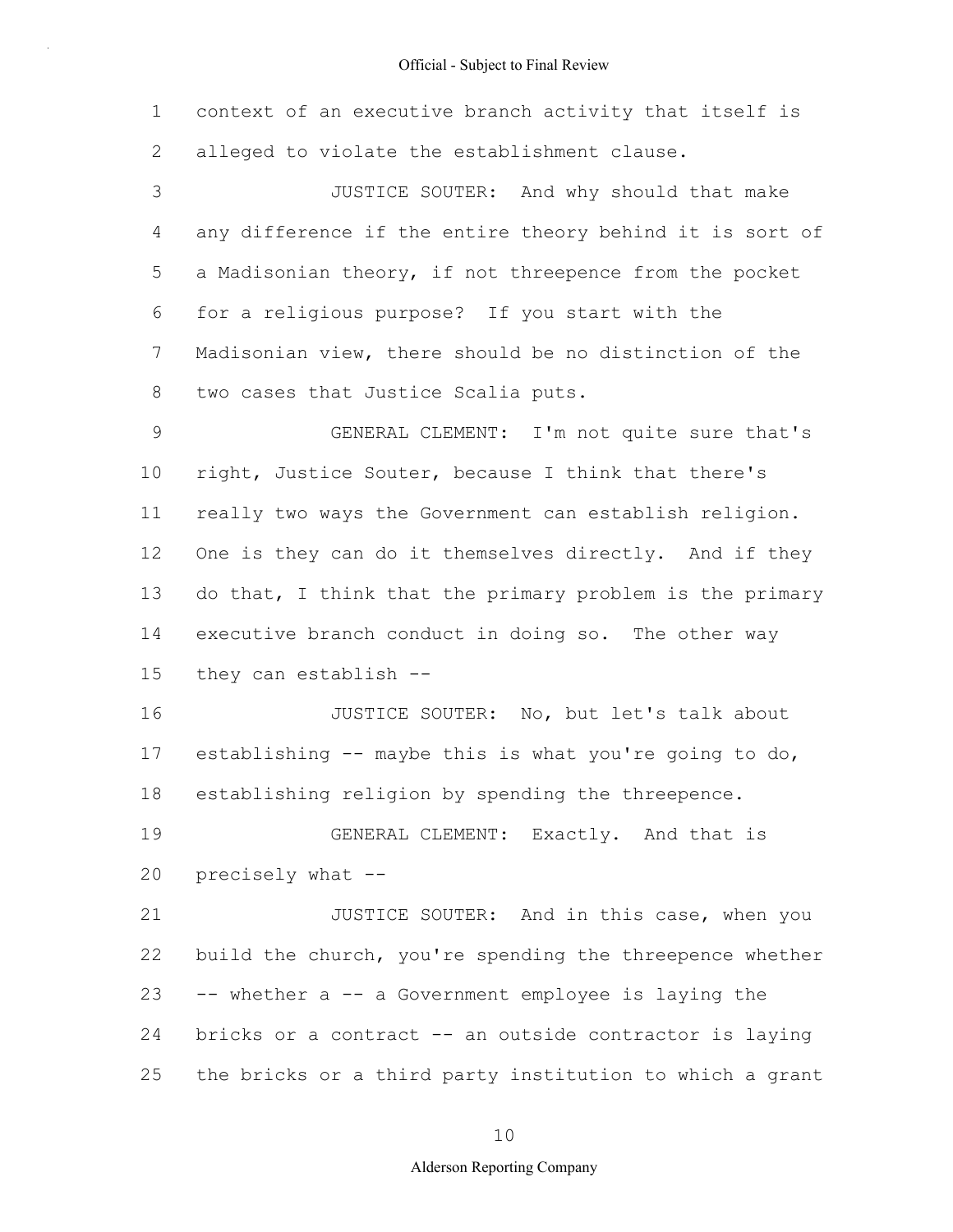1 2 3 4 5 6 7 8 9 10 11 12 13 14 15 16 17 18 19 20 21 22 23 24 25 context of an executive branch activity that itself is alleged to violate the establishment clause. JUSTICE SOUTER: And why should that make any difference if the entire theory behind it is sort of a Madisonian theory, if not threepence from the pocket for a religious purpose? If you start with the Madisonian view, there should be no distinction of the two cases that Justice Scalia puts. GENERAL CLEMENT: I'm not quite sure that's right, Justice Souter, because I think that there's really two ways the Government can establish religion. One is they can do it themselves directly. And if they do that, I think that the primary problem is the primary executive branch conduct in doing so. The other way they can establish -- JUSTICE SOUTER: No, but let's talk about establishing -- maybe this is what you're going to do, establishing religion by spending the threepence. GENERAL CLEMENT: Exactly. And that is precisely what -- JUSTICE SOUTER: And in this case, when you build the church, you're spending the threepence whether -- whether a -- a Government employee is laying the bricks or a contract -- an outside contractor is laying the bricks or a third party institution to which a grant

10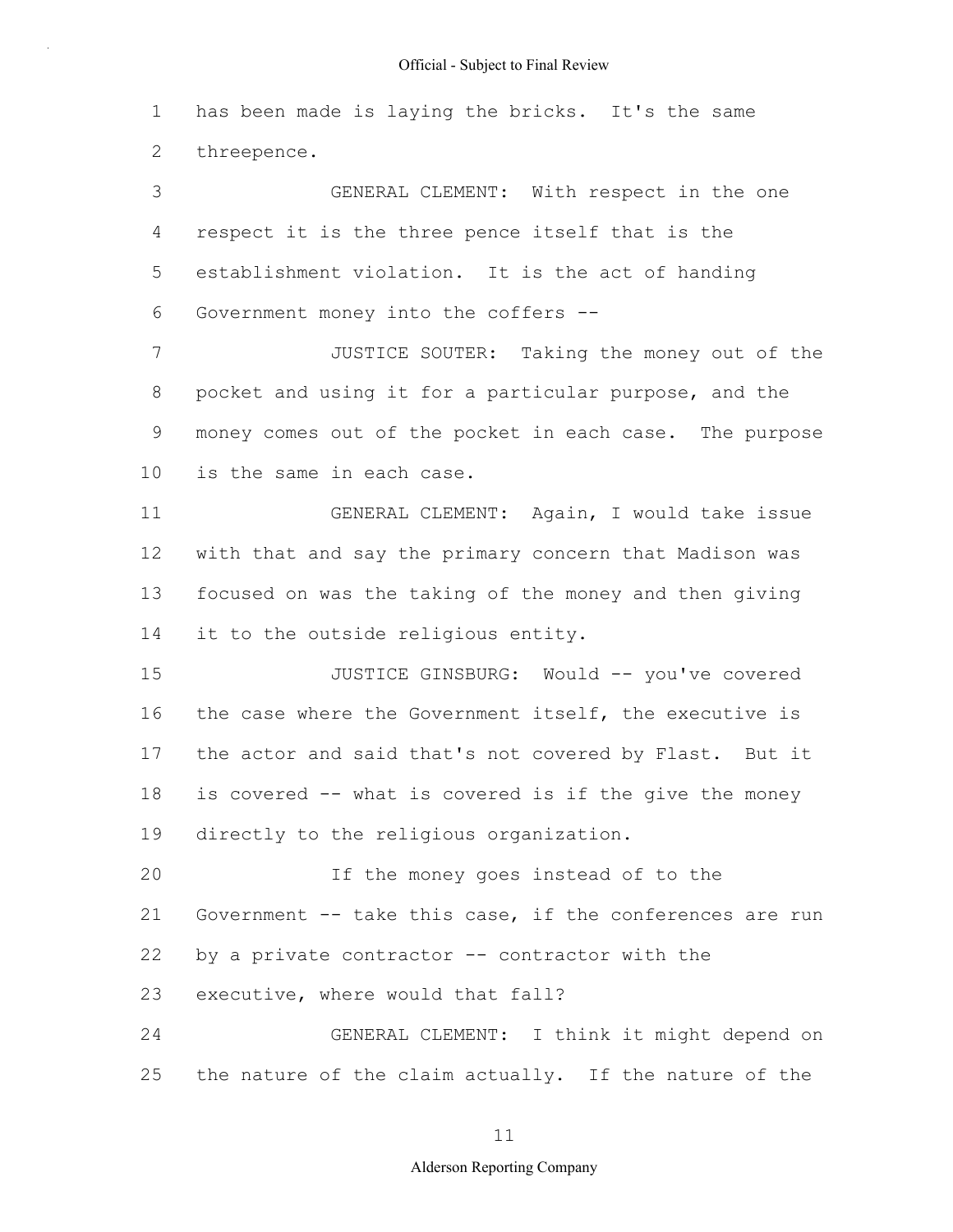1 2 has been made is laying the bricks. It's the same threepence.

3 4 5 6 7 8 GENERAL CLEMENT: With respect in the one respect it is the three pence itself that is the establishment violation. It is the act of handing Government money into the coffers -- JUSTICE SOUTER: Taking the money out of the pocket and using it for a particular purpose, and the

9 10 money comes out of the pocket in each case. The purpose is the same in each case.

11 12 13 14 GENERAL CLEMENT: Again, I would take issue with that and say the primary concern that Madison was focused on was the taking of the money and then giving it to the outside religious entity.

15 16 17 18 19 JUSTICE GINSBURG: Would -- you've covered the case where the Government itself, the executive is the actor and said that's not covered by Flast. But it is covered -- what is covered is if the give the money directly to the religious organization.

20 21 22 23 If the money goes instead of to the Government -- take this case, if the conferences are run by a private contractor -- contractor with the executive, where would that fall?

24 25 GENERAL CLEMENT: I think it might depend on the nature of the claim actually. If the nature of the

11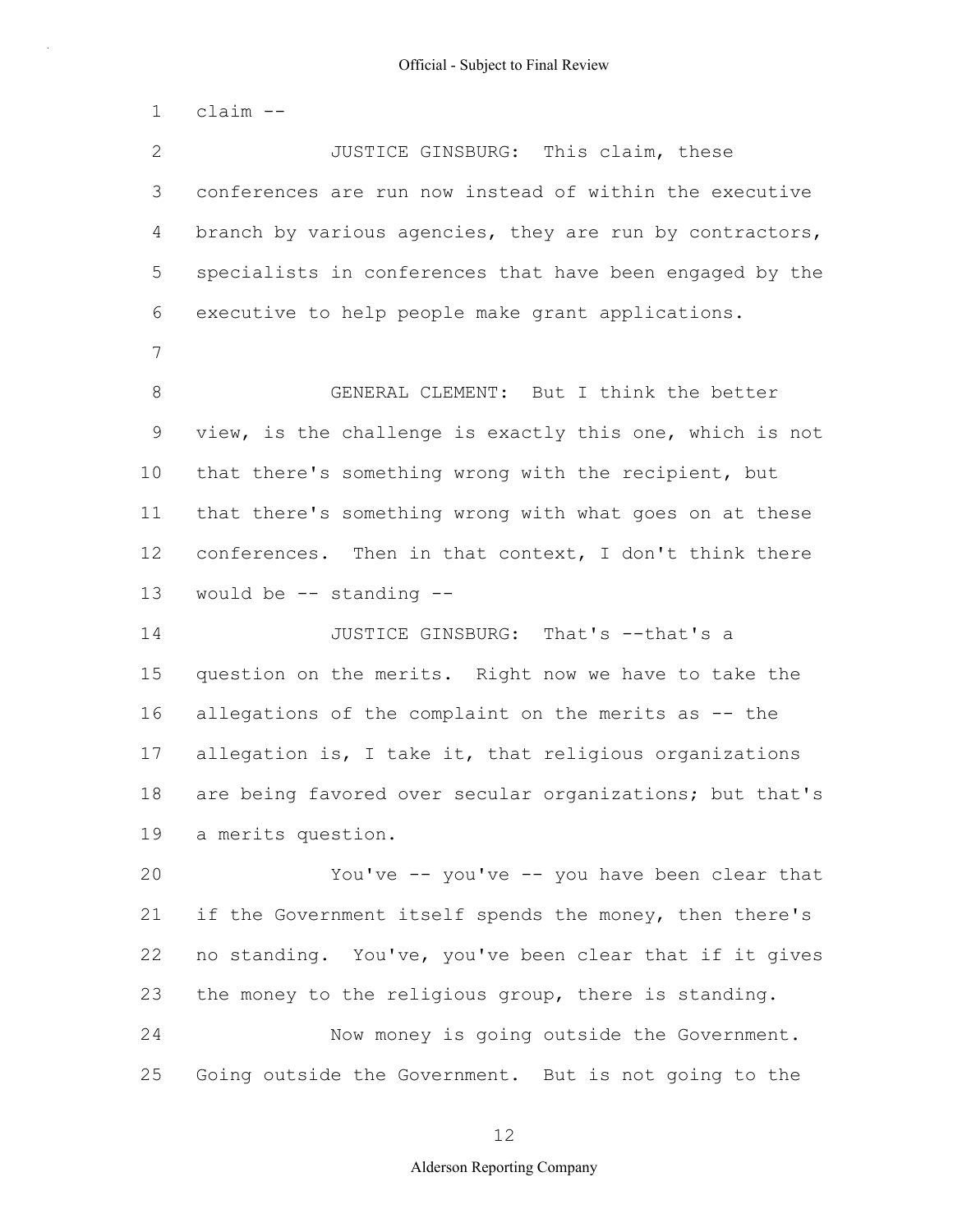1 2 3 4 5 6 7 8 9 10 11 12 13 14 15 16 17 18 19 20 21 22 23 24 25 claim -- JUSTICE GINSBURG: This claim, these conferences are run now instead of within the executive branch by various agencies, they are run by contractors, specialists in conferences that have been engaged by the executive to help people make grant applications. GENERAL CLEMENT: But I think the better view, is the challenge is exactly this one, which is not that there's something wrong with the recipient, but that there's something wrong with what goes on at these conferences. Then in that context, I don't think there would be -- standing -- JUSTICE GINSBURG: That's --that's a question on the merits. Right now we have to take the allegations of the complaint on the merits as -- the allegation is, I take it, that religious organizations are being favored over secular organizations; but that's a merits question. You've -- you've -- you have been clear that if the Government itself spends the money, then there's no standing. You've, you've been clear that if it gives the money to the religious group, there is standing. Now money is going outside the Government. Going outside the Government. But is not going to the

12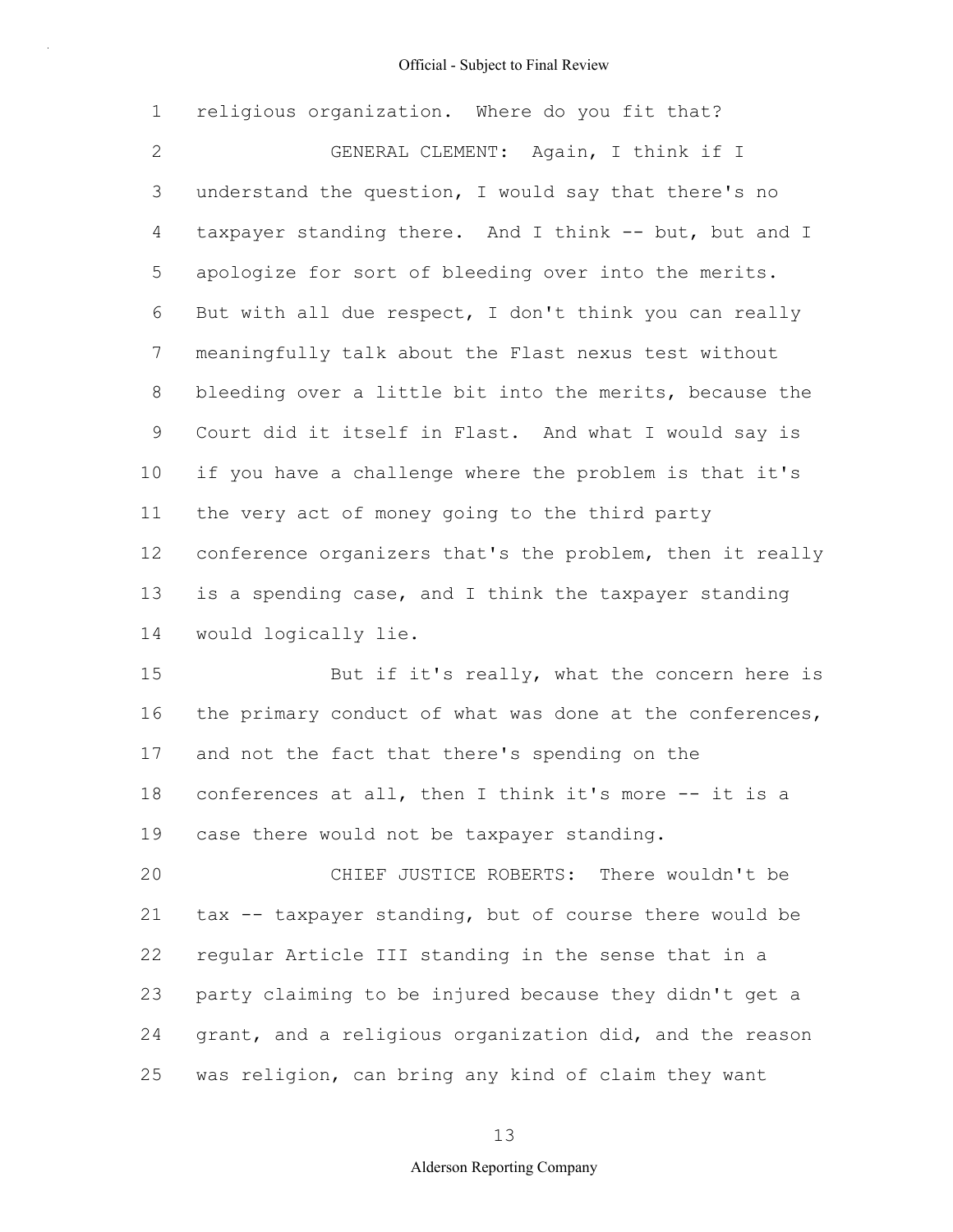1 2 3 4 5 6 7 8 9 10 11 12 13 14 religious organization. Where do you fit that? GENERAL CLEMENT: Again, I think if I understand the question, I would say that there's no taxpayer standing there. And I think -- but, but and I apologize for sort of bleeding over into the merits. But with all due respect, I don't think you can really meaningfully talk about the Flast nexus test without bleeding over a little bit into the merits, because the Court did it itself in Flast. And what I would say is if you have a challenge where the problem is that it's the very act of money going to the third party conference organizers that's the problem, then it really is a spending case, and I think the taxpayer standing would logically lie.

15 16 17 18 19 But if it's really, what the concern here is the primary conduct of what was done at the conferences, and not the fact that there's spending on the conferences at all, then I think it's more -- it is a case there would not be taxpayer standing.

20 21 22 23 24 25 CHIEF JUSTICE ROBERTS: There wouldn't be tax -- taxpayer standing, but of course there would be regular Article III standing in the sense that in a party claiming to be injured because they didn't get a grant, and a religious organization did, and the reason was religion, can bring any kind of claim they want

13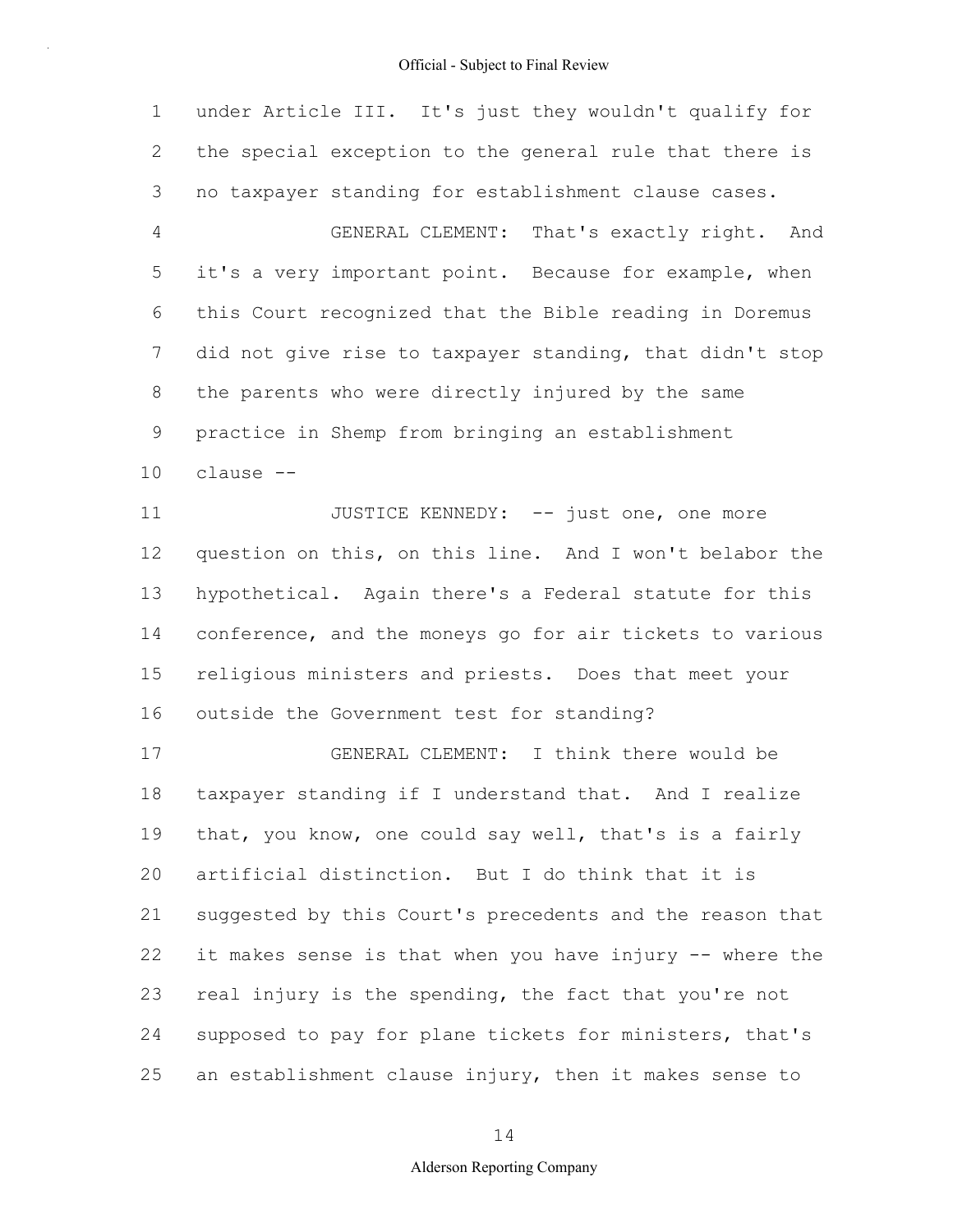1 2 3 4 5 6 7 8 9 10 11 12 13 14 15 16 17 18 19 20 21 22 23 24 25 under Article III. It's just they wouldn't qualify for the special exception to the general rule that there is no taxpayer standing for establishment clause cases. GENERAL CLEMENT: That's exactly right. And it's a very important point. Because for example, when this Court recognized that the Bible reading in Doremus did not give rise to taxpayer standing, that didn't stop the parents who were directly injured by the same practice in Shemp from bringing an establishment clause -- JUSTICE KENNEDY: -- just one, one more question on this, on this line. And I won't belabor the hypothetical. Again there's a Federal statute for this conference, and the moneys go for air tickets to various religious ministers and priests. Does that meet your outside the Government test for standing? GENERAL CLEMENT: I think there would be taxpayer standing if I understand that. And I realize that, you know, one could say well, that's is a fairly artificial distinction. But I do think that it is suggested by this Court's precedents and the reason that it makes sense is that when you have injury -- where the real injury is the spending, the fact that you're not supposed to pay for plane tickets for ministers, that's an establishment clause injury, then it makes sense to

14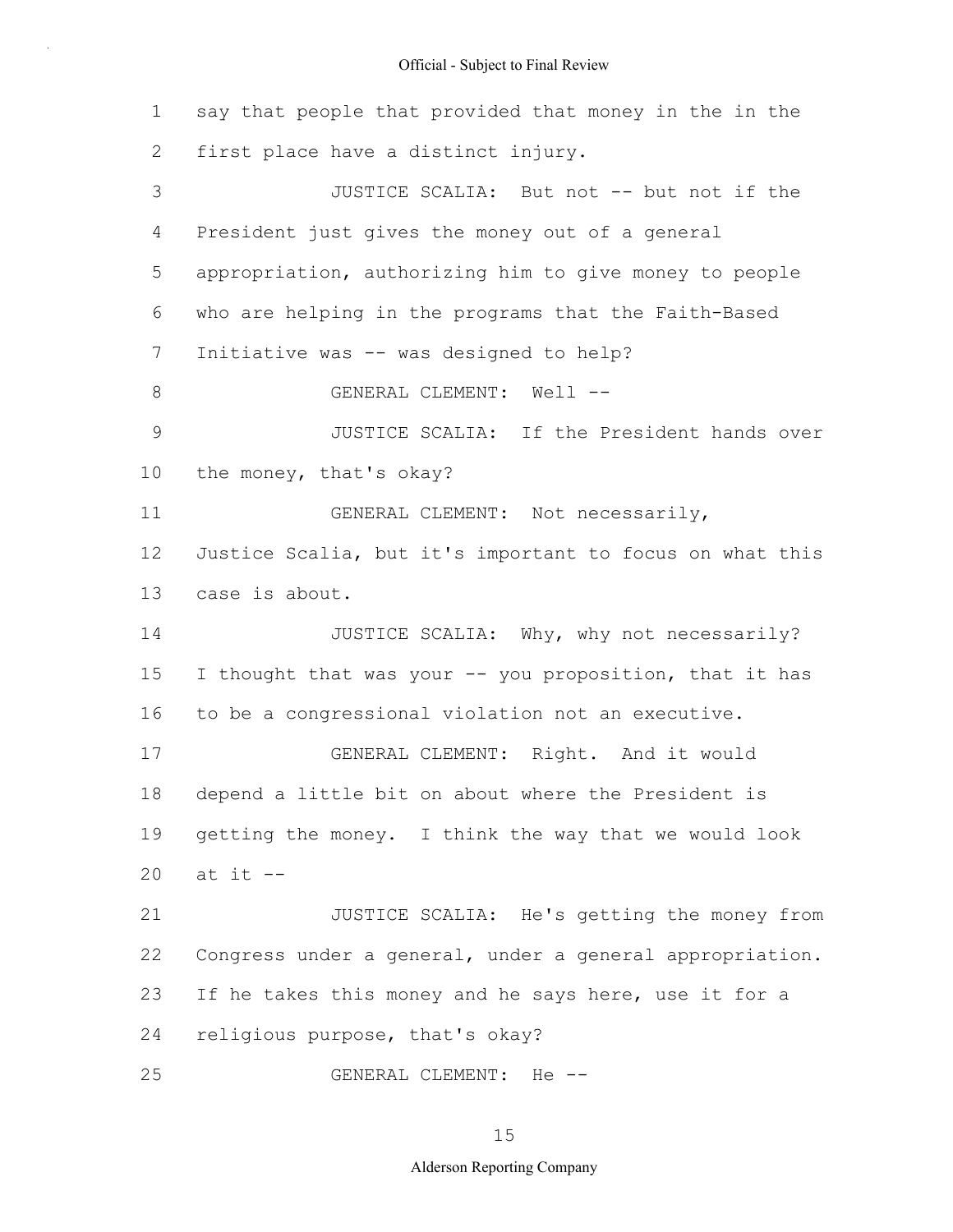1 2 3 4 5 6 7 8 9 10 11 12 13 14 15 16 17 18 19 20 21 22 23 24 25 say that people that provided that money in the in the first place have a distinct injury. JUSTICE SCALIA: But not -- but not if the President just gives the money out of a general appropriation, authorizing him to give money to people who are helping in the programs that the Faith-Based Initiative was -- was designed to help? GENERAL CLEMENT: Well -- JUSTICE SCALIA: If the President hands over the money, that's okay? GENERAL CLEMENT: Not necessarily, Justice Scalia, but it's important to focus on what this case is about. JUSTICE SCALIA: Why, why not necessarily? I thought that was your -- you proposition, that it has to be a congressional violation not an executive. GENERAL CLEMENT: Right. And it would depend a little bit on about where the President is getting the money. I think the way that we would look at it -- JUSTICE SCALIA: He's getting the money from Congress under a general, under a general appropriation. If he takes this money and he says here, use it for a religious purpose, that's okay? GENERAL CLEMENT: He --

15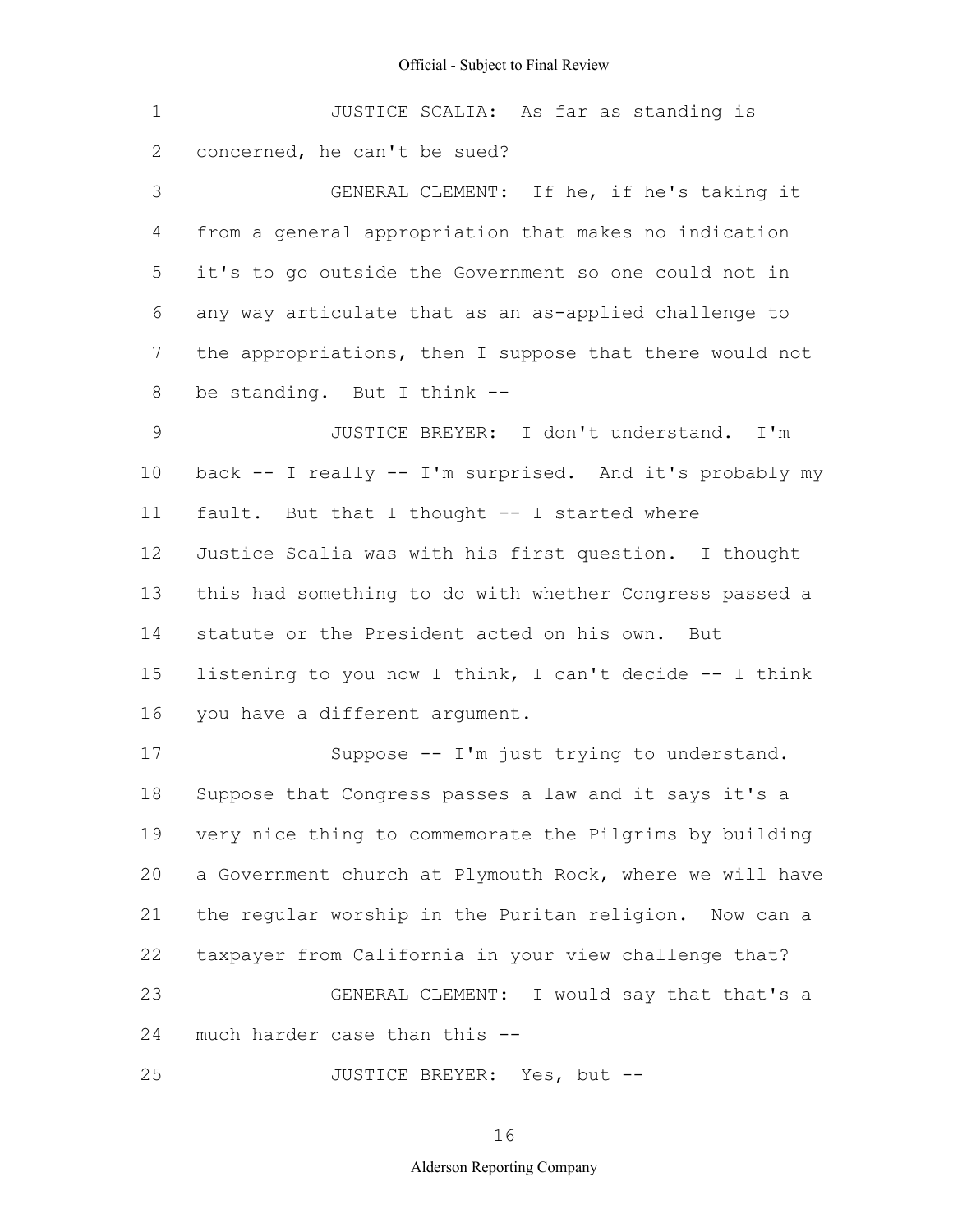|                                |  |  | JUSTICE SCALIA: As far as standing is |  |
|--------------------------------|--|--|---------------------------------------|--|
| 2 concerned, he can't be sued? |  |  |                                       |  |

3 4 5 6 7 8 GENERAL CLEMENT: If he, if he's taking it from a general appropriation that makes no indication it's to go outside the Government so one could not in any way articulate that as an as-applied challenge to the appropriations, then I suppose that there would not be standing. But I think --

9 10 11 12 13 14 15 16 JUSTICE BREYER: I don't understand. I'm back -- I really -- I'm surprised. And it's probably my fault. But that I thought -- I started where Justice Scalia was with his first question. I thought this had something to do with whether Congress passed a statute or the President acted on his own. But listening to you now I think, I can't decide -- I think you have a different argument.

17 18 19 20 21 22 23 24 Suppose -- I'm just trying to understand. Suppose that Congress passes a law and it says it's a very nice thing to commemorate the Pilgrims by building a Government church at Plymouth Rock, where we will have the regular worship in the Puritan religion. Now can a taxpayer from California in your view challenge that? GENERAL CLEMENT: I would say that that's a much harder case than this --

25 JUSTICE BREYER: Yes, but --

16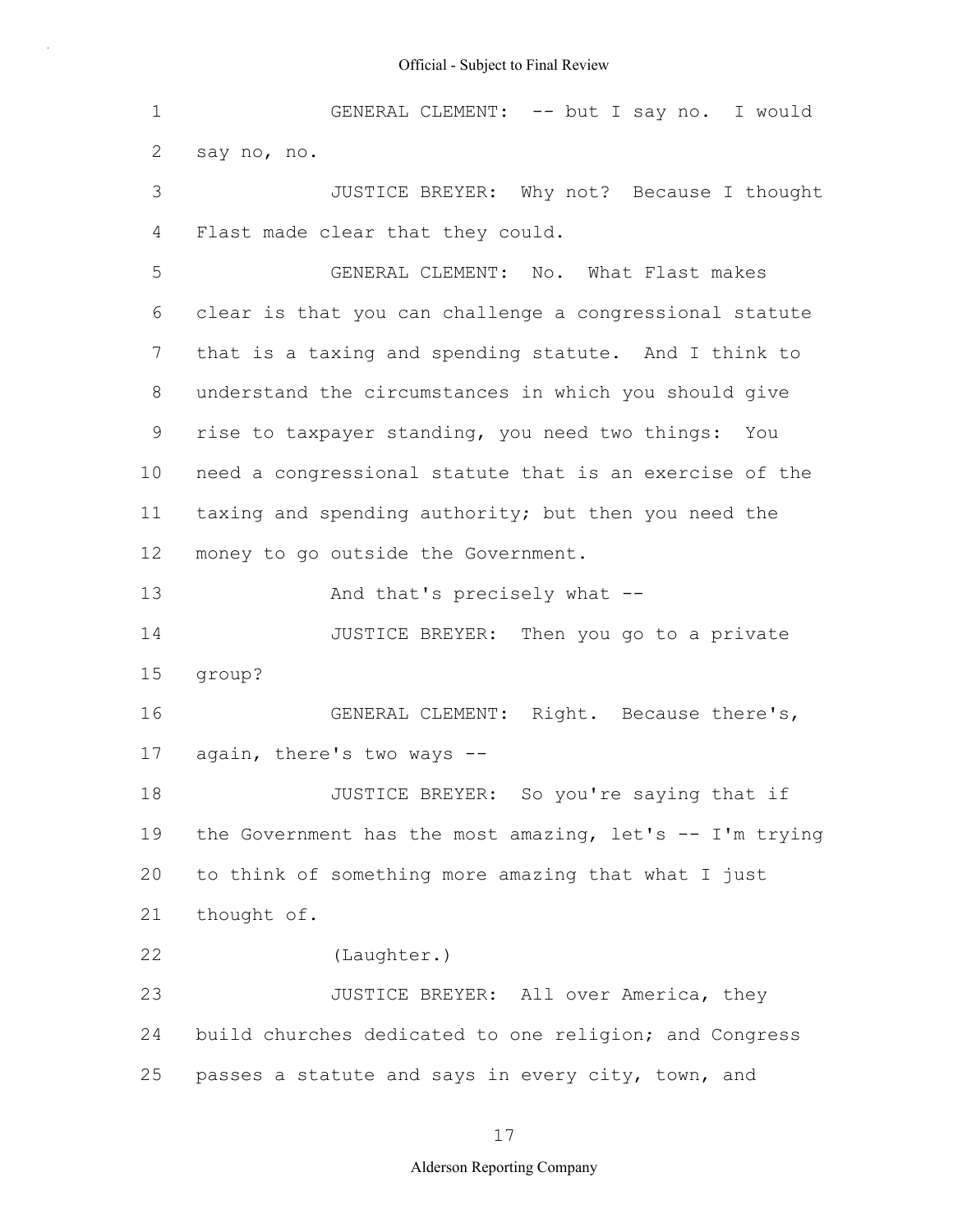1 2 3 4 5 6 7 8 9 10 11 12 13 14 15 16 17 18 19 20 21 22 23 24 25 GENERAL CLEMENT: -- but I say no. I would say no, no. JUSTICE BREYER: Why not? Because I thought Flast made clear that they could. GENERAL CLEMENT: No. What Flast makes clear is that you can challenge a congressional statute that is a taxing and spending statute. And I think to understand the circumstances in which you should give rise to taxpayer standing, you need two things: You need a congressional statute that is an exercise of the taxing and spending authority; but then you need the money to go outside the Government. And that's precisely what -- JUSTICE BREYER: Then you go to a private group? GENERAL CLEMENT: Right. Because there's, again, there's two ways -- JUSTICE BREYER: So you're saying that if the Government has the most amazing, let's -- I'm trying to think of something more amazing that what I just thought of. (Laughter.) JUSTICE BREYER: All over America, they build churches dedicated to one religion; and Congress passes a statute and says in every city, town, and

17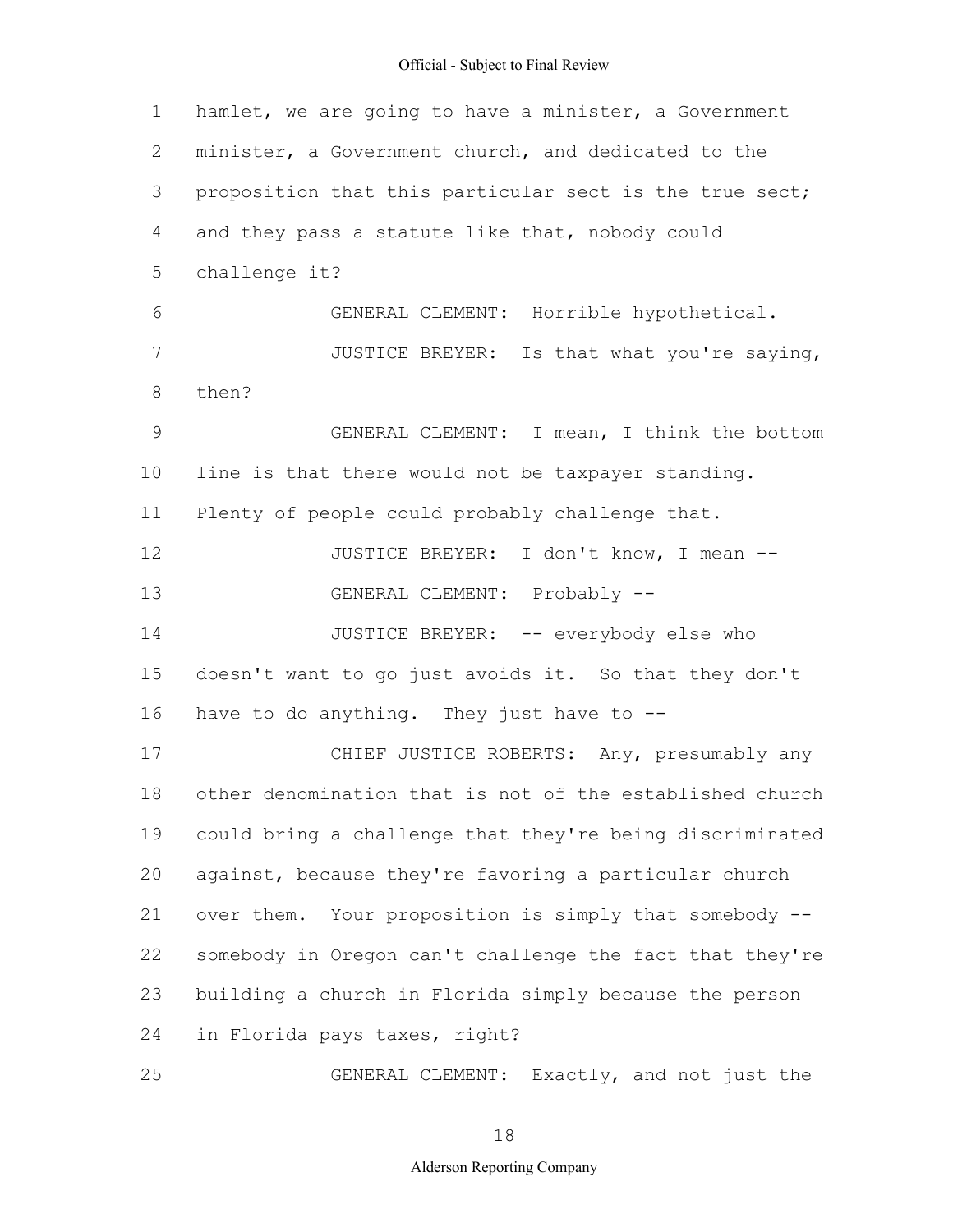1 2 3 4 5 6 7 8 9 10 11 12 13 14 15 16 17 18 19 20 21 22 23 24 25 hamlet, we are going to have a minister, a Government minister, a Government church, and dedicated to the proposition that this particular sect is the true sect; and they pass a statute like that, nobody could challenge it? GENERAL CLEMENT: Horrible hypothetical. JUSTICE BREYER: Is that what you're saying, then? GENERAL CLEMENT: I mean, I think the bottom line is that there would not be taxpayer standing. Plenty of people could probably challenge that. JUSTICE BREYER: I don't know, I mean -- GENERAL CLEMENT: Probably -- JUSTICE BREYER: -- everybody else who doesn't want to go just avoids it. So that they don't have to do anything. They just have to  $-$ -CHIEF JUSTICE ROBERTS: Any, presumably any other denomination that is not of the established church could bring a challenge that they're being discriminated against, because they're favoring a particular church over them. Your proposition is simply that somebody - somebody in Oregon can't challenge the fact that they're building a church in Florida simply because the person in Florida pays taxes, right? GENERAL CLEMENT: Exactly, and not just the

18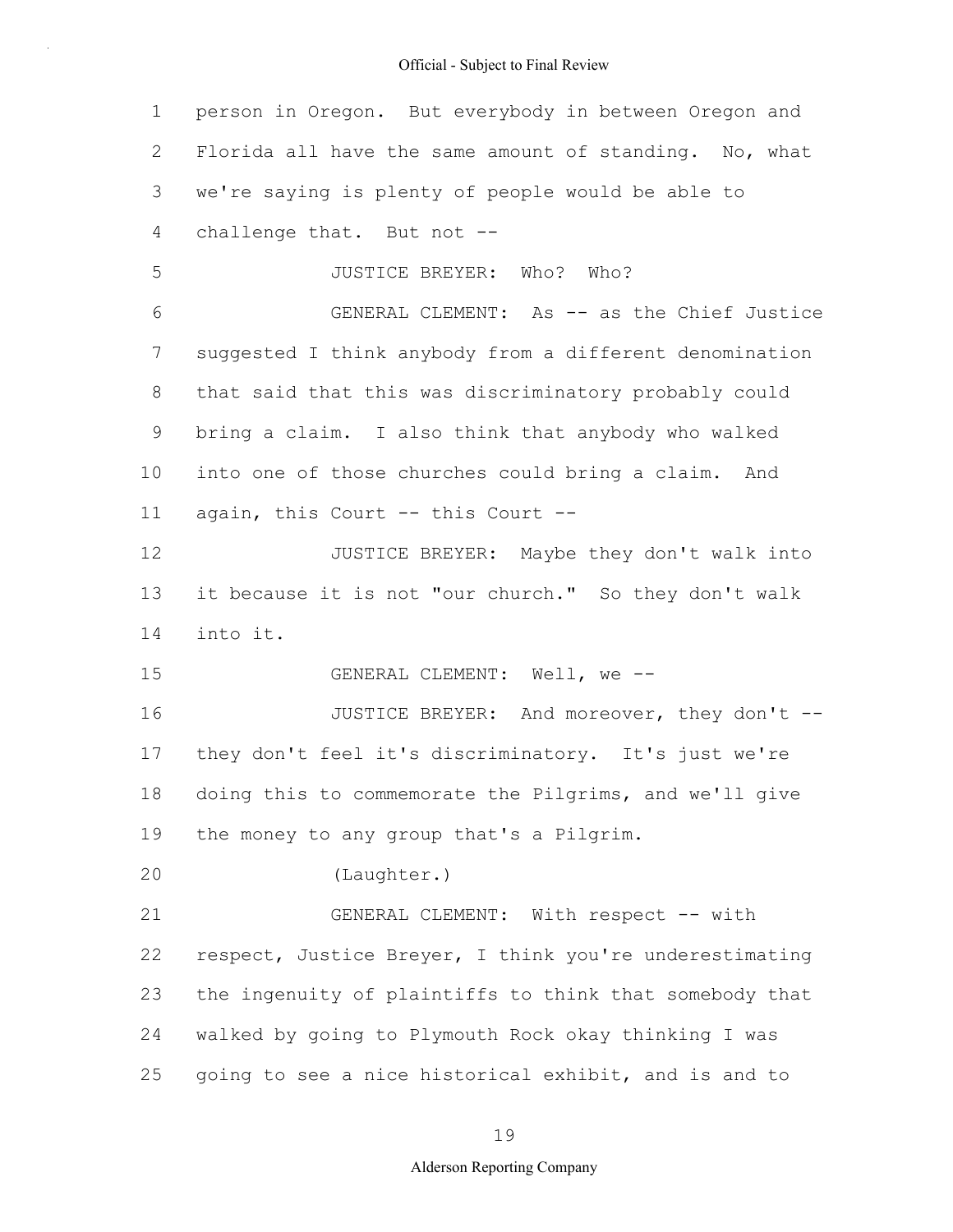1 2 3 4 5 6 7 8 9 10 11 12 13 14 15 16 17 18 19 20 21 22 23 24 25 person in Oregon. But everybody in between Oregon and Florida all have the same amount of standing. No, what we're saying is plenty of people would be able to challenge that. But not -- JUSTICE BREYER: Who? Who? GENERAL CLEMENT: As -- as the Chief Justice suggested I think anybody from a different denomination that said that this was discriminatory probably could bring a claim. I also think that anybody who walked into one of those churches could bring a claim. And again, this Court -- this Court -- JUSTICE BREYER: Maybe they don't walk into it because it is not "our church." So they don't walk into it. GENERAL CLEMENT: Well, we -- JUSTICE BREYER: And moreover, they don't - they don't feel it's discriminatory. It's just we're doing this to commemorate the Pilgrims, and we'll give the money to any group that's a Pilgrim. (Laughter.) GENERAL CLEMENT: With respect -- with respect, Justice Breyer, I think you're underestimating the ingenuity of plaintiffs to think that somebody that walked by going to Plymouth Rock okay thinking I was going to see a nice historical exhibit, and is and to

#### 19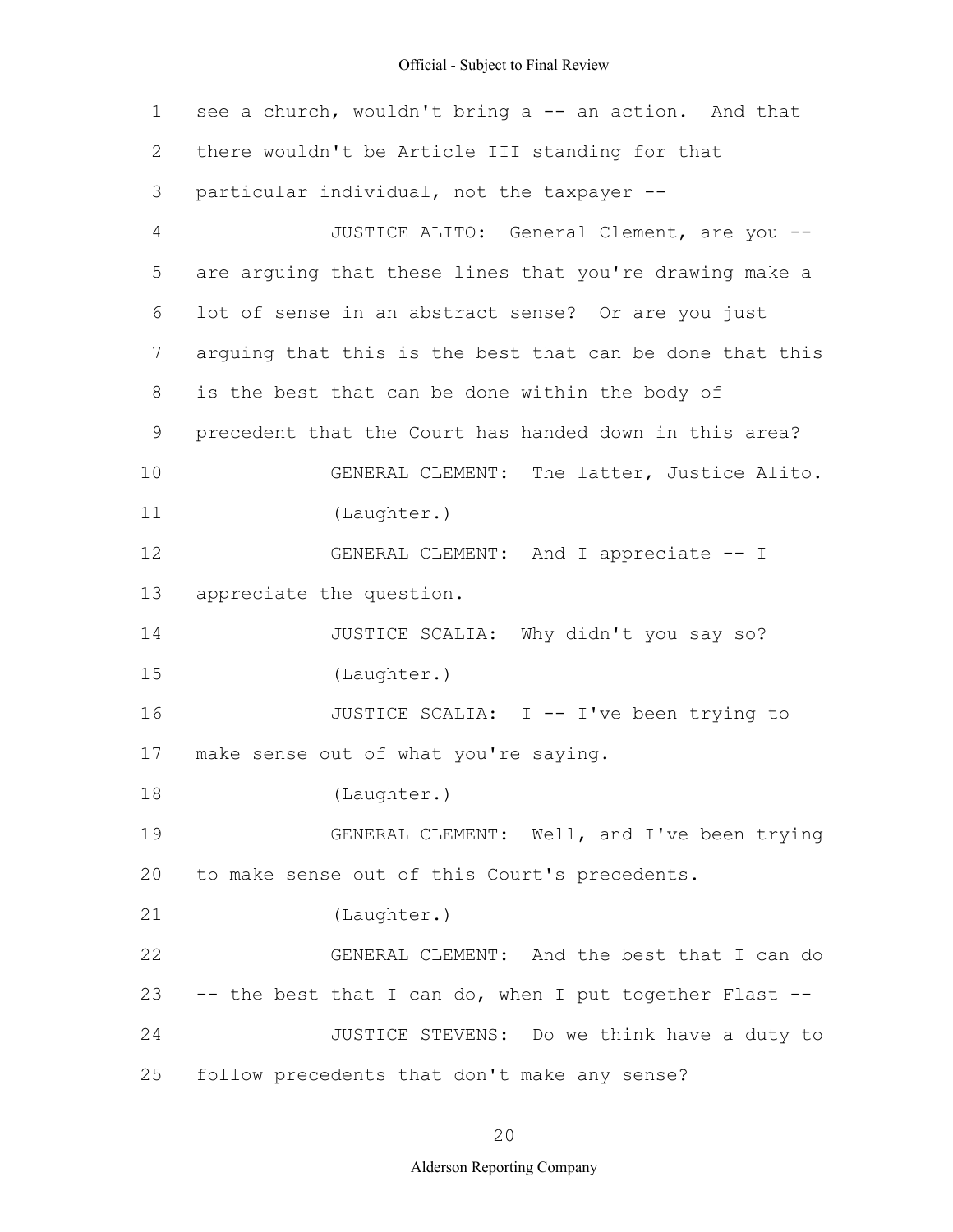| 1  | see a church, wouldn't bring a -- an action. And that    |
|----|----------------------------------------------------------|
| 2  | there wouldn't be Article III standing for that          |
| 3  | particular individual, not the taxpayer --               |
| 4  | JUSTICE ALITO: General Clement, are you --               |
| 5  | are arguing that these lines that you're drawing make a  |
| 6  | lot of sense in an abstract sense? Or are you just       |
| 7  | arguing that this is the best that can be done that this |
| 8  | is the best that can be done within the body of          |
| 9  | precedent that the Court has handed down in this area?   |
| 10 | GENERAL CLEMENT: The latter, Justice Alito.              |
| 11 | (Laughter.)                                              |
| 12 | GENERAL CLEMENT: And I appreciate -- I                   |
| 13 | appreciate the question.                                 |
| 14 | JUSTICE SCALIA: Why didn't you say so?                   |
| 15 | (Laughter.)                                              |
| 16 | JUSTICE SCALIA: I -- I've been trying to                 |
| 17 | make sense out of what you're saying.                    |
| 18 | (Laughter.)                                              |
| 19 | GENERAL CLEMENT: Well, and I've been trying              |
| 20 | to make sense out of this Court's precedents.            |
| 21 | (Laughter.)                                              |
| 22 | GENERAL CLEMENT: And the best that I can do              |
| 23 | -- the best that I can do, when I put together Flast --  |
| 24 | JUSTICE STEVENS: Do we think have a duty to              |
| 25 | follow precedents that don't make any sense?             |

20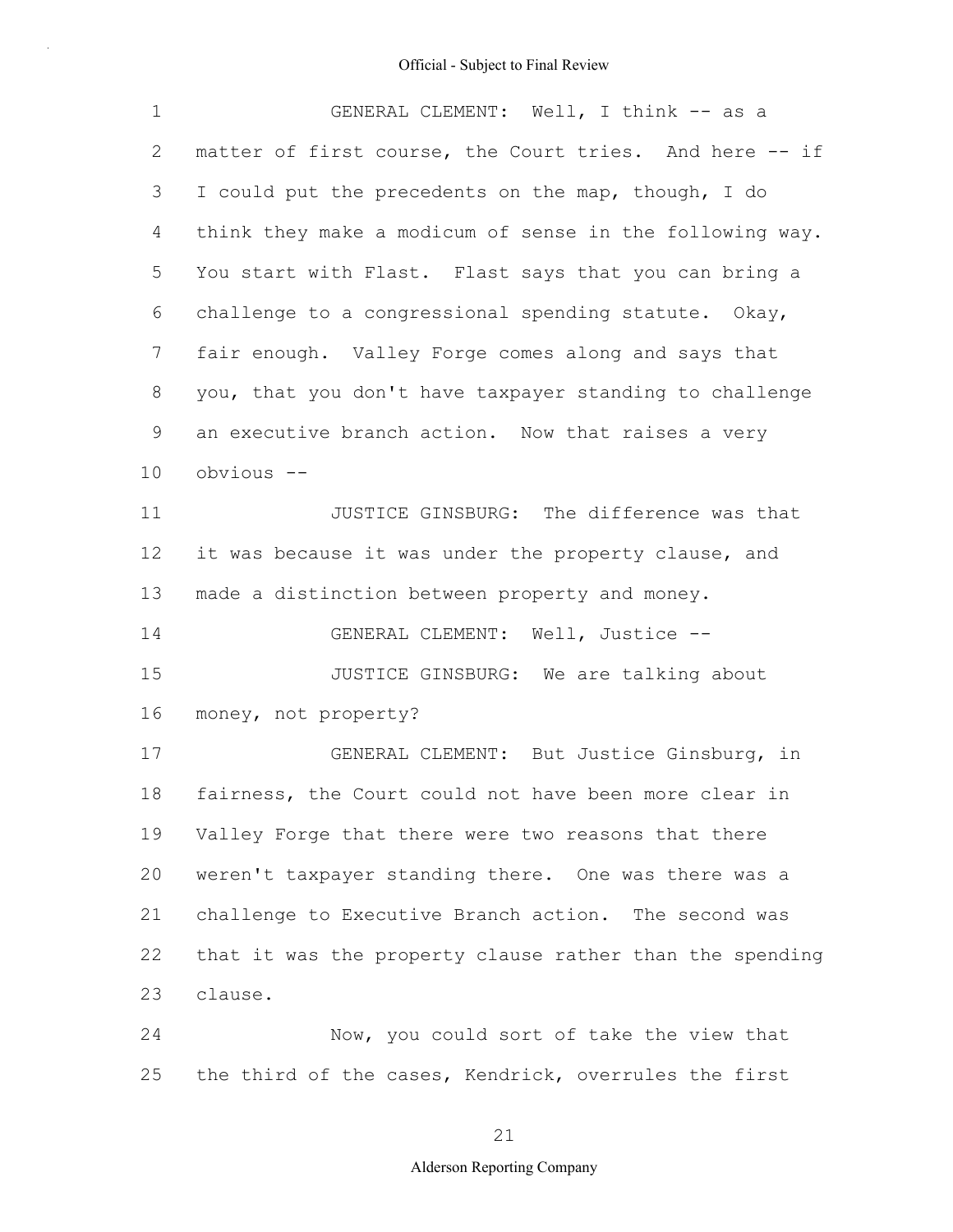| $\mathbf 1$ | GENERAL CLEMENT: Well, I think -- as a                   |
|-------------|----------------------------------------------------------|
| 2           | matter of first course, the Court tries. And here -- if  |
| 3           | I could put the precedents on the map, though, I do      |
| 4           | think they make a modicum of sense in the following way. |
| 5           | You start with Flast. Flast says that you can bring a    |
| 6           | challenge to a congressional spending statute. Okay,     |
| 7           | fair enough. Valley Forge comes along and says that      |
| 8           | you, that you don't have taxpayer standing to challenge  |
| 9           | an executive branch action. Now that raises a very       |
| 10          | obvious --                                               |
| 11          | JUSTICE GINSBURG: The difference was that                |
| 12          | it was because it was under the property clause, and     |
| 13          | made a distinction between property and money.           |
| 14          | GENERAL CLEMENT: Well, Justice --                        |
| 15          | JUSTICE GINSBURG: We are talking about                   |
| 16          | money, not property?                                     |
| 17          | GENERAL CLEMENT: But Justice Ginsburg, in                |
| 18          | fairness, the Court could not have been more clear in    |
| 19          | Valley Forge that there were two reasons that there      |
| 20          | weren't taxpayer standing there. One was there was a     |
| 21          | challenge to Executive Branch action. The second was     |
| 22          | that it was the property clause rather than the spending |
| 23          | clause.                                                  |
| 24          | Now, you could sort of take the view that                |
| 25          | the third of the cases, Kendrick, overrules the first    |

21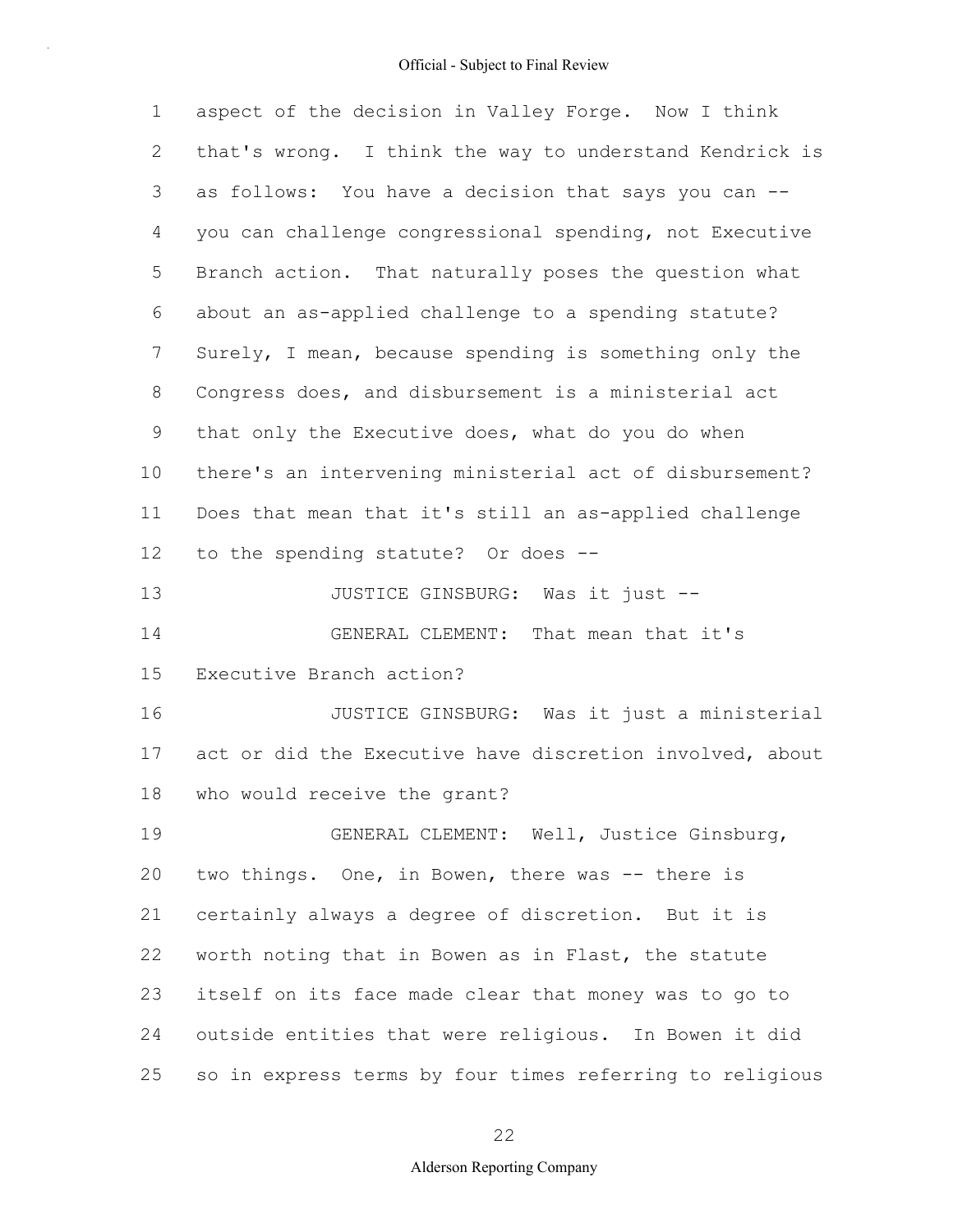| $\mathbf 1$ | aspect of the decision in Valley Forge. Now I think      |
|-------------|----------------------------------------------------------|
| 2           | that's wrong. I think the way to understand Kendrick is  |
| 3           | as follows: You have a decision that says you can --     |
| 4           | you can challenge congressional spending, not Executive  |
| 5           | Branch action. That naturally poses the question what    |
| 6           | about an as-applied challenge to a spending statute?     |
| 7           | Surely, I mean, because spending is something only the   |
| 8           | Congress does, and disbursement is a ministerial act     |
| $\mathsf 9$ | that only the Executive does, what do you do when        |
| 10          | there's an intervening ministerial act of disbursement?  |
| 11          | Does that mean that it's still an as-applied challenge   |
| 12          | to the spending statute? Or does --                      |
| 13          | JUSTICE GINSBURG: Was it just --                         |
| 14          | GENERAL CLEMENT: That mean that it's                     |
| 15          | Executive Branch action?                                 |
| 16          | JUSTICE GINSBURG: Was it just a ministerial              |
| 17          | act or did the Executive have discretion involved, about |
| 18          | who would receive the grant?                             |
| 19          | GENERAL CLEMENT: Well, Justice Ginsburg,                 |
| 20          | two things. One, in Bowen, there was -- there is         |
| 21          | certainly always a degree of discretion. But it is       |
| 22          | worth noting that in Bowen as in Flast, the statute      |
| 23          | itself on its face made clear that money was to go to    |
| 24          | outside entities that were religious. In Bowen it did    |
| 25          | so in express terms by four times referring to religious |

22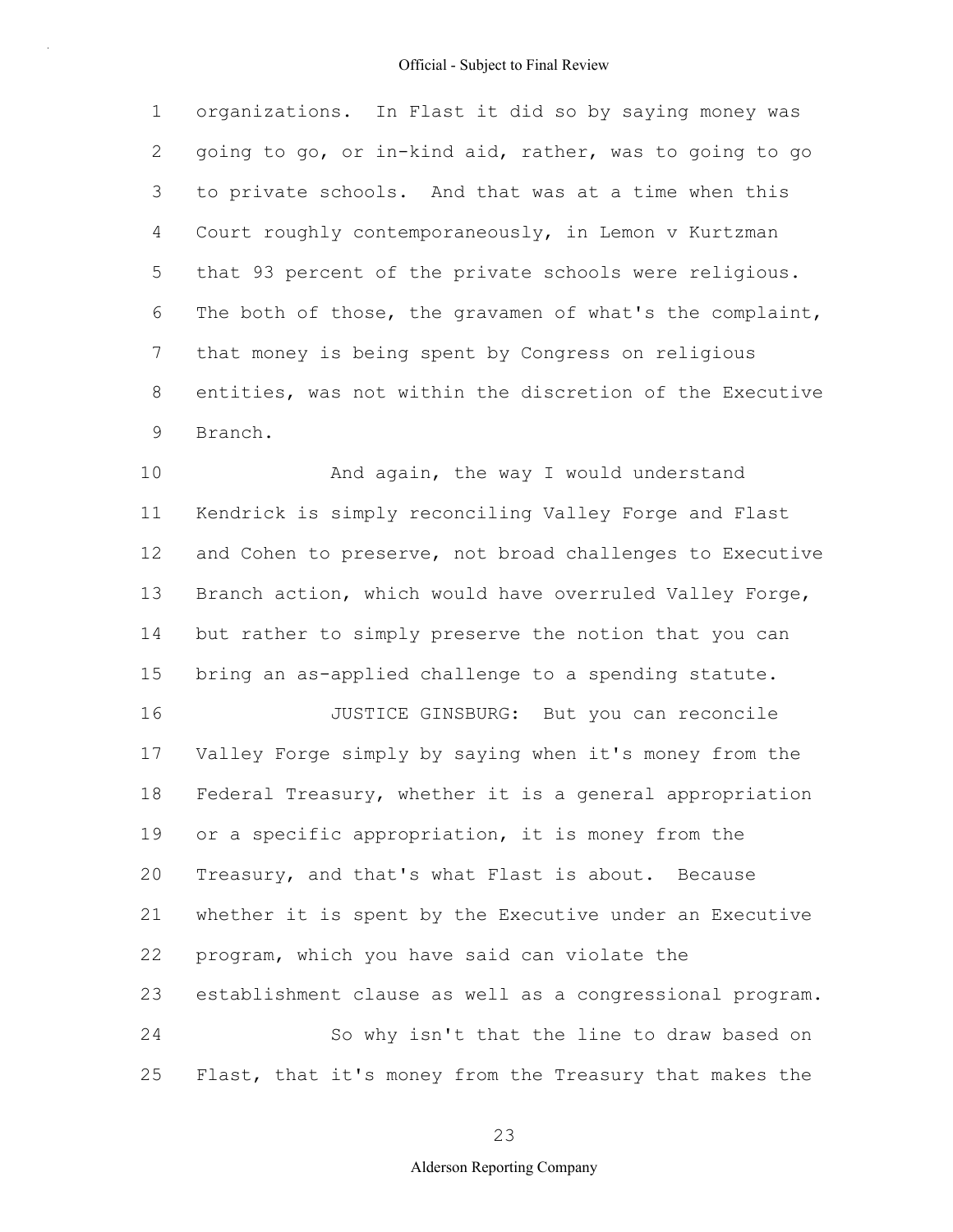1 2 3 4 5 6 7 8 9 organizations. In Flast it did so by saying money was going to go, or in-kind aid, rather, was to going to go to private schools. And that was at a time when this Court roughly contemporaneously, in Lemon v Kurtzman that 93 percent of the private schools were religious. The both of those, the gravamen of what's the complaint, that money is being spent by Congress on religious entities, was not within the discretion of the Executive Branch.

10 11 12 13 14 15 16 17 18 19 20 21 22 23 24 25 And again, the way I would understand Kendrick is simply reconciling Valley Forge and Flast and Cohen to preserve, not broad challenges to Executive Branch action, which would have overruled Valley Forge, but rather to simply preserve the notion that you can bring an as-applied challenge to a spending statute. JUSTICE GINSBURG: But you can reconcile Valley Forge simply by saying when it's money from the Federal Treasury, whether it is a general appropriation or a specific appropriation, it is money from the Treasury, and that's what Flast is about. Because whether it is spent by the Executive under an Executive program, which you have said can violate the establishment clause as well as a congressional program. So why isn't that the line to draw based on Flast, that it's money from the Treasury that makes the

23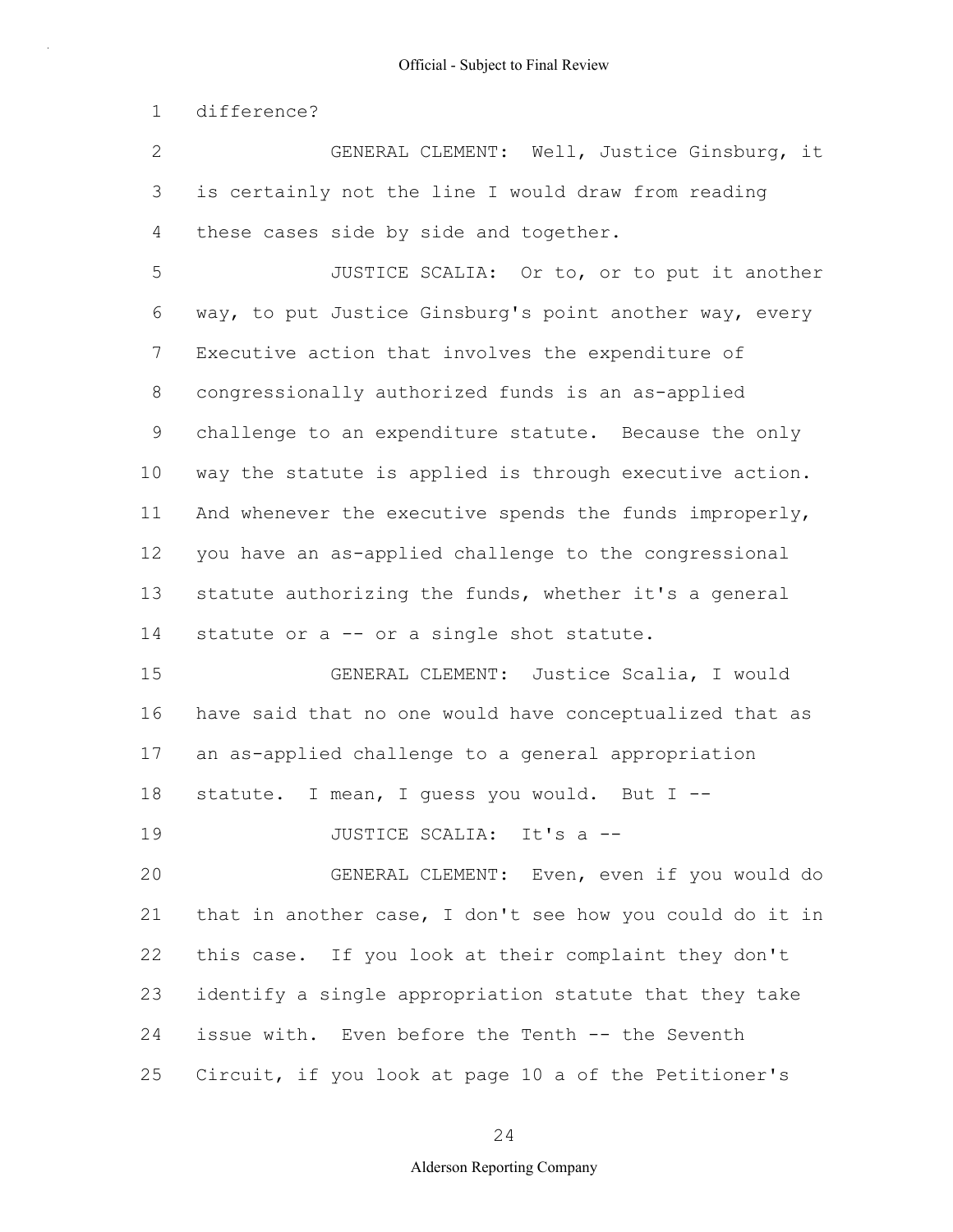1 difference?

2 3 4 GENERAL CLEMENT: Well, Justice Ginsburg, it is certainly not the line I would draw from reading these cases side by side and together.

5 6 7 8 9 10 11 12 13 14 JUSTICE SCALIA: Or to, or to put it another way, to put Justice Ginsburg's point another way, every Executive action that involves the expenditure of congressionally authorized funds is an as-applied challenge to an expenditure statute. Because the only way the statute is applied is through executive action. And whenever the executive spends the funds improperly, you have an as-applied challenge to the congressional statute authorizing the funds, whether it's a general statute or a -- or a single shot statute.

15 16 17 18 GENERAL CLEMENT: Justice Scalia, I would have said that no one would have conceptualized that as an as-applied challenge to a general appropriation statute. I mean, I quess you would. But I --

19 JUSTICE SCALIA: It's a --

20 21 22 23 24 25 GENERAL CLEMENT: Even, even if you would do that in another case, I don't see how you could do it in this case. If you look at their complaint they don't identify a single appropriation statute that they take issue with. Even before the Tenth -- the Seventh Circuit, if you look at page 10 a of the Petitioner's

24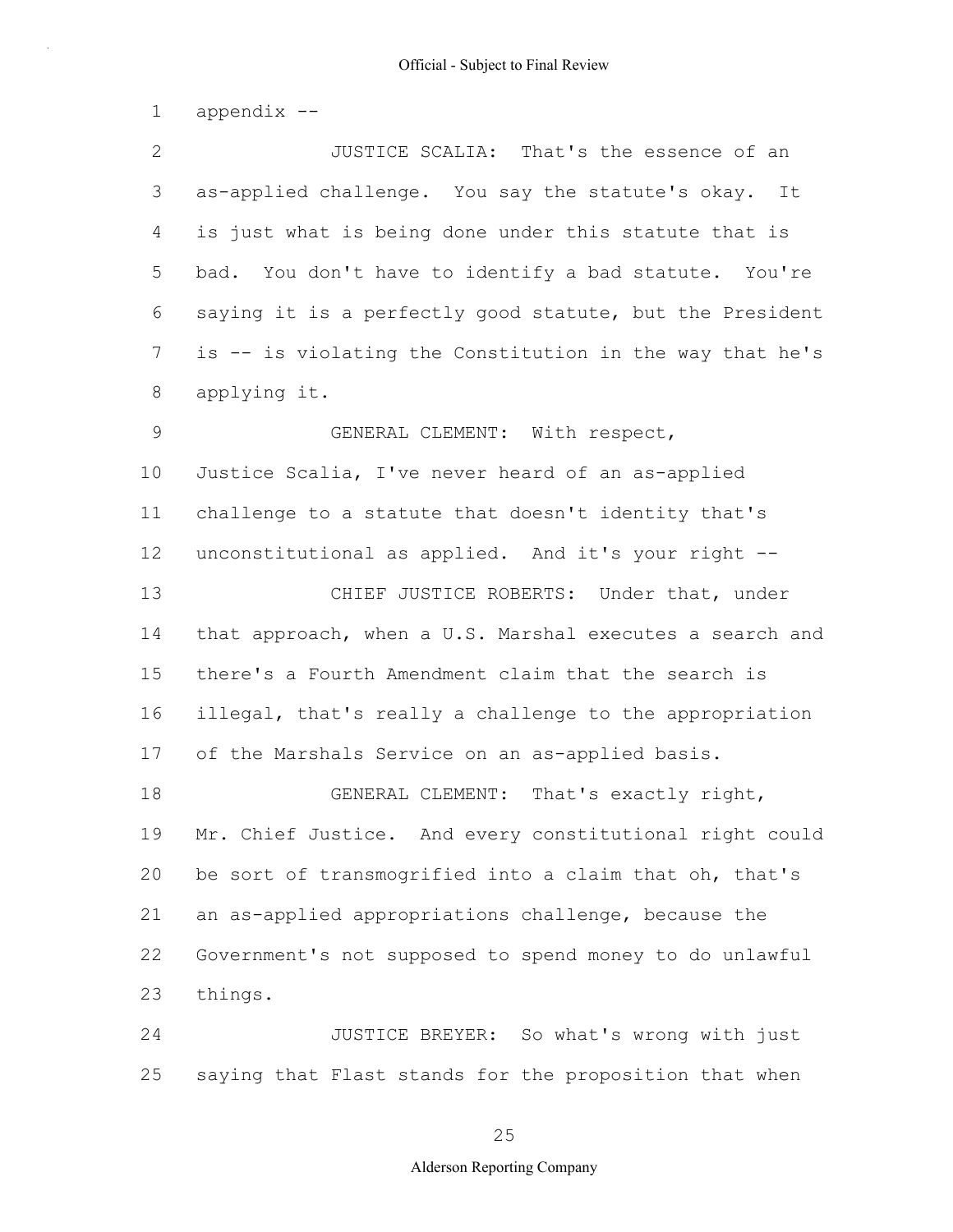1 appendix --

2 3 4 5 6 7 8 9 10 11 12 13 JUSTICE SCALIA: That's the essence of an as-applied challenge. You say the statute's okay. It is just what is being done under this statute that is bad. You don't have to identify a bad statute. You're saying it is a perfectly good statute, but the President is -- is violating the Constitution in the way that he's applying it. GENERAL CLEMENT: With respect, Justice Scalia, I've never heard of an as-applied challenge to a statute that doesn't identity that's unconstitutional as applied. And it's your right -- CHIEF JUSTICE ROBERTS: Under that, under

14 15 16 17 that approach, when a U.S. Marshal executes a search and there's a Fourth Amendment claim that the search is illegal, that's really a challenge to the appropriation of the Marshals Service on an as-applied basis.

18 19 20 21 22 23 GENERAL CLEMENT: That's exactly right, Mr. Chief Justice. And every constitutional right could be sort of transmogrified into a claim that oh, that's an as-applied appropriations challenge, because the Government's not supposed to spend money to do unlawful things.

24 25 JUSTICE BREYER: So what's wrong with just saying that Flast stands for the proposition that when

25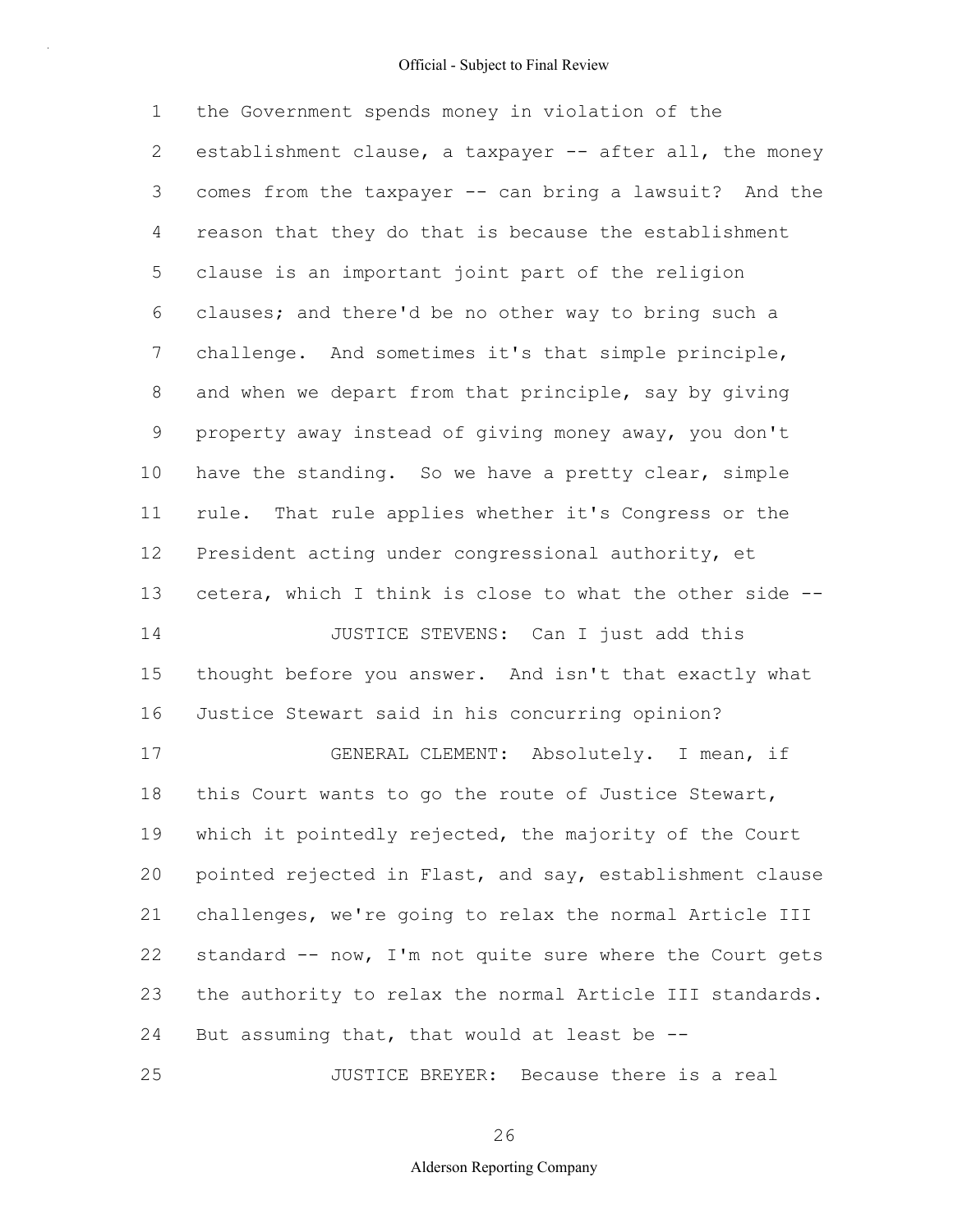1 2 3 4 5 6 7 8 9 10 11 12 13 14 15 16 17 18 19 20 21 22 23 24 25 the Government spends money in violation of the establishment clause, a taxpayer -- after all, the money comes from the taxpayer -- can bring a lawsuit? And the reason that they do that is because the establishment clause is an important joint part of the religion clauses; and there'd be no other way to bring such a challenge. And sometimes it's that simple principle, and when we depart from that principle, say by giving property away instead of giving money away, you don't have the standing. So we have a pretty clear, simple rule. That rule applies whether it's Congress or the President acting under congressional authority, et cetera, which I think is close to what the other side -- JUSTICE STEVENS: Can I just add this thought before you answer. And isn't that exactly what Justice Stewart said in his concurring opinion? GENERAL CLEMENT: Absolutely. I mean, if this Court wants to go the route of Justice Stewart, which it pointedly rejected, the majority of the Court pointed rejected in Flast, and say, establishment clause challenges, we're going to relax the normal Article III standard -- now, I'm not quite sure where the Court gets the authority to relax the normal Article III standards. But assuming that, that would at least be -- JUSTICE BREYER: Because there is a real

26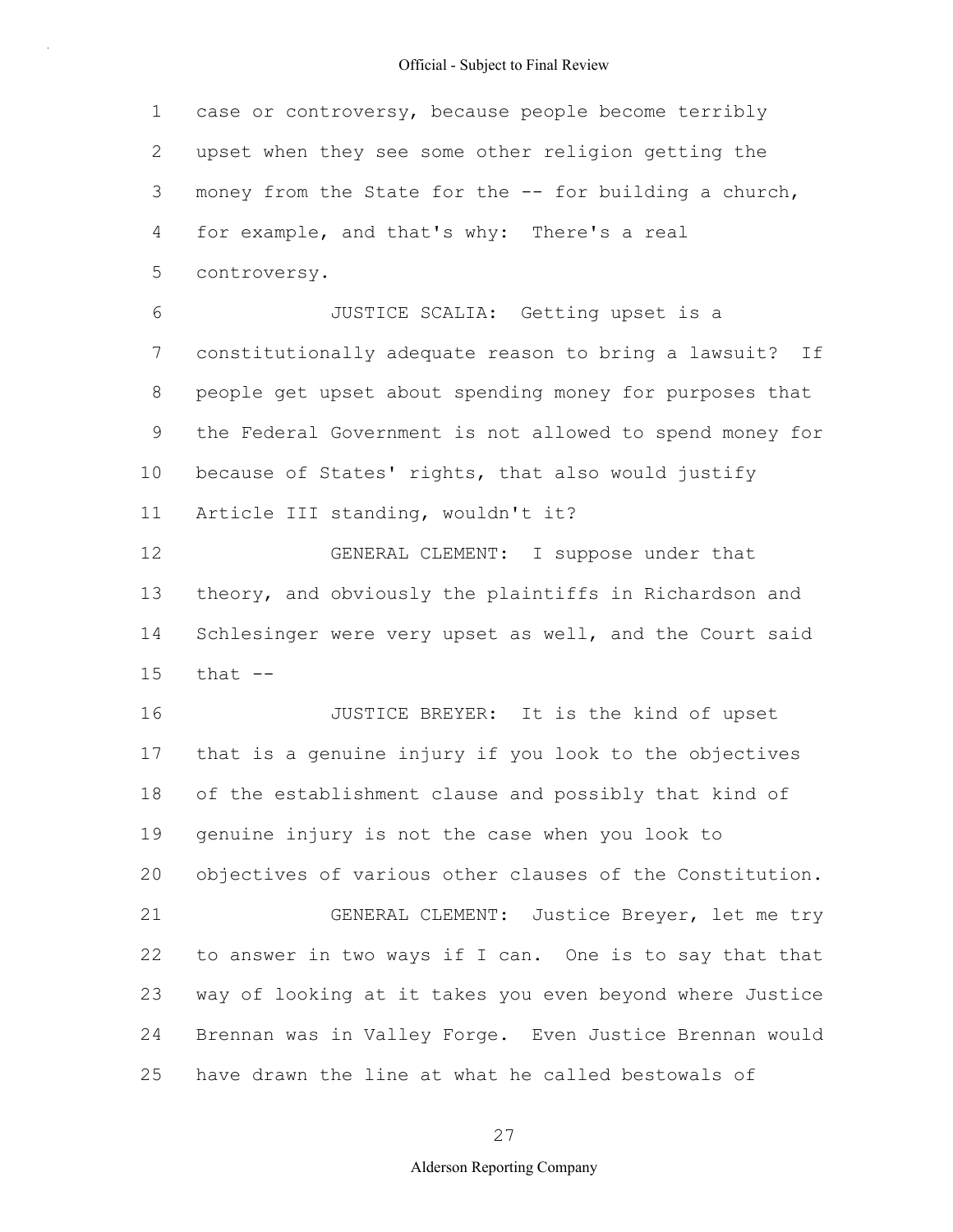1 2 3 4 5 6 7 8 9 10 11 12 13 14 15 16 17 18 19 20 21 22 23 24 25 case or controversy, because people become terribly upset when they see some other religion getting the money from the State for the -- for building a church, for example, and that's why: There's a real controversy. JUSTICE SCALIA: Getting upset is a constitutionally adequate reason to bring a lawsuit? If people get upset about spending money for purposes that the Federal Government is not allowed to spend money for because of States' rights, that also would justify Article III standing, wouldn't it? GENERAL CLEMENT: I suppose under that theory, and obviously the plaintiffs in Richardson and Schlesinger were very upset as well, and the Court said that  $--$ JUSTICE BREYER: It is the kind of upset that is a genuine injury if you look to the objectives of the establishment clause and possibly that kind of genuine injury is not the case when you look to objectives of various other clauses of the Constitution. GENERAL CLEMENT: Justice Breyer, let me try to answer in two ways if I can. One is to say that that way of looking at it takes you even beyond where Justice Brennan was in Valley Forge. Even Justice Brennan would have drawn the line at what he called bestowals of

27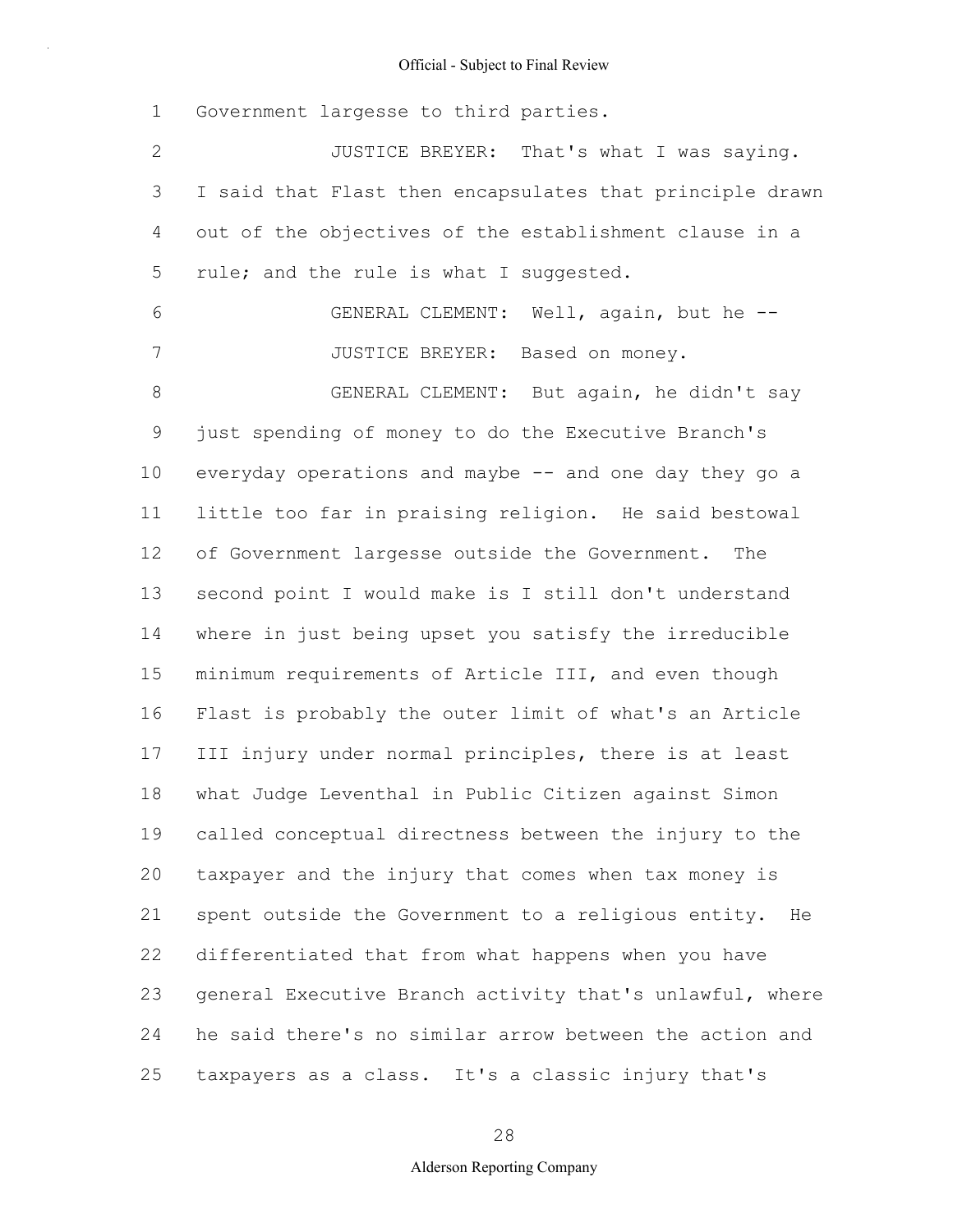1 2 3 4 5 6 7 8 9 10 11 12 13 14 15 16 17 18 19 20 21 22 23 24 25 Government largesse to third parties. JUSTICE BREYER: That's what I was saying. I said that Flast then encapsulates that principle drawn out of the objectives of the establishment clause in a rule; and the rule is what I suggested. GENERAL CLEMENT: Well, again, but he -- JUSTICE BREYER: Based on money. GENERAL CLEMENT: But again, he didn't say just spending of money to do the Executive Branch's everyday operations and maybe -- and one day they go a little too far in praising religion. He said bestowal of Government largesse outside the Government. The second point I would make is I still don't understand where in just being upset you satisfy the irreducible minimum requirements of Article III, and even though Flast is probably the outer limit of what's an Article III injury under normal principles, there is at least what Judge Leventhal in Public Citizen against Simon called conceptual directness between the injury to the taxpayer and the injury that comes when tax money is spent outside the Government to a religious entity. He differentiated that from what happens when you have general Executive Branch activity that's unlawful, where he said there's no similar arrow between the action and taxpayers as a class. It's a classic injury that's

28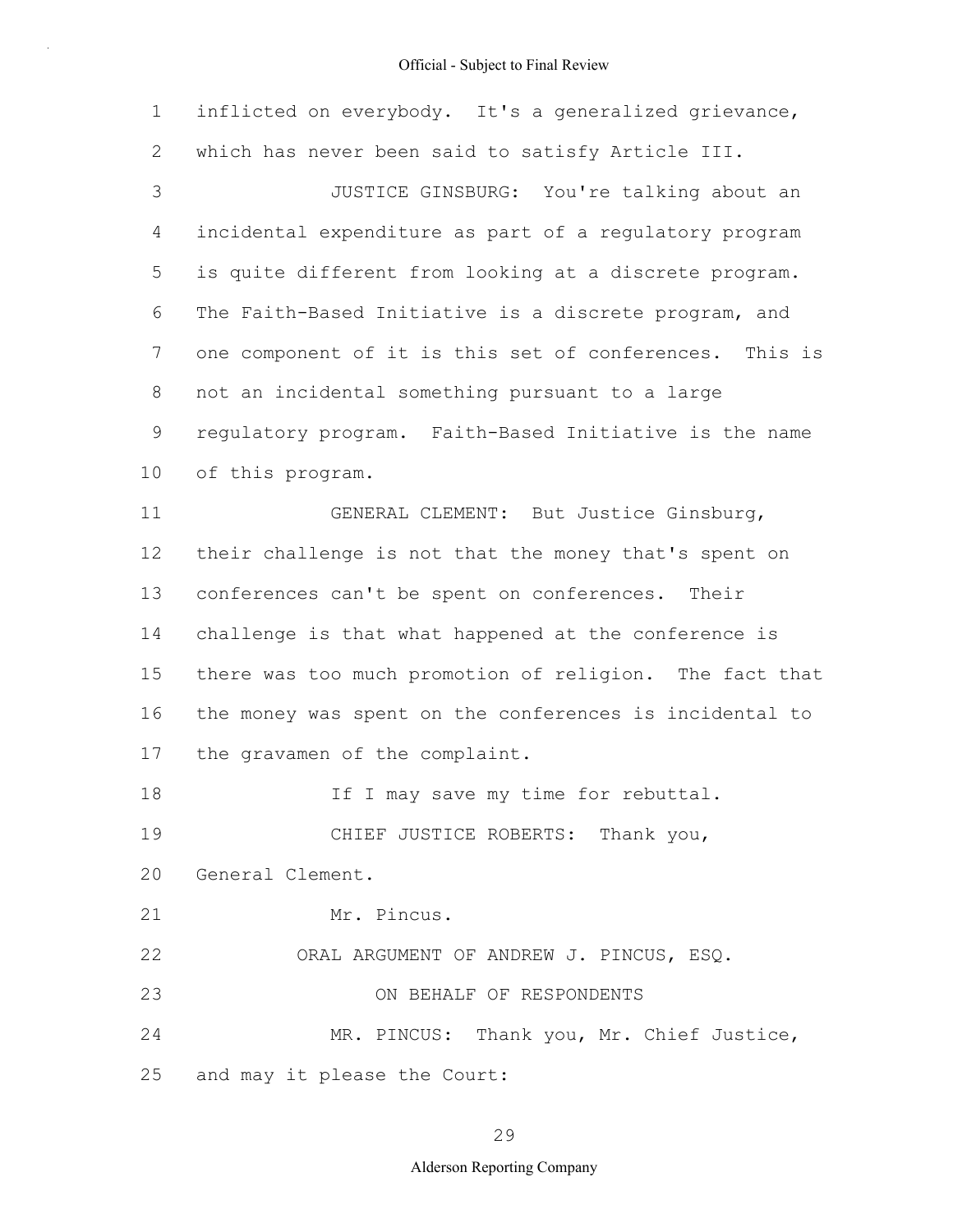| $\mathbf 1$   | inflicted on everybody. It's a generalized grievance,   |
|---------------|---------------------------------------------------------|
| $\mathbf{2}$  | which has never been said to satisfy Article III.       |
| $\mathcal{S}$ | JUSTICE GINSBURG: You're talking about an               |
| 4             | incidental expenditure as part of a regulatory program  |
| 5             | is quite different from looking at a discrete program.  |
| 6             | The Faith-Based Initiative is a discrete program, and   |
| 7             | one component of it is this set of conferences. This is |
| 8             | not an incidental something pursuant to a large         |
| 9             | regulatory program. Faith-Based Initiative is the name  |
| 10            | of this program.                                        |
| 11            | GENERAL CLEMENT: But Justice Ginsburg,                  |
| 12            | their challenge is not that the money that's spent on   |
| 13            | conferences can't be spent on conferences. Their        |
| 14            | challenge is that what happened at the conference is    |
| 15            | there was too much promotion of religion. The fact that |
| 16            | the money was spent on the conferences is incidental to |
| 17            | the gravamen of the complaint.                          |
| 18            | If I may save my time for rebuttal.                     |
| 19            | CHIEF JUSTICE ROBERTS: Thank you,                       |
| 20            | General Clement.                                        |
| 21            | Mr. Pincus.                                             |
| 22            | ORAL ARGUMENT OF ANDREW J. PINCUS, ESQ.                 |
| 23            | ON BEHALF OF RESPONDENTS                                |
| 24            | MR. PINCUS: Thank you, Mr. Chief Justice,               |
| 25            | and may it please the Court:                            |

29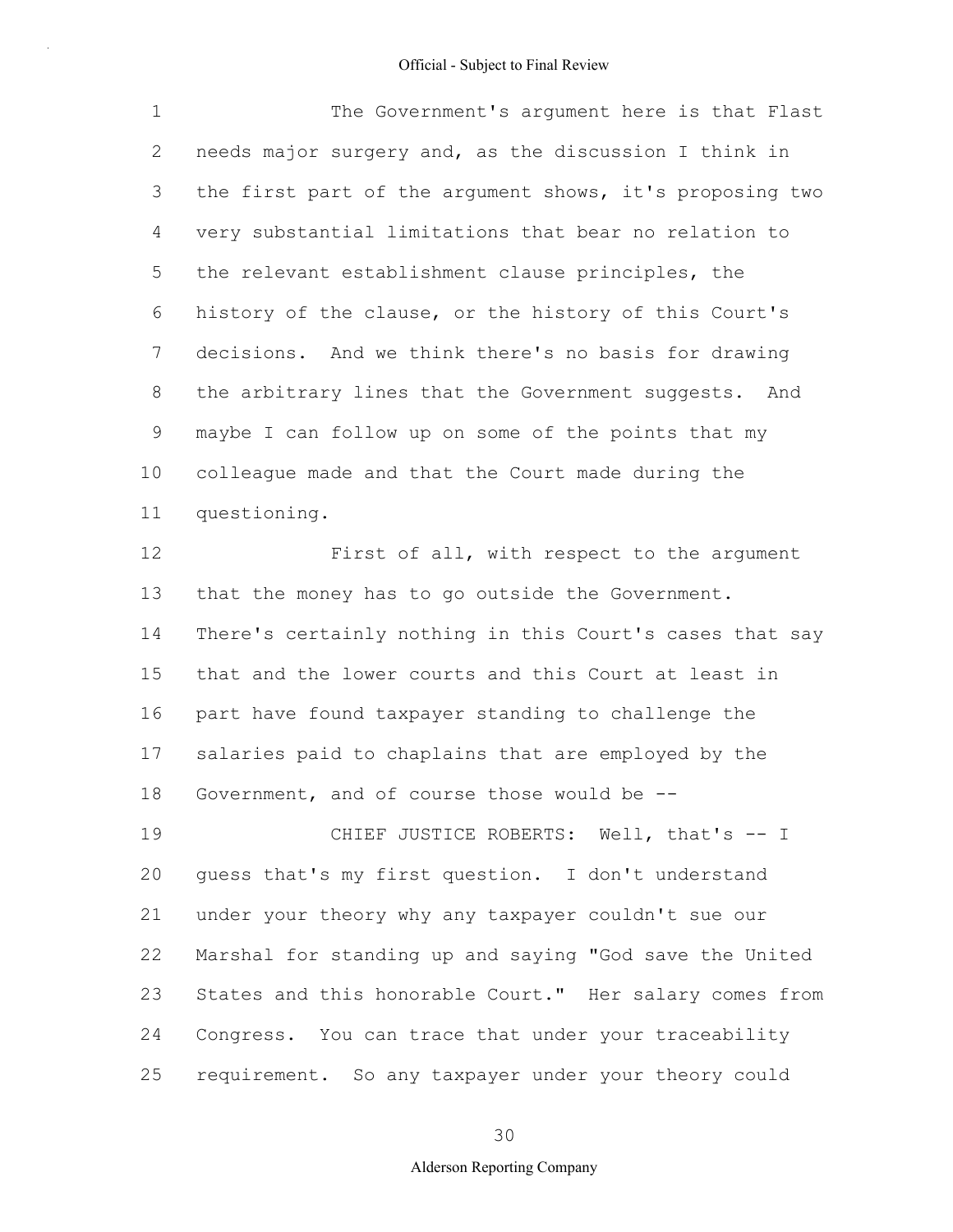1 2 3 4 5 6 7 8 9 10 11 12 13 14 The Government's argument here is that Flast needs major surgery and, as the discussion I think in the first part of the argument shows, it's proposing two very substantial limitations that bear no relation to the relevant establishment clause principles, the history of the clause, or the history of this Court's decisions. And we think there's no basis for drawing the arbitrary lines that the Government suggests. And maybe I can follow up on some of the points that my colleague made and that the Court made during the questioning. First of all, with respect to the argument that the money has to go outside the Government. There's certainly nothing in this Court's cases that say

15 16 17 18 that and the lower courts and this Court at least in part have found taxpayer standing to challenge the salaries paid to chaplains that are employed by the Government, and of course those would be --

19 20 21 22 23 24 25 CHIEF JUSTICE ROBERTS: Well, that's -- I guess that's my first question. I don't understand under your theory why any taxpayer couldn't sue our Marshal for standing up and saying "God save the United States and this honorable Court." Her salary comes from Congress. You can trace that under your traceability requirement. So any taxpayer under your theory could

30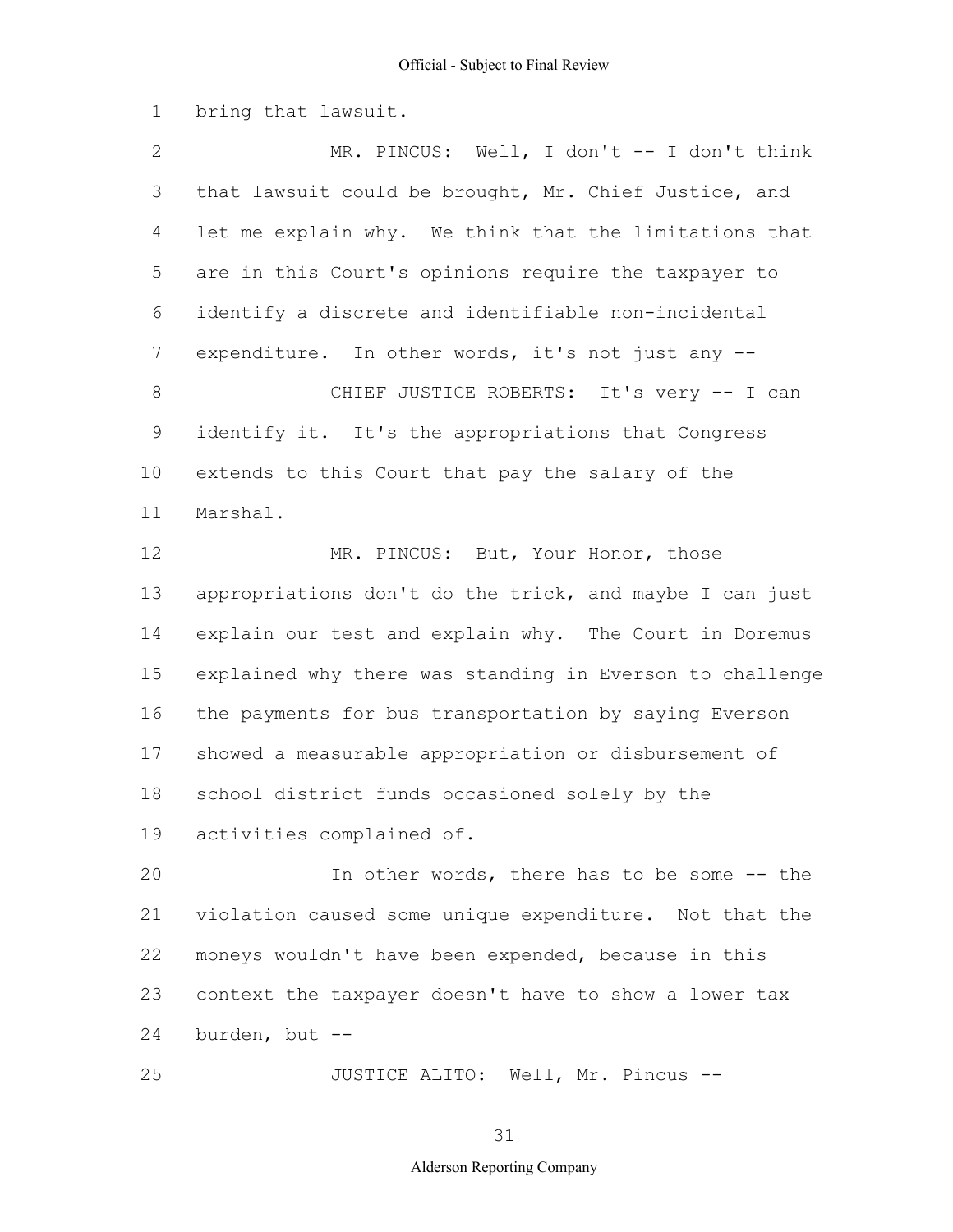1 bring that lawsuit.

2 3 4 5 6 7 8 9 10 11 12 13 14 15 16 17 18 19 20 21 MR. PINCUS: Well, I don't -- I don't think that lawsuit could be brought, Mr. Chief Justice, and let me explain why. We think that the limitations that are in this Court's opinions require the taxpayer to identify a discrete and identifiable non-incidental expenditure. In other words, it's not just any --CHIEF JUSTICE ROBERTS: It's very -- I can identify it. It's the appropriations that Congress extends to this Court that pay the salary of the Marshal. MR. PINCUS: But, Your Honor, those appropriations don't do the trick, and maybe I can just explain our test and explain why. The Court in Doremus explained why there was standing in Everson to challenge the payments for bus transportation by saying Everson showed a measurable appropriation or disbursement of school district funds occasioned solely by the activities complained of. In other words, there has to be some -- the violation caused some unique expenditure. Not that the

22 23 24 moneys wouldn't have been expended, because in this context the taxpayer doesn't have to show a lower tax burden, but --

JUSTICE ALITO: Well, Mr. Pincus --

25

31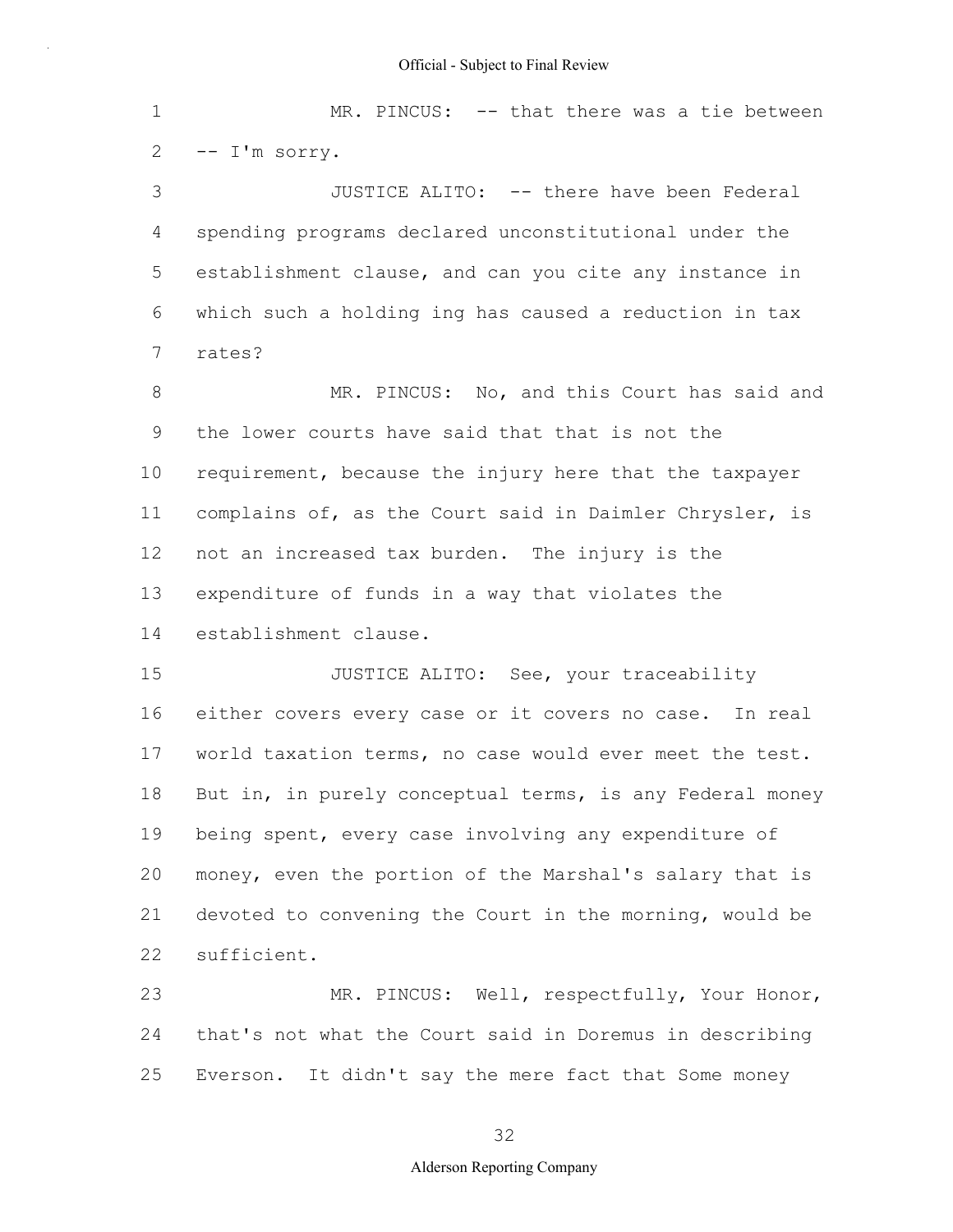1 2 3 4 5 6 7 8 9 10 11 12 13 14 15 16 17 18 19 20 21 22 23 24 MR. PINCUS: -- that there was a tie between -- I'm sorry. JUSTICE ALITO: -- there have been Federal spending programs declared unconstitutional under the establishment clause, and can you cite any instance in which such a holding ing has caused a reduction in tax rates? MR. PINCUS: No, and this Court has said and the lower courts have said that that is not the requirement, because the injury here that the taxpayer complains of, as the Court said in Daimler Chrysler, is not an increased tax burden. The injury is the expenditure of funds in a way that violates the establishment clause. JUSTICE ALITO: See, your traceability either covers every case or it covers no case. In real world taxation terms, no case would ever meet the test. But in, in purely conceptual terms, is any Federal money being spent, every case involving any expenditure of money, even the portion of the Marshal's salary that is devoted to convening the Court in the morning, would be sufficient. MR. PINCUS: Well, respectfully, Your Honor, that's not what the Court said in Doremus in describing

25 Everson. It didn't say the mere fact that Some money

32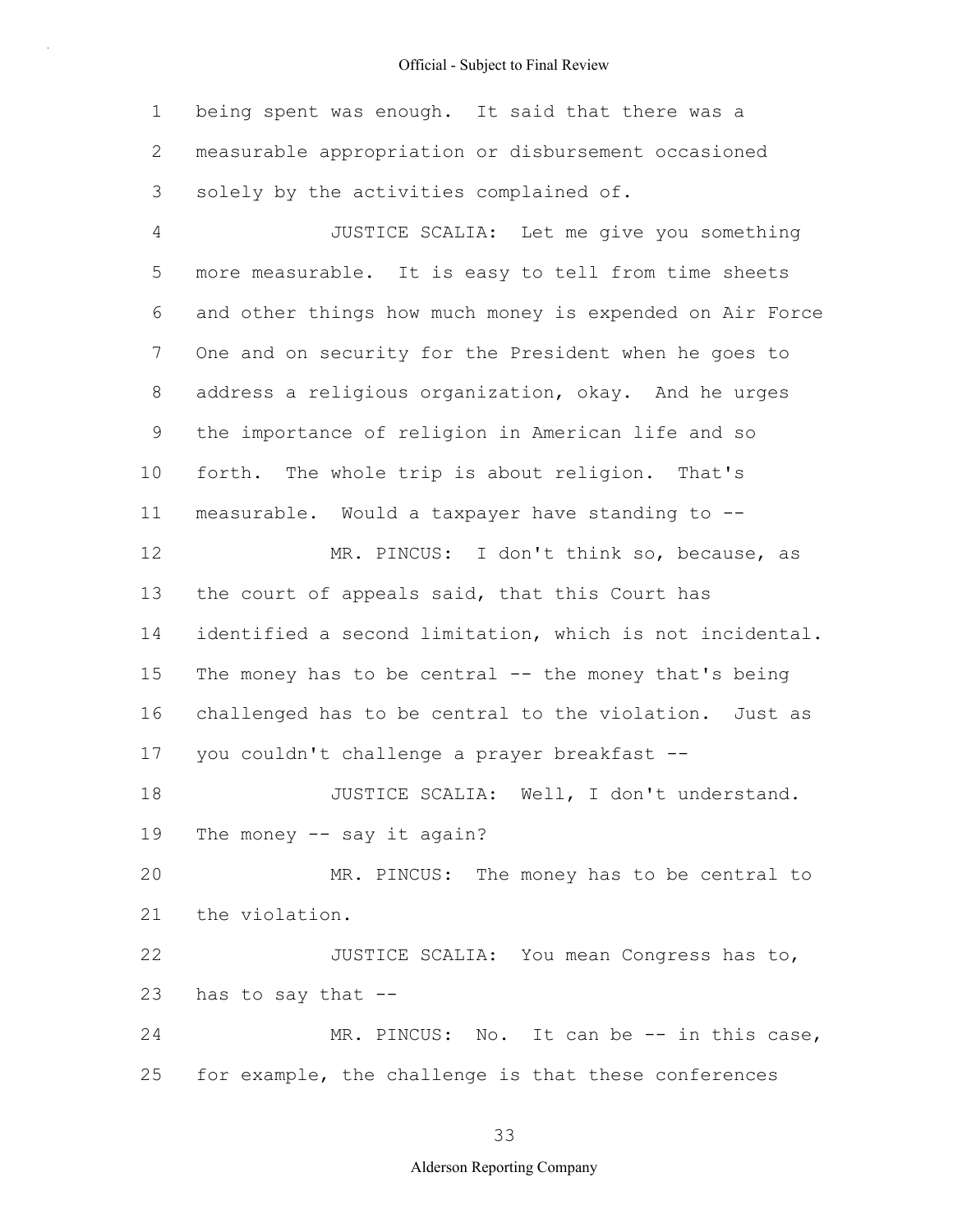1 2 3 being spent was enough. It said that there was a measurable appropriation or disbursement occasioned solely by the activities complained of.

4 5 6 7 8 9 10 11 12 13 14 15 16 17 18 19 20 21 22 23 24 25 JUSTICE SCALIA: Let me give you something more measurable. It is easy to tell from time sheets and other things how much money is expended on Air Force One and on security for the President when he goes to address a religious organization, okay. And he urges the importance of religion in American life and so forth. The whole trip is about religion. That's measurable. Would a taxpayer have standing to -- MR. PINCUS: I don't think so, because, as the court of appeals said, that this Court has identified a second limitation, which is not incidental. The money has to be central -- the money that's being challenged has to be central to the violation. Just as you couldn't challenge a prayer breakfast -- JUSTICE SCALIA: Well, I don't understand. The money -- say it again? MR. PINCUS: The money has to be central to the violation. JUSTICE SCALIA: You mean Congress has to, has to say that -- MR. PINCUS: No. It can be -- in this case, for example, the challenge is that these conferences

33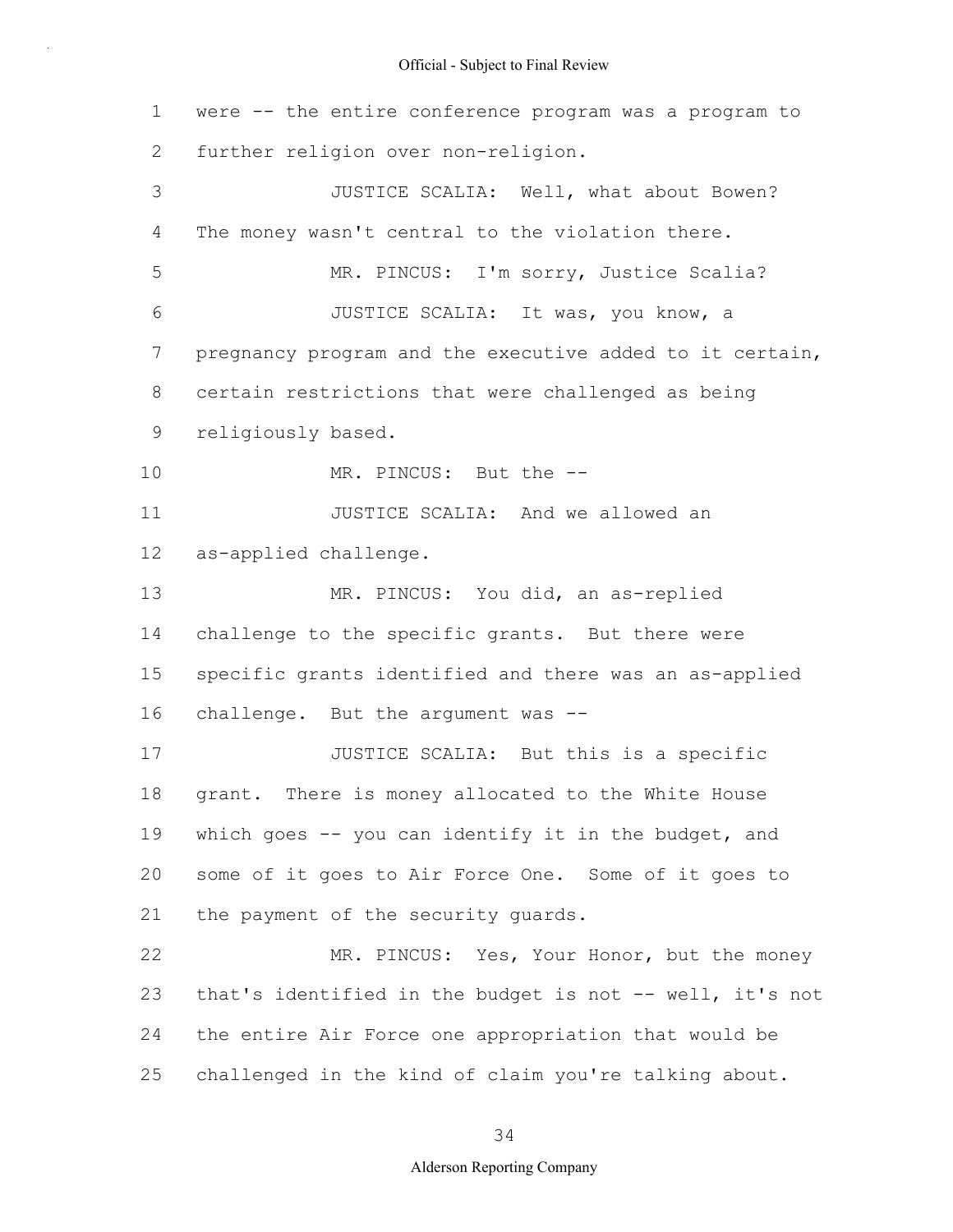1 2 3 4 5 6 7 8 9 10 11 12 13 14 15 16 17 18 19 20 21 22 23 24 25 were -- the entire conference program was a program to further religion over non-religion. JUSTICE SCALIA: Well, what about Bowen? The money wasn't central to the violation there. MR. PINCUS: I'm sorry, Justice Scalia? JUSTICE SCALIA: It was, you know, a pregnancy program and the executive added to it certain, certain restrictions that were challenged as being religiously based. MR. PINCUS: But the -- JUSTICE SCALIA: And we allowed an as-applied challenge. MR. PINCUS: You did, an as-replied challenge to the specific grants. But there were specific grants identified and there was an as-applied challenge. But the argument was -- JUSTICE SCALIA: But this is a specific grant. There is money allocated to the White House which goes -- you can identify it in the budget, and some of it goes to Air Force One. Some of it goes to the payment of the security guards. MR. PINCUS: Yes, Your Honor, but the money that's identified in the budget is not -- well, it's not the entire Air Force one appropriation that would be challenged in the kind of claim you're talking about.

34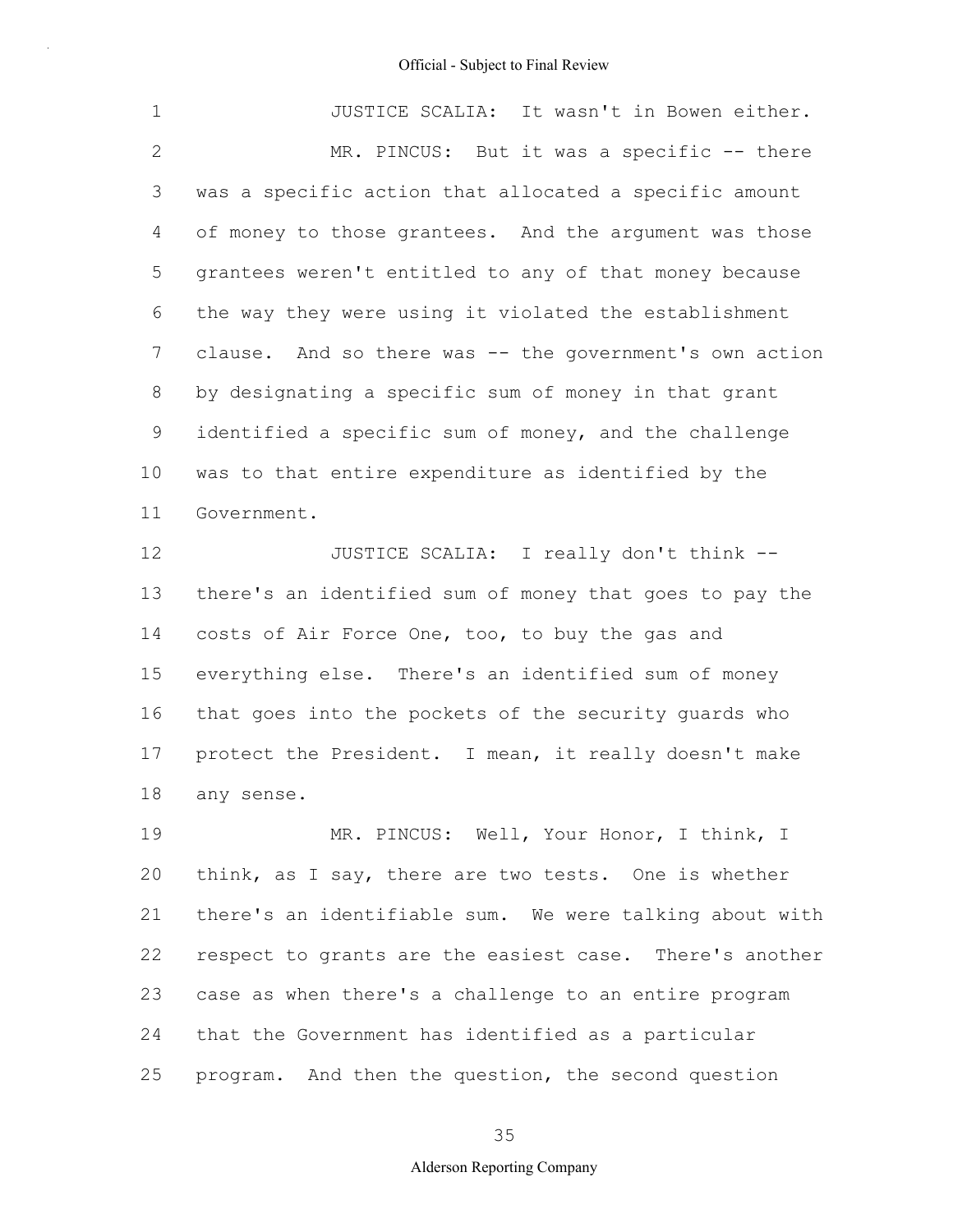| $\mathbf{1}$    | JUSTICE SCALIA: It wasn't in Bowen either.              |
|-----------------|---------------------------------------------------------|
| 2               | MR. PINCUS: But it was a specific -- there              |
| 3               | was a specific action that allocated a specific amount  |
| 4               | of money to those grantees. And the argument was those  |
| 5               | grantees weren't entitled to any of that money because  |
| 6               | the way they were using it violated the establishment   |
| $7\overline{ }$ | clause. And so there was -- the government's own action |
| 8               | by designating a specific sum of money in that grant    |
| 9               | identified a specific sum of money, and the challenge   |
| 10              | was to that entire expenditure as identified by the     |
| 11              | Government.                                             |

12 13 14 15 16 17 18 JUSTICE SCALIA: I really don't think - there's an identified sum of money that goes to pay the costs of Air Force One, too, to buy the gas and everything else. There's an identified sum of money that goes into the pockets of the security guards who protect the President. I mean, it really doesn't make any sense.

19 20 21 22 23 24 25 MR. PINCUS: Well, Your Honor, I think, I think, as I say, there are two tests. One is whether there's an identifiable sum. We were talking about with respect to grants are the easiest case. There's another case as when there's a challenge to an entire program that the Government has identified as a particular program. And then the question, the second question

35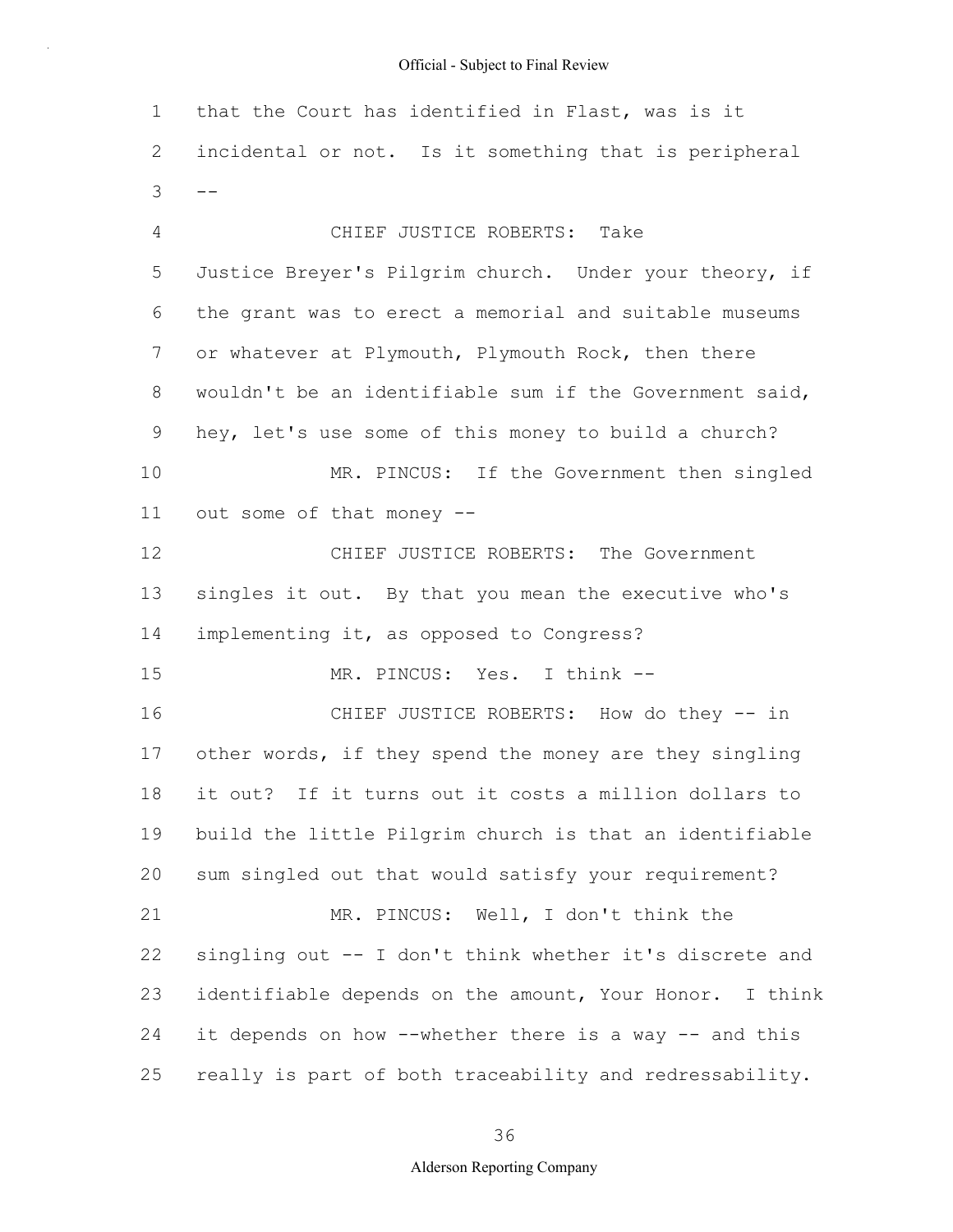1 2  $3 \quad -$ 4 5 6 7 8 9 10 11 12 13 14 15 16 17 18 19 20 21 22 23 24 25 that the Court has identified in Flast, was is it incidental or not. Is it something that is peripheral CHIEF JUSTICE ROBERTS: Take Justice Breyer's Pilgrim church. Under your theory, if the grant was to erect a memorial and suitable museums or whatever at Plymouth, Plymouth Rock, then there wouldn't be an identifiable sum if the Government said, hey, let's use some of this money to build a church? MR. PINCUS: If the Government then singled out some of that money -- CHIEF JUSTICE ROBERTS: The Government singles it out. By that you mean the executive who's implementing it, as opposed to Congress? MR. PINCUS: Yes. I think -- CHIEF JUSTICE ROBERTS: How do they -- in other words, if they spend the money are they singling it out? If it turns out it costs a million dollars to build the little Pilgrim church is that an identifiable sum singled out that would satisfy your requirement? MR. PINCUS: Well, I don't think the singling out -- I don't think whether it's discrete and identifiable depends on the amount, Your Honor. I think it depends on how --whether there is a way -- and this really is part of both traceability and redressability.

#### 36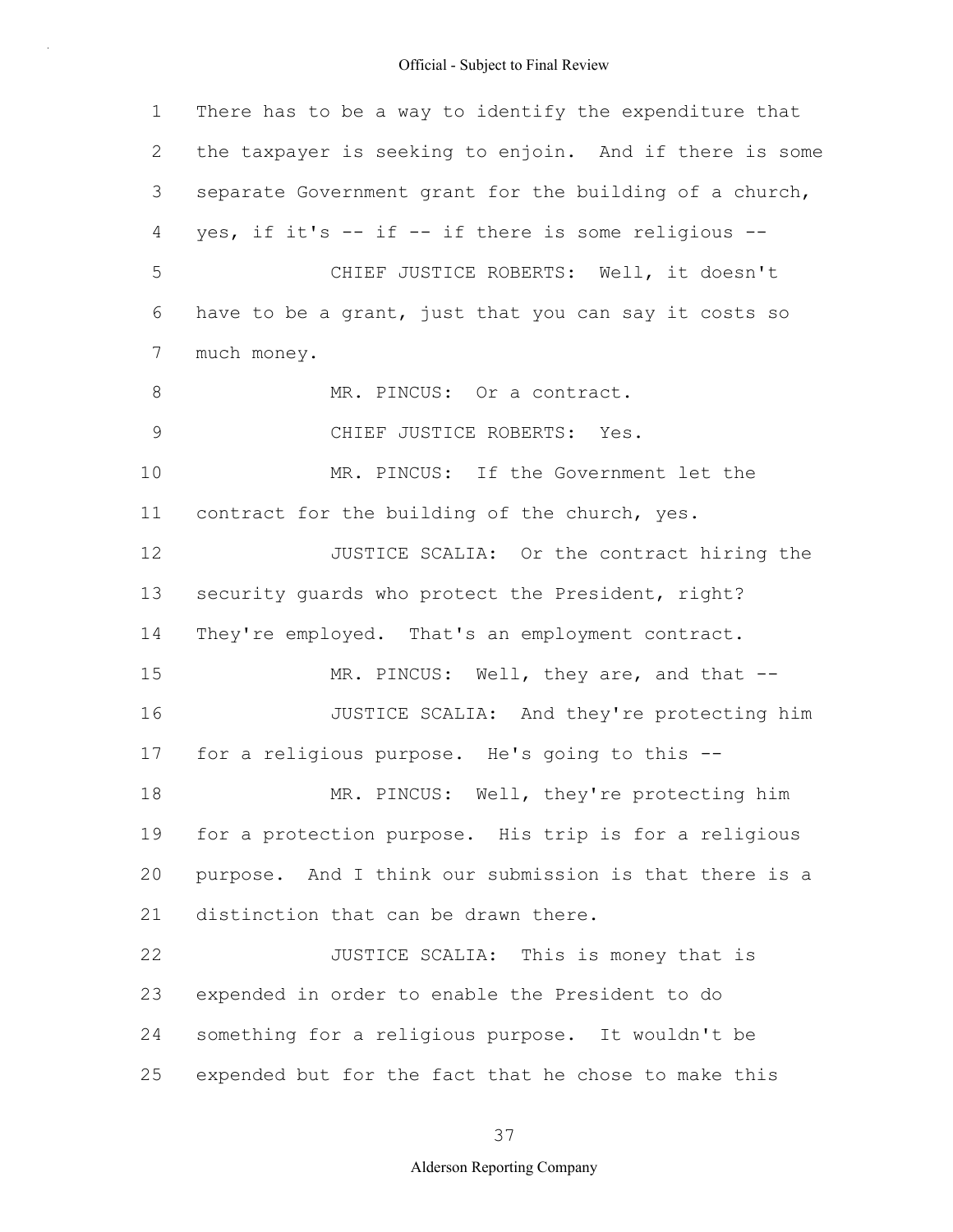1 2 3 4 5 6 7 8 9 10 11 12 13 14 15 16 17 18 19 20 21 22 23 24 25 There has to be a way to identify the expenditure that the taxpayer is seeking to enjoin. And if there is some separate Government grant for the building of a church, yes, if it's -- if -- if there is some religious -- CHIEF JUSTICE ROBERTS: Well, it doesn't have to be a grant, just that you can say it costs so much money. MR. PINCUS: Or a contract. CHIEF JUSTICE ROBERTS: Yes. MR. PINCUS: If the Government let the contract for the building of the church, yes. JUSTICE SCALIA: Or the contract hiring the security guards who protect the President, right? They're employed. That's an employment contract. MR. PINCUS: Well, they are, and that --JUSTICE SCALIA: And they're protecting him for a religious purpose. He's going to this -- MR. PINCUS: Well, they're protecting him for a protection purpose. His trip is for a religious purpose. And I think our submission is that there is a distinction that can be drawn there. JUSTICE SCALIA: This is money that is expended in order to enable the President to do something for a religious purpose. It wouldn't be expended but for the fact that he chose to make this

## 37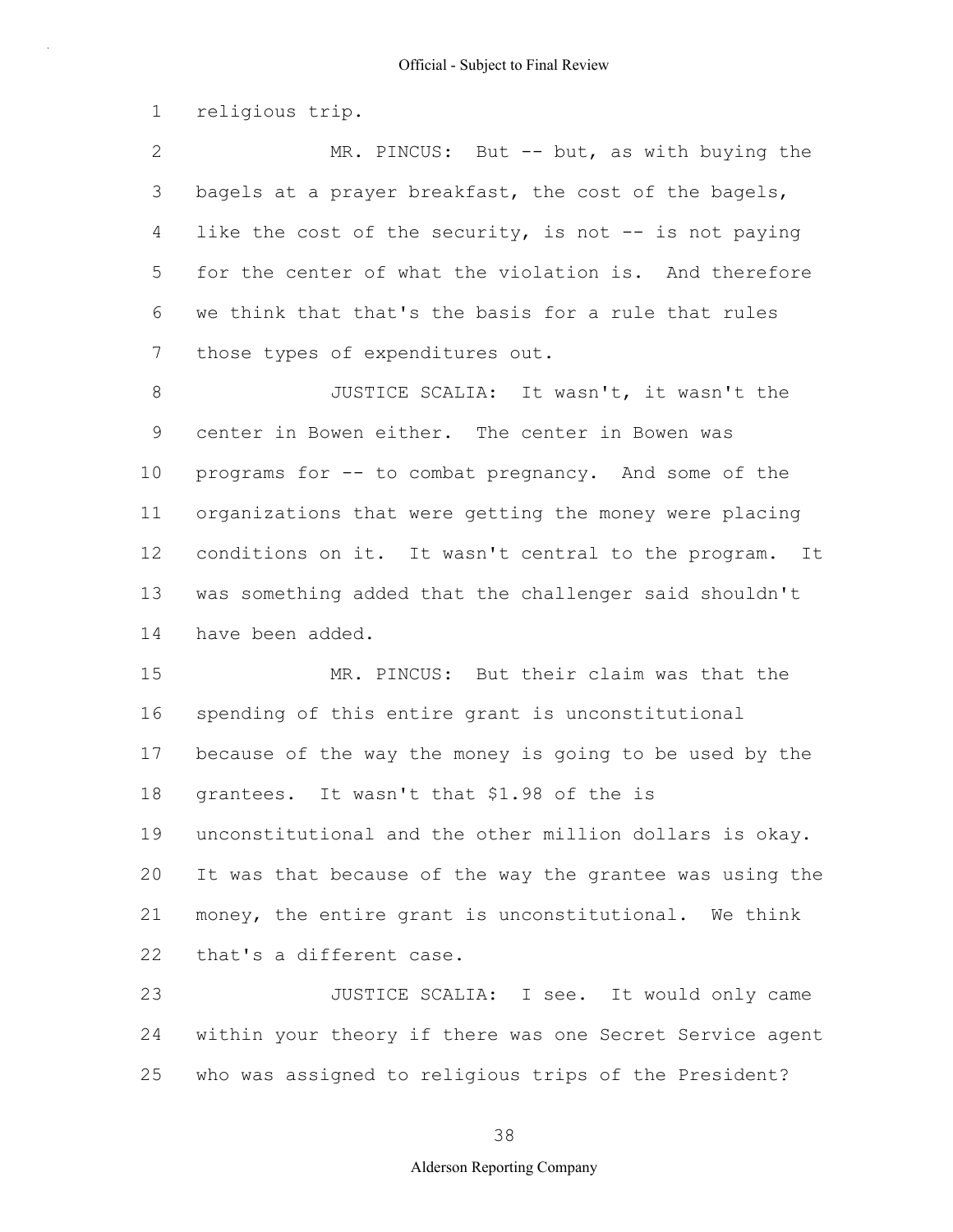1 religious trip.

2 3 4 5 6 7 MR. PINCUS: But -- but, as with buying the bagels at a prayer breakfast, the cost of the bagels, like the cost of the security, is not  $-$  is not paying for the center of what the violation is. And therefore we think that that's the basis for a rule that rules those types of expenditures out.

8 9 10 11 12 13 14 JUSTICE SCALIA: It wasn't, it wasn't the center in Bowen either. The center in Bowen was programs for -- to combat pregnancy. And some of the organizations that were getting the money were placing conditions on it. It wasn't central to the program. It was something added that the challenger said shouldn't have been added.

15 16 17 18 19 20 21 22 MR. PINCUS: But their claim was that the spending of this entire grant is unconstitutional because of the way the money is going to be used by the grantees. It wasn't that \$1.98 of the is unconstitutional and the other million dollars is okay. It was that because of the way the grantee was using the money, the entire grant is unconstitutional. We think that's a different case.

23 24 25 JUSTICE SCALIA: I see. It would only came within your theory if there was one Secret Service agent who was assigned to religious trips of the President?

38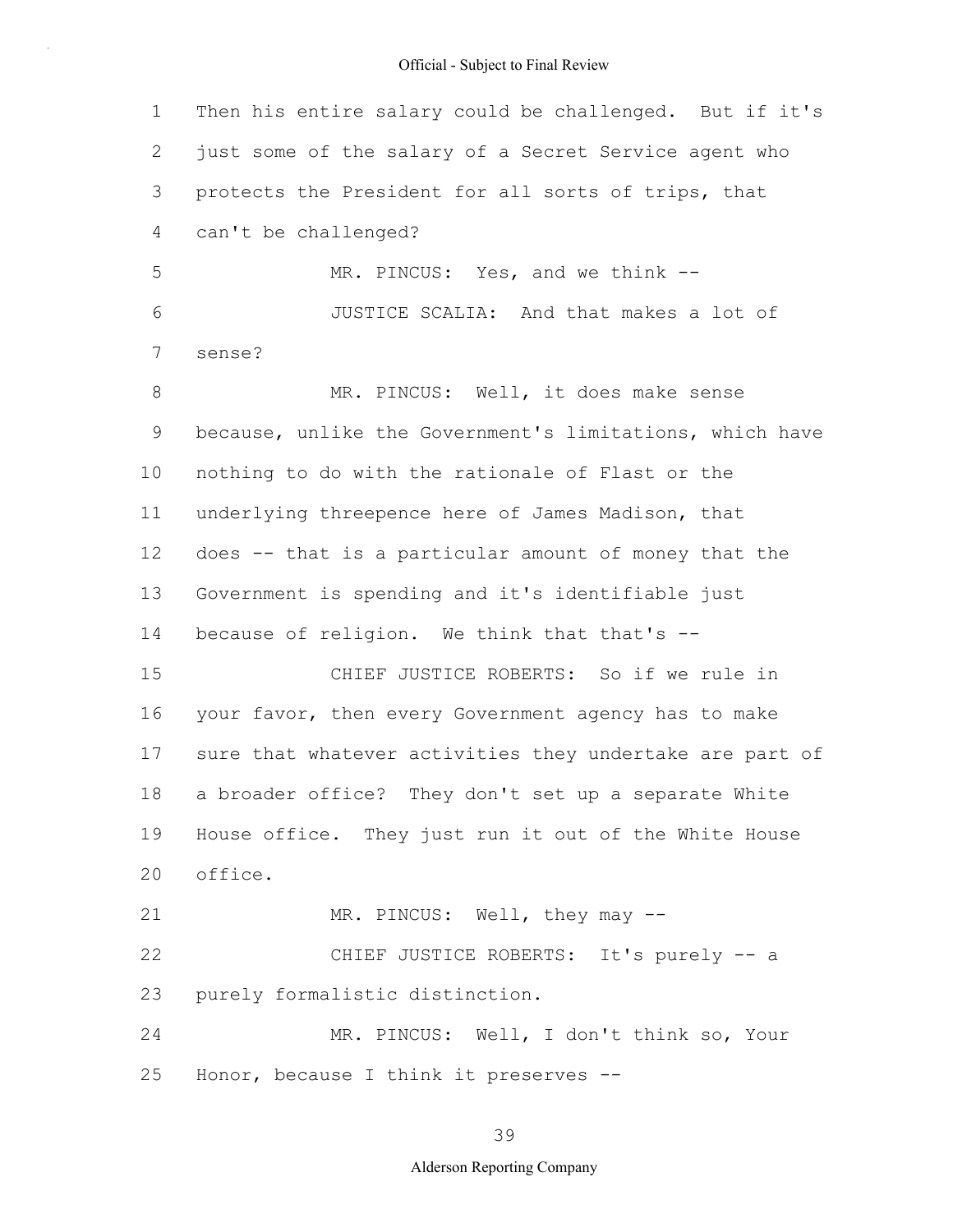1 2 3 4 5 6 7 8 9 10 11 12 13 14 15 16 17 18 19 20 21 22 23 24 25 Then his entire salary could be challenged. But if it's just some of the salary of a Secret Service agent who protects the President for all sorts of trips, that can't be challenged? MR. PINCUS: Yes, and we think --JUSTICE SCALIA: And that makes a lot of sense? MR. PINCUS: Well, it does make sense because, unlike the Government's limitations, which have nothing to do with the rationale of Flast or the underlying threepence here of James Madison, that does -- that is a particular amount of money that the Government is spending and it's identifiable just because of religion. We think that that's -- CHIEF JUSTICE ROBERTS: So if we rule in your favor, then every Government agency has to make sure that whatever activities they undertake are part of a broader office? They don't set up a separate White House office. They just run it out of the White House office. MR. PINCUS: Well, they may -- CHIEF JUSTICE ROBERTS: It's purely -- a purely formalistic distinction. MR. PINCUS: Well, I don't think so, Your Honor, because I think it preserves --

39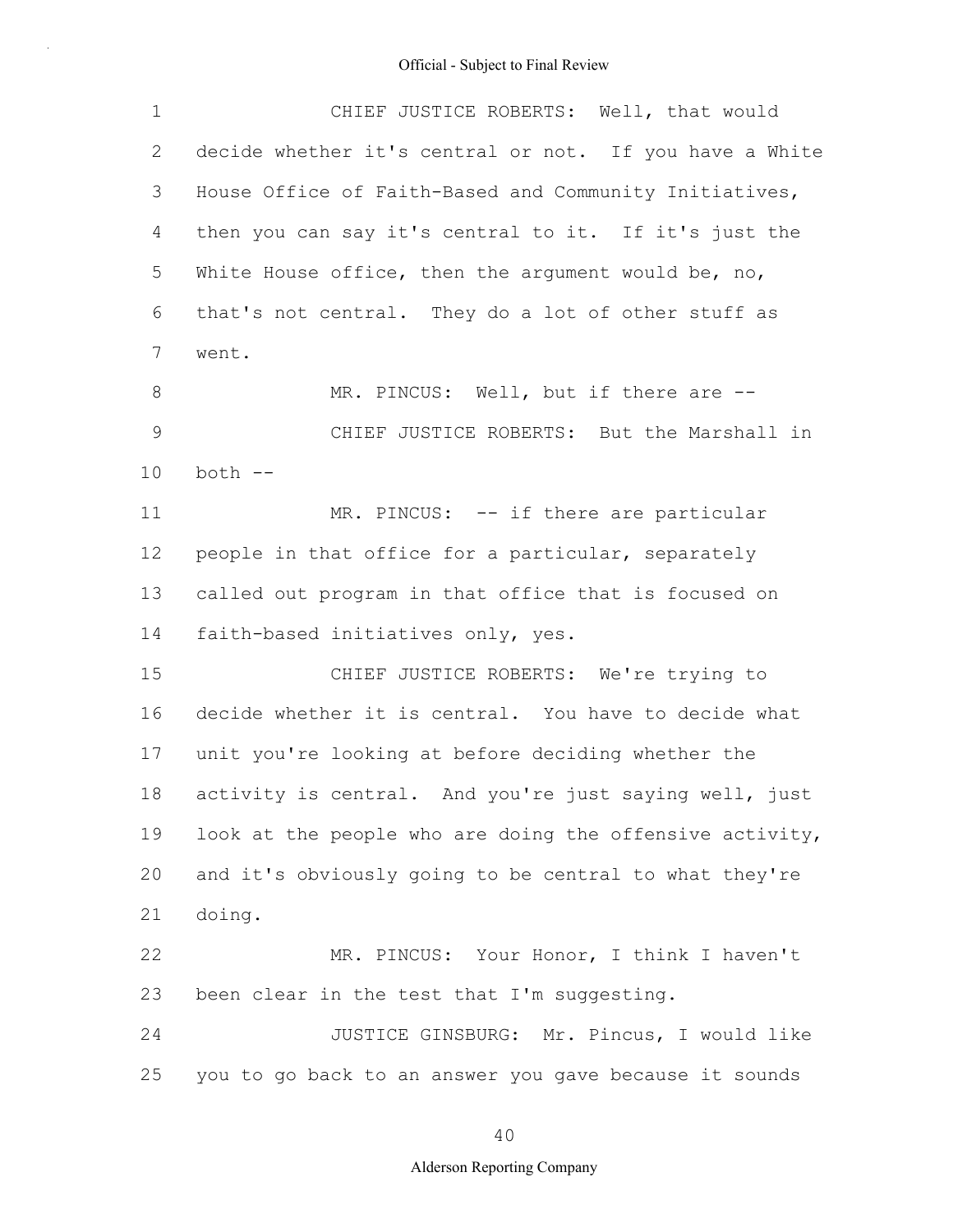| 1           | CHIEF JUSTICE ROBERTS: Well, that would                  |
|-------------|----------------------------------------------------------|
| 2           | decide whether it's central or not. If you have a White  |
| 3           | House Office of Faith-Based and Community Initiatives,   |
| 4           | then you can say it's central to it. If it's just the    |
| 5           | White House office, then the argument would be, no,      |
| 6           | that's not central. They do a lot of other stuff as      |
| 7           | went.                                                    |
| 8           | MR. PINCUS: Well, but if there are --                    |
| $\mathsf 9$ | CHIEF JUSTICE ROBERTS: But the Marshall in               |
| 10          | both --                                                  |
| 11          | MR. PINCUS: -- if there are particular                   |
| 12          | people in that office for a particular, separately       |
| 13          | called out program in that office that is focused on     |
| 14          | faith-based initiatives only, yes.                       |
| 15          | CHIEF JUSTICE ROBERTS: We're trying to                   |
| 16          | decide whether it is central. You have to decide what    |
| 17          | unit you're looking at before deciding whether the       |
| 18          | activity is central. And you're just saying well, just   |
| 19          | look at the people who are doing the offensive activity, |
| 20          | and it's obviously going to be central to what they're   |
| 21          | doing.                                                   |
| 22          | MR. PINCUS: Your Honor, I think I haven't                |
| 23          | been clear in the test that I'm suggesting.              |
| 24          | JUSTICE GINSBURG: Mr. Pincus, I would like               |
| 25          | you to go back to an answer you gave because it sounds   |

40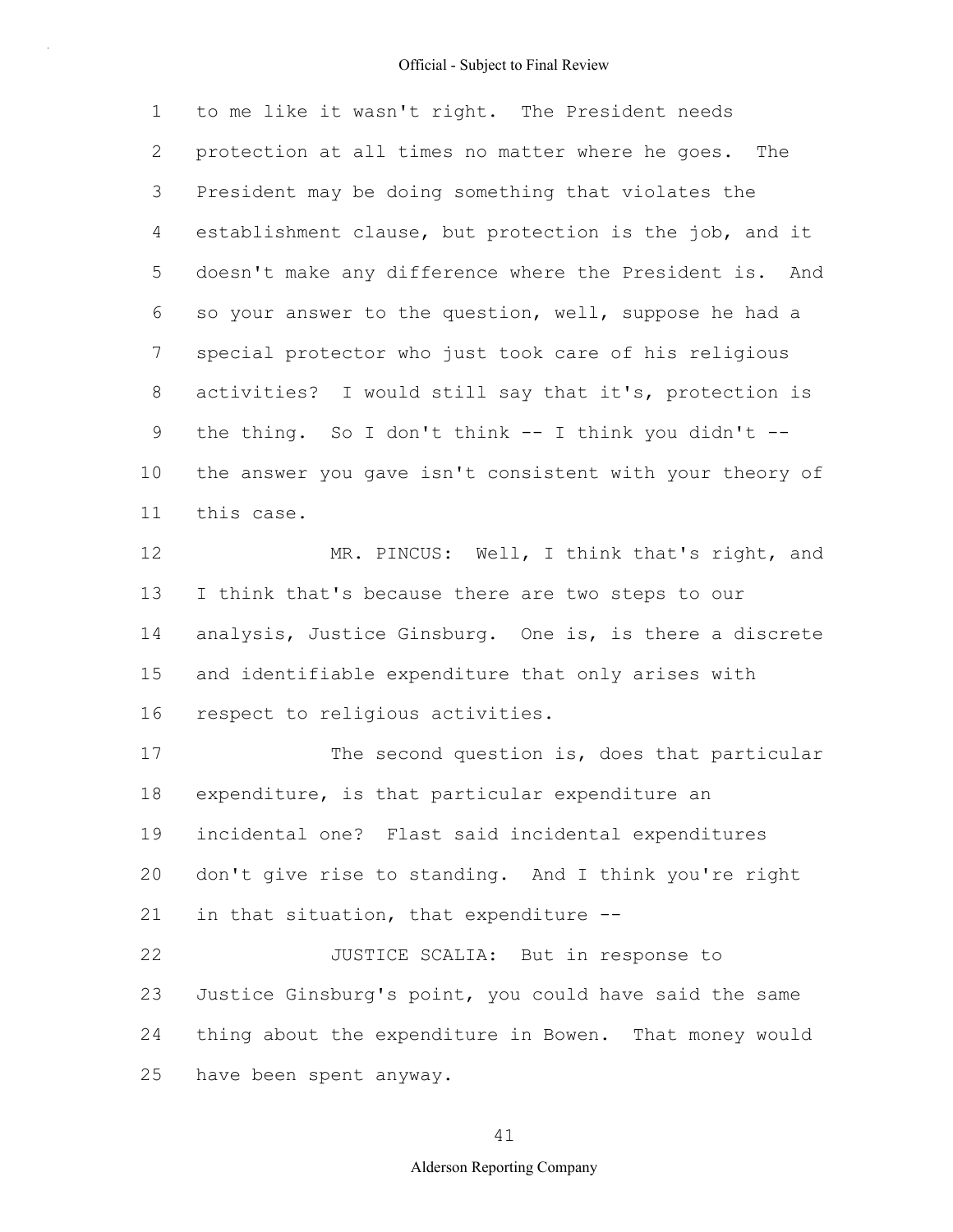1 2 3 4 5 6 7 8 9 10 11 to me like it wasn't right. The President needs protection at all times no matter where he goes. The President may be doing something that violates the establishment clause, but protection is the job, and it doesn't make any difference where the President is. And so your answer to the question, well, suppose he had a special protector who just took care of his religious activities? I would still say that it's, protection is the thing. So I don't think  $--$  I think you didn't  $-$ the answer you gave isn't consistent with your theory of this case.

12 13 14 15 16 MR. PINCUS: Well, I think that's right, and I think that's because there are two steps to our analysis, Justice Ginsburg. One is, is there a discrete and identifiable expenditure that only arises with respect to religious activities.

17 18 19 20 21 22 23 24 25 The second question is, does that particular expenditure, is that particular expenditure an incidental one? Flast said incidental expenditures don't give rise to standing. And I think you're right in that situation, that expenditure -- JUSTICE SCALIA: But in response to Justice Ginsburg's point, you could have said the same thing about the expenditure in Bowen. That money would have been spent anyway.

## 41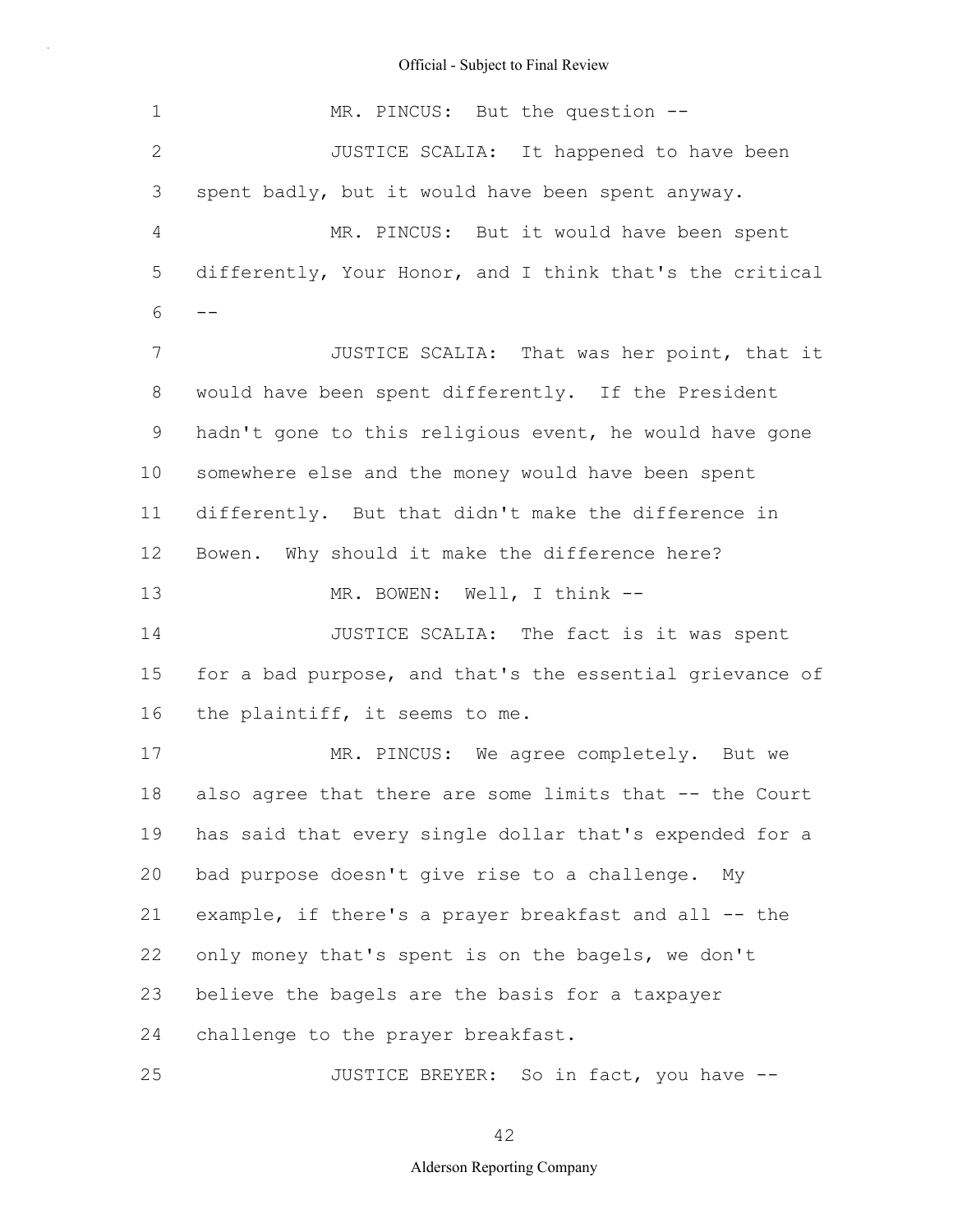| 1              | MR. PINCUS: But the question --                          |
|----------------|----------------------------------------------------------|
| $\mathbf{2}$   | JUSTICE SCALIA: It happened to have been                 |
| 3              | spent badly, but it would have been spent anyway.        |
| $\overline{4}$ | MR. PINCUS: But it would have been spent                 |
| 5              | differently, Your Honor, and I think that's the critical |
| 6              |                                                          |
| 7              | JUSTICE SCALIA: That was her point, that it              |
| $8\,$          | would have been spent differently. If the President      |
| 9              | hadn't gone to this religious event, he would have gone  |
| 10             | somewhere else and the money would have been spent       |
| 11             | differently. But that didn't make the difference in      |
| 12             | Bowen. Why should it make the difference here?           |
| 13             | MR. BOWEN: Well, I think --                              |
| 14             | JUSTICE SCALIA: The fact is it was spent                 |
| 15             | for a bad purpose, and that's the essential grievance of |
| 16             | the plaintiff, it seems to me.                           |
| 17             | MR. PINCUS: We agree completely. But we                  |
| 18             | also agree that there are some limits that -- the Court  |
| 19             | has said that every single dollar that's expended for a  |
| 20             | bad purpose doesn't give rise to a challenge. My         |
| 21             | example, if there's a prayer breakfast and all -- the    |
| 22             | only money that's spent is on the bagels, we don't       |
| 23             | believe the bagels are the basis for a taxpayer          |
| 24             | challenge to the prayer breakfast.                       |
| 25             | JUSTICE BREYER: So in fact, you have --                  |

42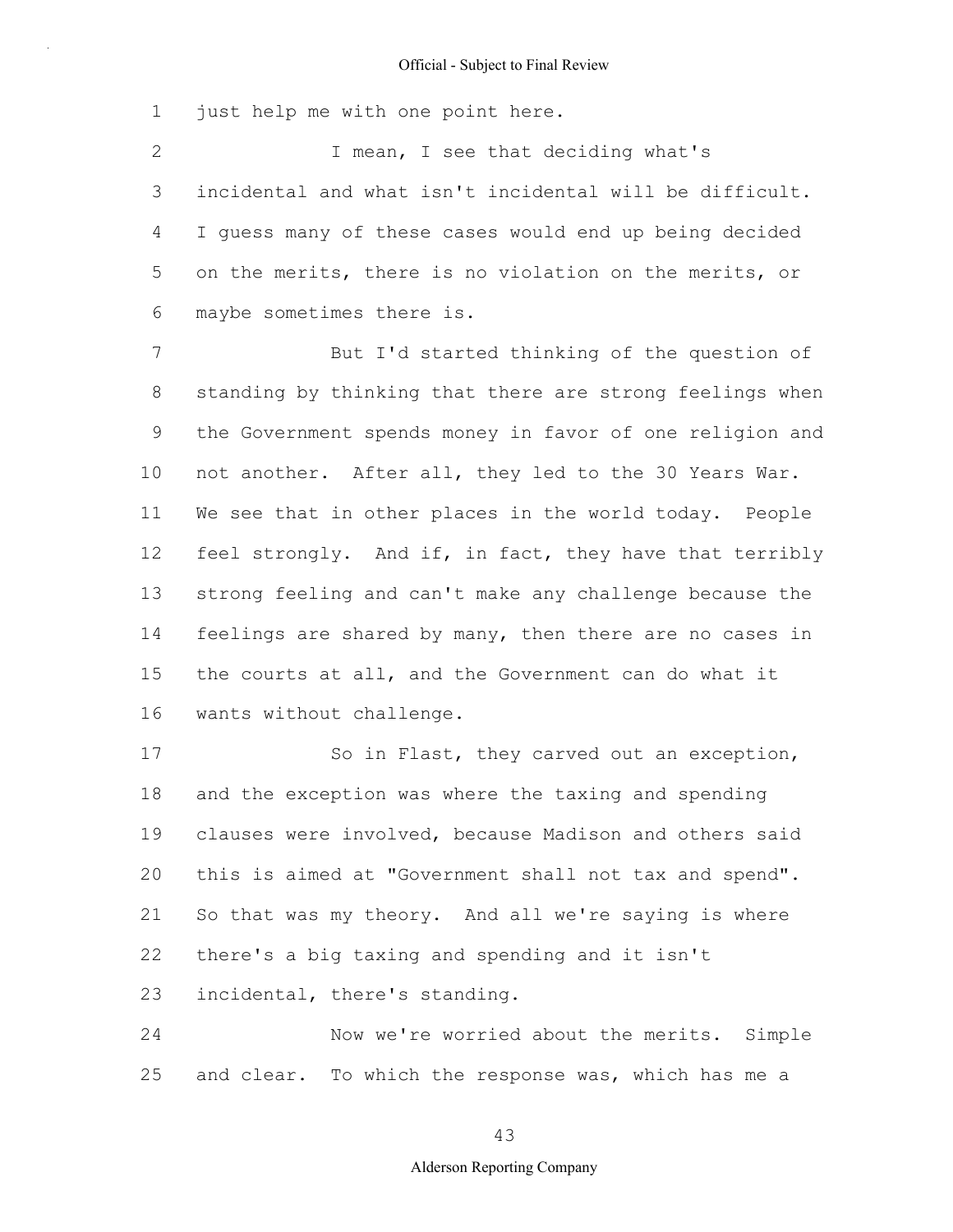1 just help me with one point here.

2 3 4 5 6 I mean, I see that deciding what's incidental and what isn't incidental will be difficult. I guess many of these cases would end up being decided on the merits, there is no violation on the merits, or maybe sometimes there is.

7 8 9 10 11 12 13 14 15 16 But I'd started thinking of the question of standing by thinking that there are strong feelings when the Government spends money in favor of one religion and not another. After all, they led to the 30 Years War. We see that in other places in the world today. People feel strongly. And if, in fact, they have that terribly strong feeling and can't make any challenge because the feelings are shared by many, then there are no cases in the courts at all, and the Government can do what it wants without challenge.

17 18 19 20 21 22 23 So in Flast, they carved out an exception, and the exception was where the taxing and spending clauses were involved, because Madison and others said this is aimed at "Government shall not tax and spend". So that was my theory. And all we're saying is where there's a big taxing and spending and it isn't incidental, there's standing.

24 25 Now we're worried about the merits. Simple and clear. To which the response was, which has me a

#### 43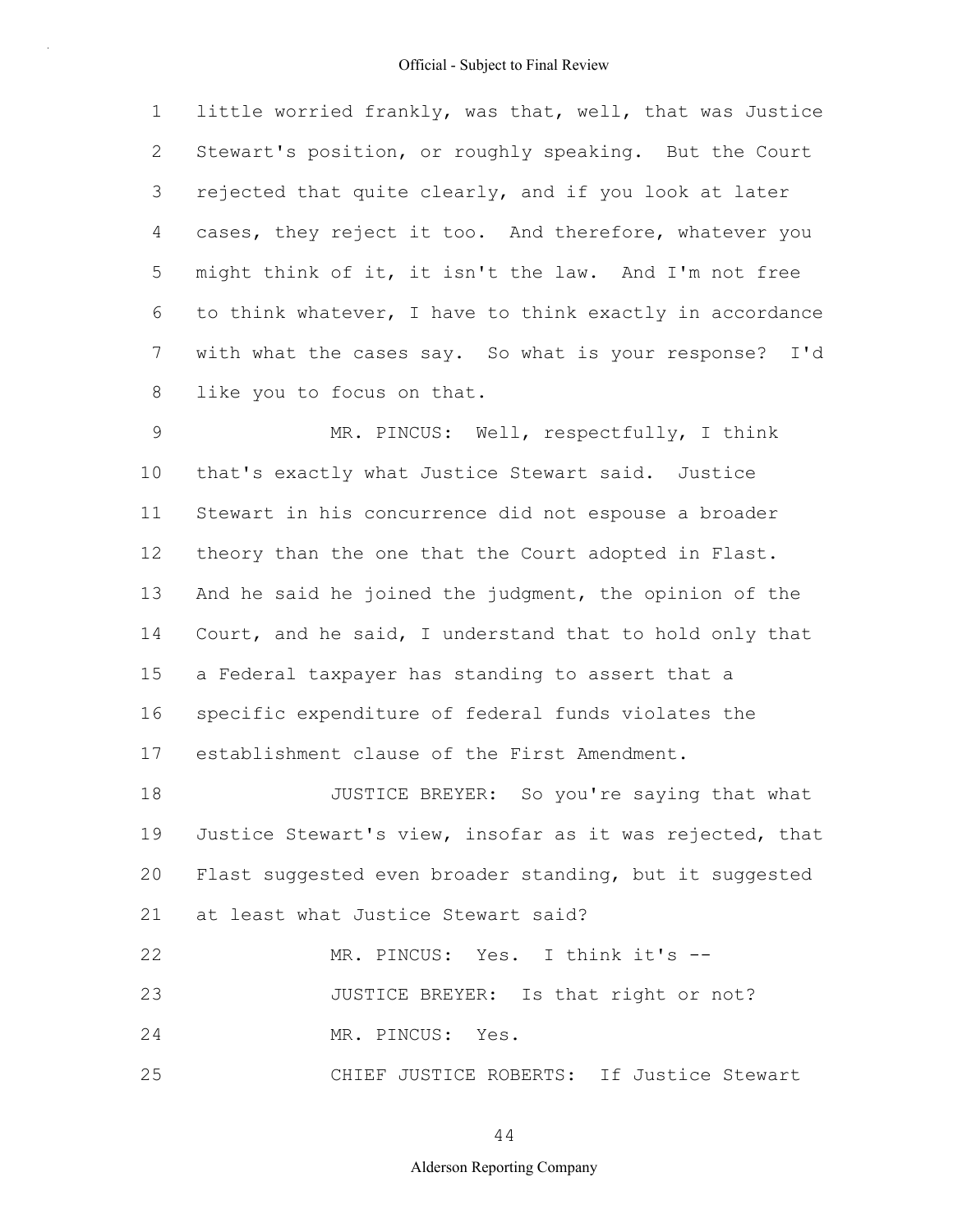1 2 3 4 5 6 7 8 little worried frankly, was that, well, that was Justice Stewart's position, or roughly speaking. But the Court rejected that quite clearly, and if you look at later cases, they reject it too. And therefore, whatever you might think of it, it isn't the law. And I'm not free to think whatever, I have to think exactly in accordance with what the cases say. So what is your response? I'd like you to focus on that.

9 10 11 12 13 14 15 16 17 MR. PINCUS: Well, respectfully, I think that's exactly what Justice Stewart said. Justice Stewart in his concurrence did not espouse a broader theory than the one that the Court adopted in Flast. And he said he joined the judgment, the opinion of the Court, and he said, I understand that to hold only that a Federal taxpayer has standing to assert that a specific expenditure of federal funds violates the establishment clause of the First Amendment.

18 19 20 21 JUSTICE BREYER: So you're saying that what Justice Stewart's view, insofar as it was rejected, that Flast suggested even broader standing, but it suggested at least what Justice Stewart said?

```
22
23
24
25
                  MR. PINCUS: Yes. I think it's --
                 JUSTICE BREYER: Is that right or not?
                  MR. PINCUS: Yes.
                  CHIEF JUSTICE ROBERTS: If Justice Stewart
```
44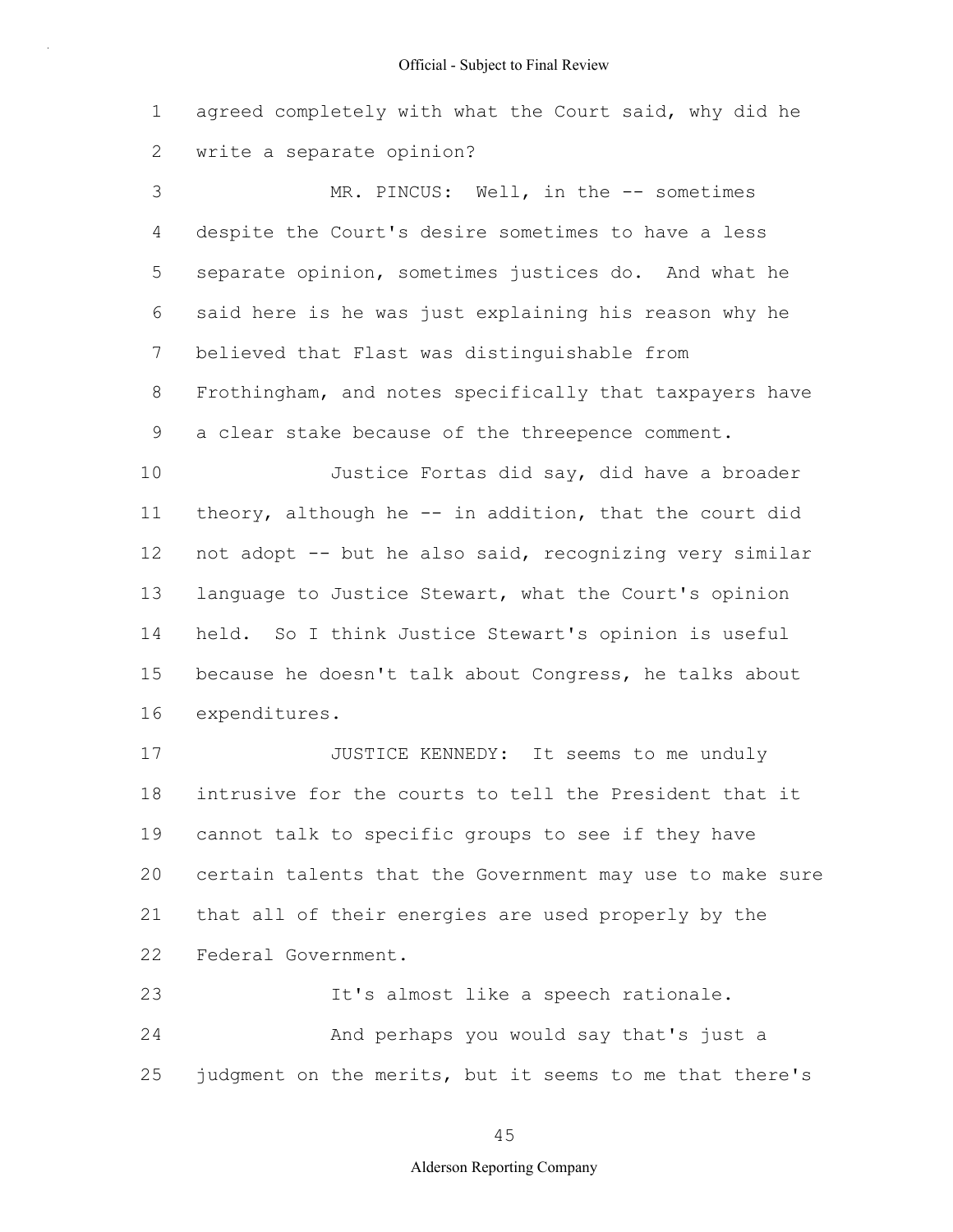1 2 agreed completely with what the Court said, why did he write a separate opinion?

3 4 5 6 7 8 9 10 MR. PINCUS: Well, in the -- sometimes despite the Court's desire sometimes to have a less separate opinion, sometimes justices do. And what he said here is he was just explaining his reason why he believed that Flast was distinguishable from Frothingham, and notes specifically that taxpayers have a clear stake because of the threepence comment. Justice Fortas did say, did have a broader

11 12 13 14 15 16 theory, although he -- in addition, that the court did not adopt -- but he also said, recognizing very similar language to Justice Stewart, what the Court's opinion held. So I think Justice Stewart's opinion is useful because he doesn't talk about Congress, he talks about expenditures.

17 18 19 20 21 22 JUSTICE KENNEDY: It seems to me unduly intrusive for the courts to tell the President that it cannot talk to specific groups to see if they have certain talents that the Government may use to make sure that all of their energies are used properly by the Federal Government.

23 24 25 It's almost like a speech rationale. And perhaps you would say that's just a judgment on the merits, but it seems to me that there's

#### 45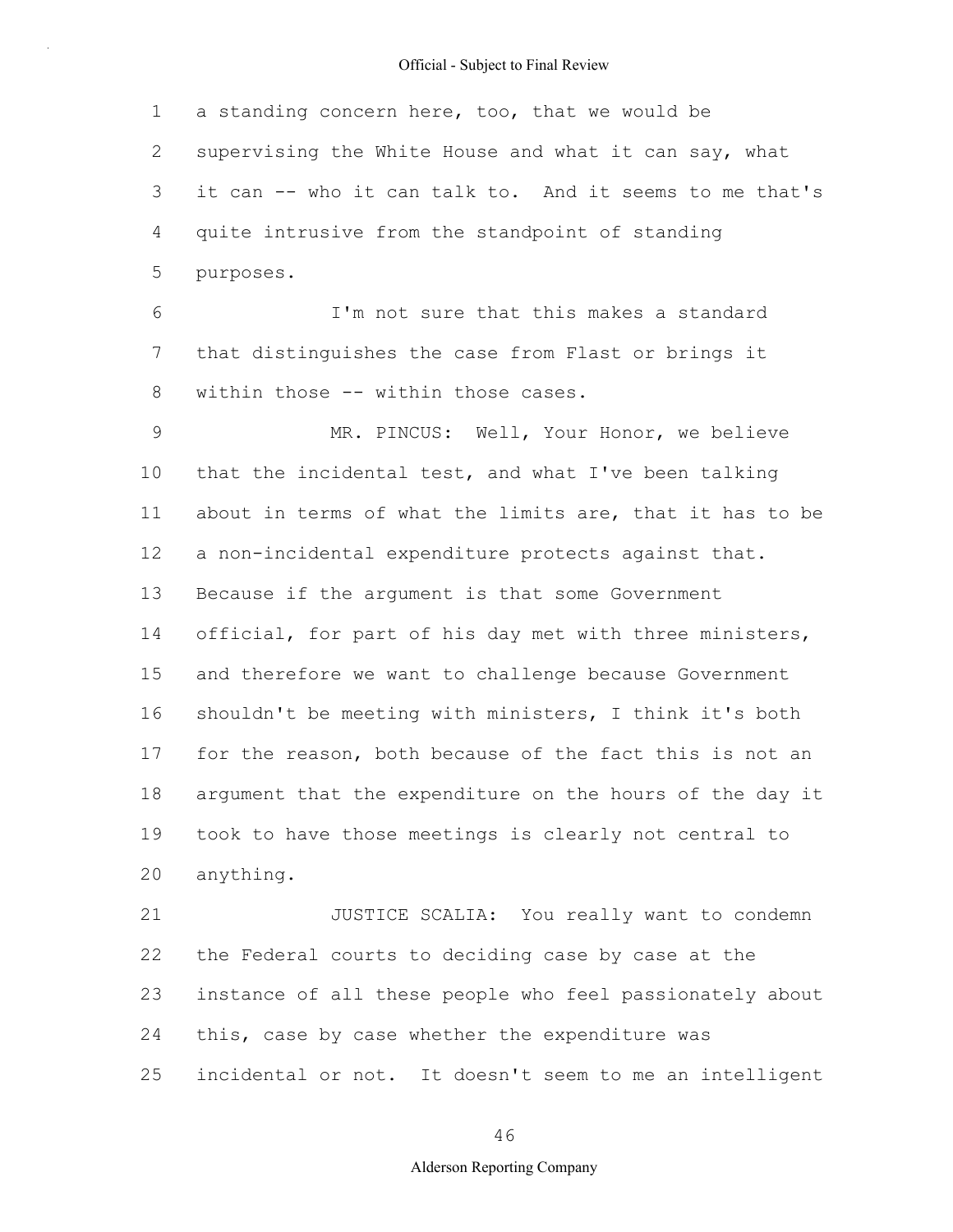1 2 3 4 5 a standing concern here, too, that we would be supervising the White House and what it can say, what it can -- who it can talk to. And it seems to me that's quite intrusive from the standpoint of standing purposes.

6 7 8 I'm not sure that this makes a standard that distinguishes the case from Flast or brings it within those -- within those cases.

9 10 11 12 13 14 15 16 17 18 19 20 MR. PINCUS: Well, Your Honor, we believe that the incidental test, and what I've been talking about in terms of what the limits are, that it has to be a non-incidental expenditure protects against that. Because if the argument is that some Government official, for part of his day met with three ministers, and therefore we want to challenge because Government shouldn't be meeting with ministers, I think it's both for the reason, both because of the fact this is not an argument that the expenditure on the hours of the day it took to have those meetings is clearly not central to anything.

21 22 23 24 25 JUSTICE SCALIA: You really want to condemn the Federal courts to deciding case by case at the instance of all these people who feel passionately about this, case by case whether the expenditure was incidental or not. It doesn't seem to me an intelligent

46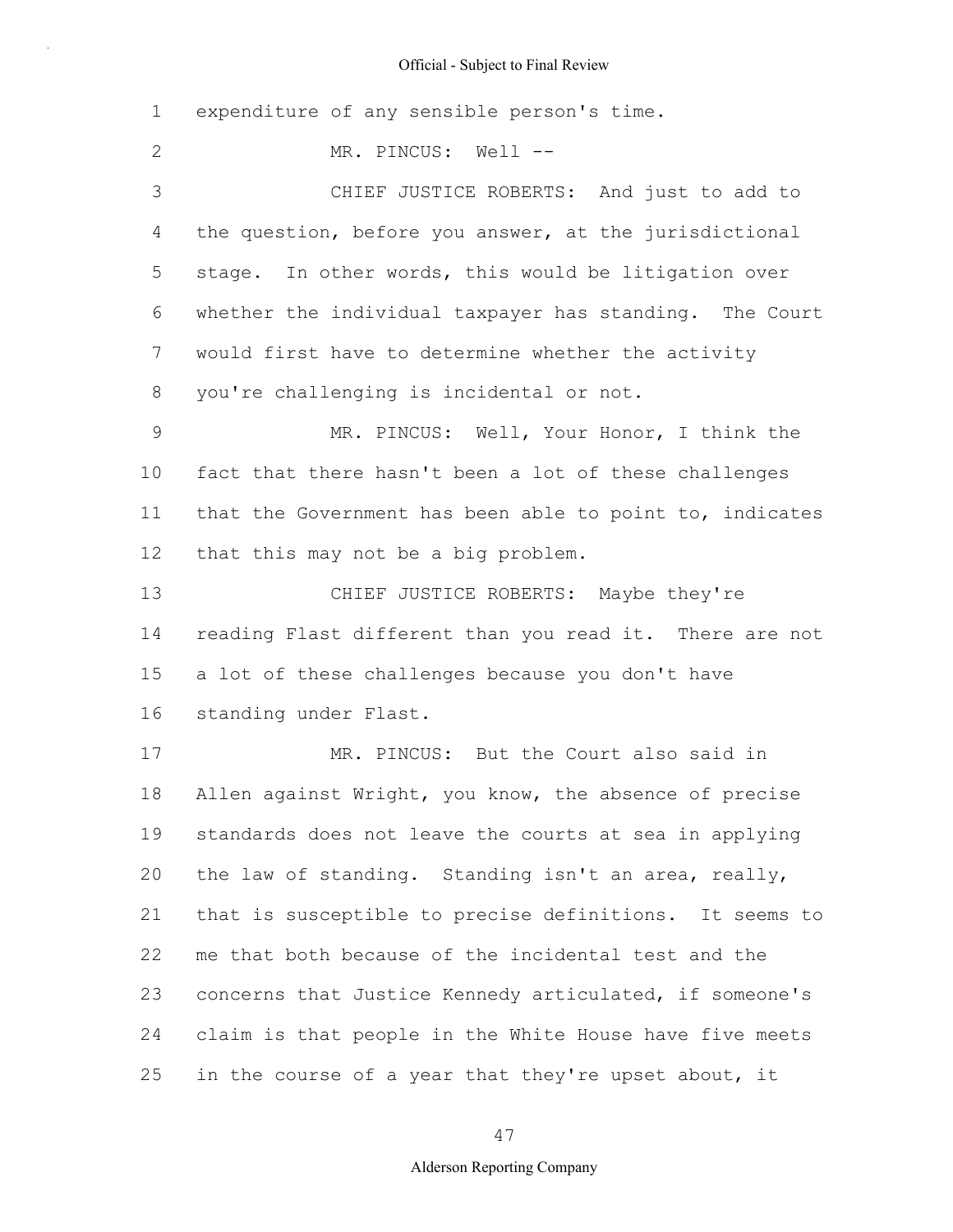1 2 3 4 5 6 7 8 9 10 11 12 13 14 15 16 17 18 19 20 21 22 23 24 25 expenditure of any sensible person's time. MR. PINCUS: Well --CHIEF JUSTICE ROBERTS: And just to add to the question, before you answer, at the jurisdictional stage. In other words, this would be litigation over whether the individual taxpayer has standing. The Court would first have to determine whether the activity you're challenging is incidental or not. MR. PINCUS: Well, Your Honor, I think the fact that there hasn't been a lot of these challenges that the Government has been able to point to, indicates that this may not be a big problem. CHIEF JUSTICE ROBERTS: Maybe they're reading Flast different than you read it. There are not a lot of these challenges because you don't have standing under Flast. MR. PINCUS: But the Court also said in Allen against Wright, you know, the absence of precise standards does not leave the courts at sea in applying the law of standing. Standing isn't an area, really, that is susceptible to precise definitions. It seems to me that both because of the incidental test and the concerns that Justice Kennedy articulated, if someone's claim is that people in the White House have five meets in the course of a year that they're upset about, it

47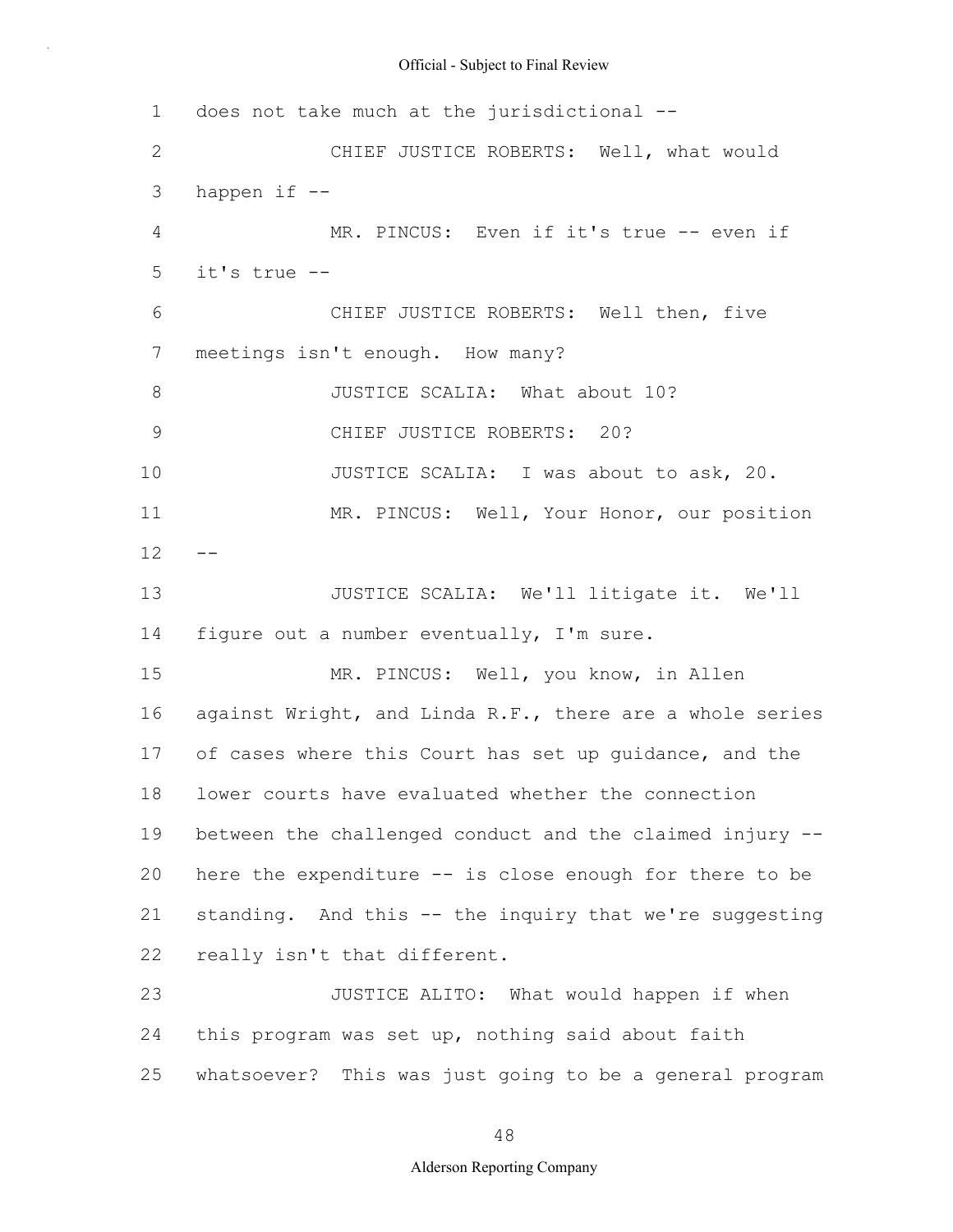1 2 3 4 5 6 7 8 9 10 11  $12 - -$ 13 14 15 16 17 18 19 20 21 22 23 24 25 does not take much at the jurisdictional -- CHIEF JUSTICE ROBERTS: Well, what would happen if -- MR. PINCUS: Even if it's true -- even if it's true -- CHIEF JUSTICE ROBERTS: Well then, five meetings isn't enough. How many? JUSTICE SCALIA: What about 10? CHIEF JUSTICE ROBERTS: 20? JUSTICE SCALIA: I was about to ask, 20. MR. PINCUS: Well, Your Honor, our position JUSTICE SCALIA: We'll litigate it. We'll figure out a number eventually, I'm sure. MR. PINCUS: Well, you know, in Allen against Wright, and Linda R.F., there are a whole series of cases where this Court has set up guidance, and the lower courts have evaluated whether the connection between the challenged conduct and the claimed injury - here the expenditure -- is close enough for there to be standing. And this -- the inquiry that we're suggesting really isn't that different. JUSTICE ALITO: What would happen if when this program was set up, nothing said about faith whatsoever? This was just going to be a general program

48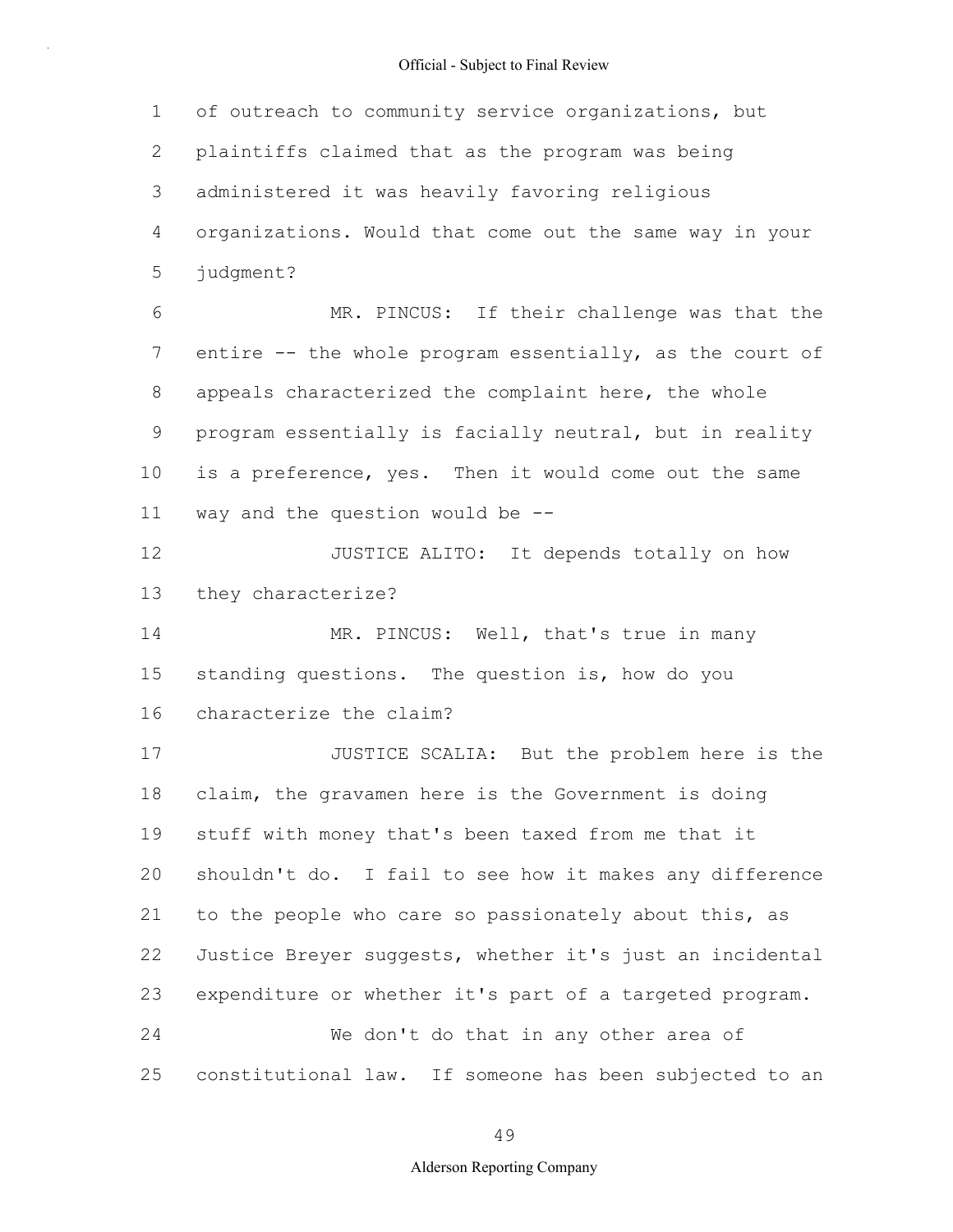1 2 3 4 5 6 7 8 9 10 11 12 13 14 15 16 17 18 19 20 21 22 23 24 25 of outreach to community service organizations, but plaintiffs claimed that as the program was being administered it was heavily favoring religious organizations. Would that come out the same way in your judgment? MR. PINCUS: If their challenge was that the entire -- the whole program essentially, as the court of appeals characterized the complaint here, the whole program essentially is facially neutral, but in reality is a preference, yes. Then it would come out the same way and the question would be -- JUSTICE ALITO: It depends totally on how they characterize? MR. PINCUS: Well, that's true in many standing questions. The question is, how do you characterize the claim? JUSTICE SCALIA: But the problem here is the claim, the gravamen here is the Government is doing stuff with money that's been taxed from me that it shouldn't do. I fail to see how it makes any difference to the people who care so passionately about this, as Justice Breyer suggests, whether it's just an incidental expenditure or whether it's part of a targeted program. We don't do that in any other area of constitutional law. If someone has been subjected to an

49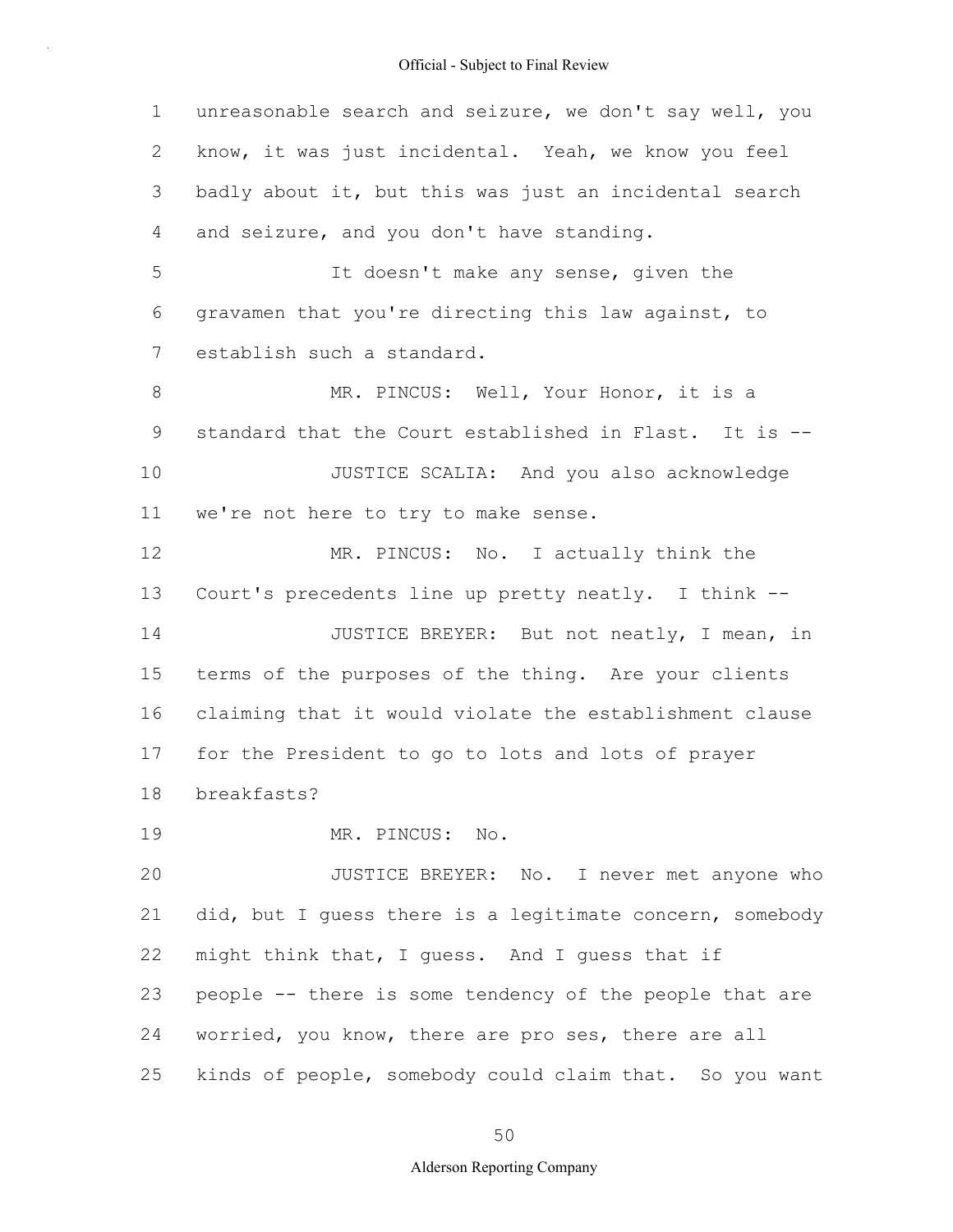1 2 3 4 5 6 7 8 9 10 11 12 13 14 15 16 17 18 19 20 21 22 23 24 25 unreasonable search and seizure, we don't say well, you know, it was just incidental. Yeah, we know you feel badly about it, but this was just an incidental search and seizure, and you don't have standing. It doesn't make any sense, given the gravamen that you're directing this law against, to establish such a standard. MR. PINCUS: Well, Your Honor, it is a standard that the Court established in Flast. It is -- JUSTICE SCALIA: And you also acknowledge we're not here to try to make sense. MR. PINCUS: No. I actually think the Court's precedents line up pretty neatly. I think -- JUSTICE BREYER: But not neatly, I mean, in terms of the purposes of the thing. Are your clients claiming that it would violate the establishment clause for the President to go to lots and lots of prayer breakfasts? MR. PINCUS: No. JUSTICE BREYER: No. I never met anyone who did, but I guess there is a legitimate concern, somebody might think that, I guess. And I guess that if people -- there is some tendency of the people that are worried, you know, there are pro ses, there are all kinds of people, somebody could claim that. So you want

#### 50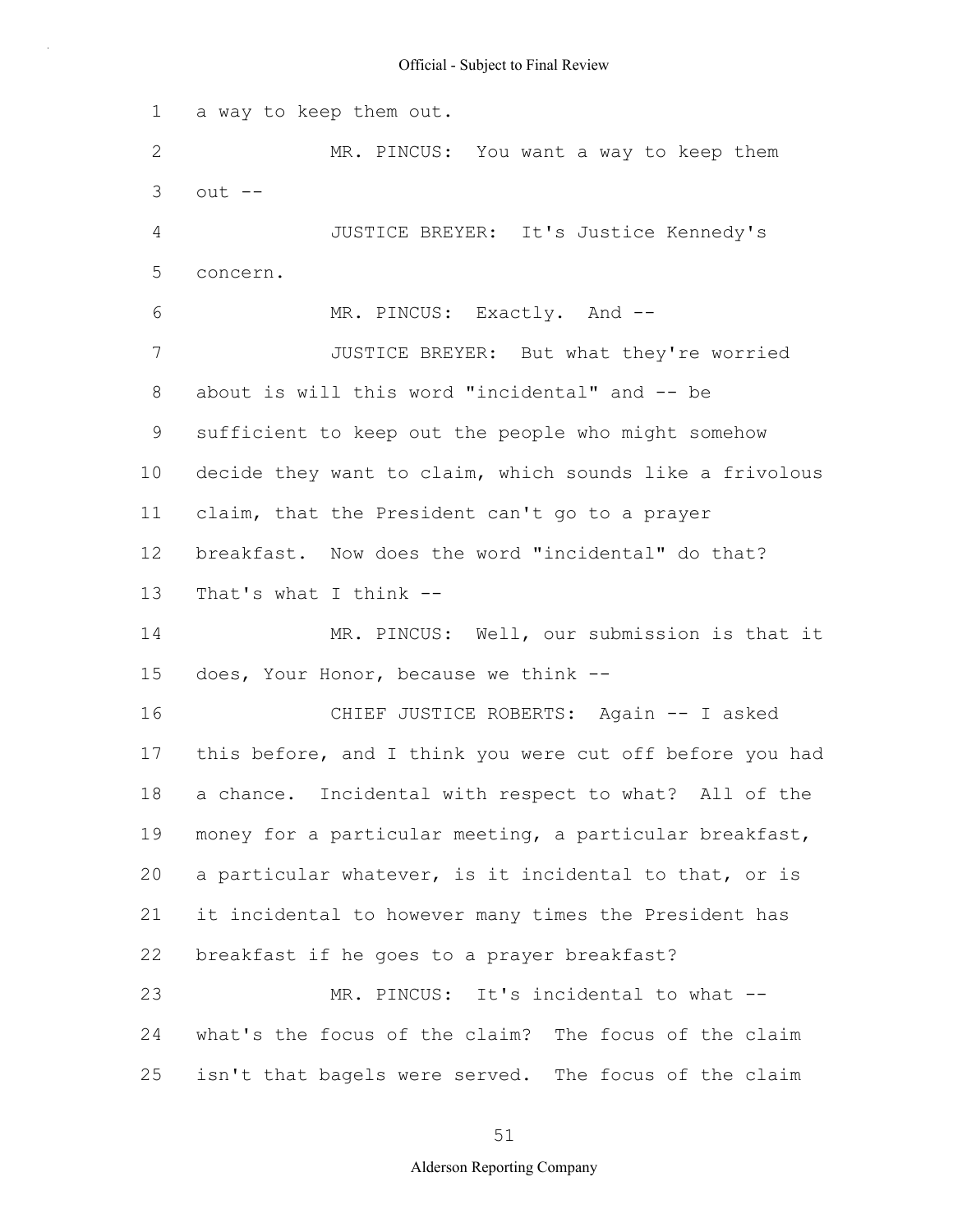1 2 3 4 5 6 7 8 9 10 11 12 13 14 15 16 17 18 19 20 21 22 23 24 25 a way to keep them out. MR. PINCUS: You want a way to keep them  $out$   $--$ JUSTICE BREYER: It's Justice Kennedy's concern. MR. PINCUS: Exactly. And --JUSTICE BREYER: But what they're worried about is will this word "incidental" and -- be sufficient to keep out the people who might somehow decide they want to claim, which sounds like a frivolous claim, that the President can't go to a prayer breakfast. Now does the word "incidental" do that? That's what I think  $-$ MR. PINCUS: Well, our submission is that it does, Your Honor, because we think -- CHIEF JUSTICE ROBERTS: Again -- I asked this before, and I think you were cut off before you had a chance. Incidental with respect to what? All of the money for a particular meeting, a particular breakfast, a particular whatever, is it incidental to that, or is it incidental to however many times the President has breakfast if he goes to a prayer breakfast? MR. PINCUS: It's incidental to what -what's the focus of the claim? The focus of the claim isn't that bagels were served. The focus of the claim

51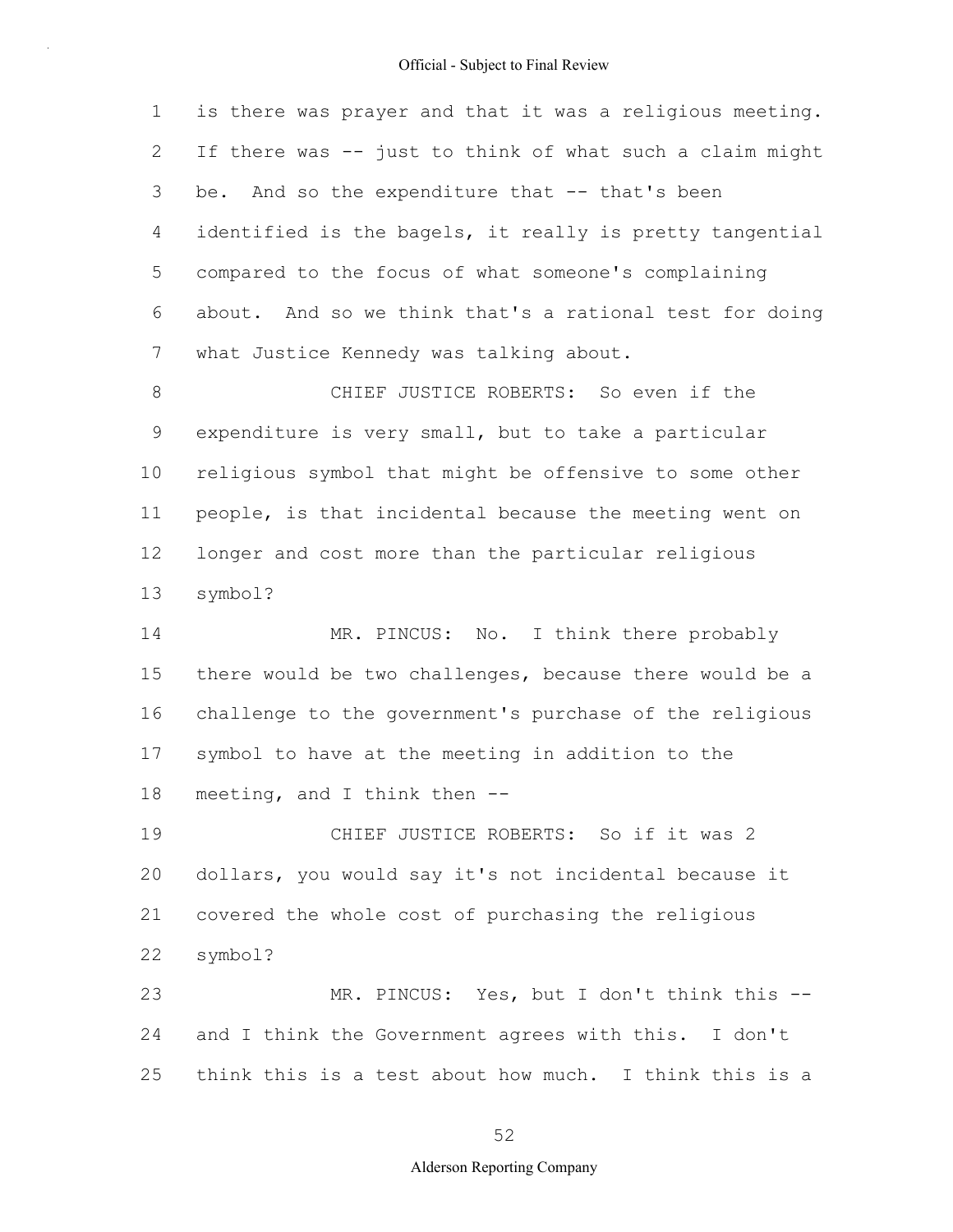1 2 3 4 5 6 7 8 9 10 11 12 13 14 15 16 17 18 19 20 21 22 23 24 is there was prayer and that it was a religious meeting. If there was -- just to think of what such a claim might be. And so the expenditure that -- that's been identified is the bagels, it really is pretty tangential compared to the focus of what someone's complaining about. And so we think that's a rational test for doing what Justice Kennedy was talking about. CHIEF JUSTICE ROBERTS: So even if the expenditure is very small, but to take a particular religious symbol that might be offensive to some other people, is that incidental because the meeting went on longer and cost more than the particular religious symbol? MR. PINCUS: No. I think there probably there would be two challenges, because there would be a challenge to the government's purchase of the religious symbol to have at the meeting in addition to the meeting, and I think then -- CHIEF JUSTICE ROBERTS: So if it was 2 dollars, you would say it's not incidental because it covered the whole cost of purchasing the religious symbol? MR. PINCUS: Yes, but I don't think this -and I think the Government agrees with this. I don't

52

think this is a test about how much. I think this is a

25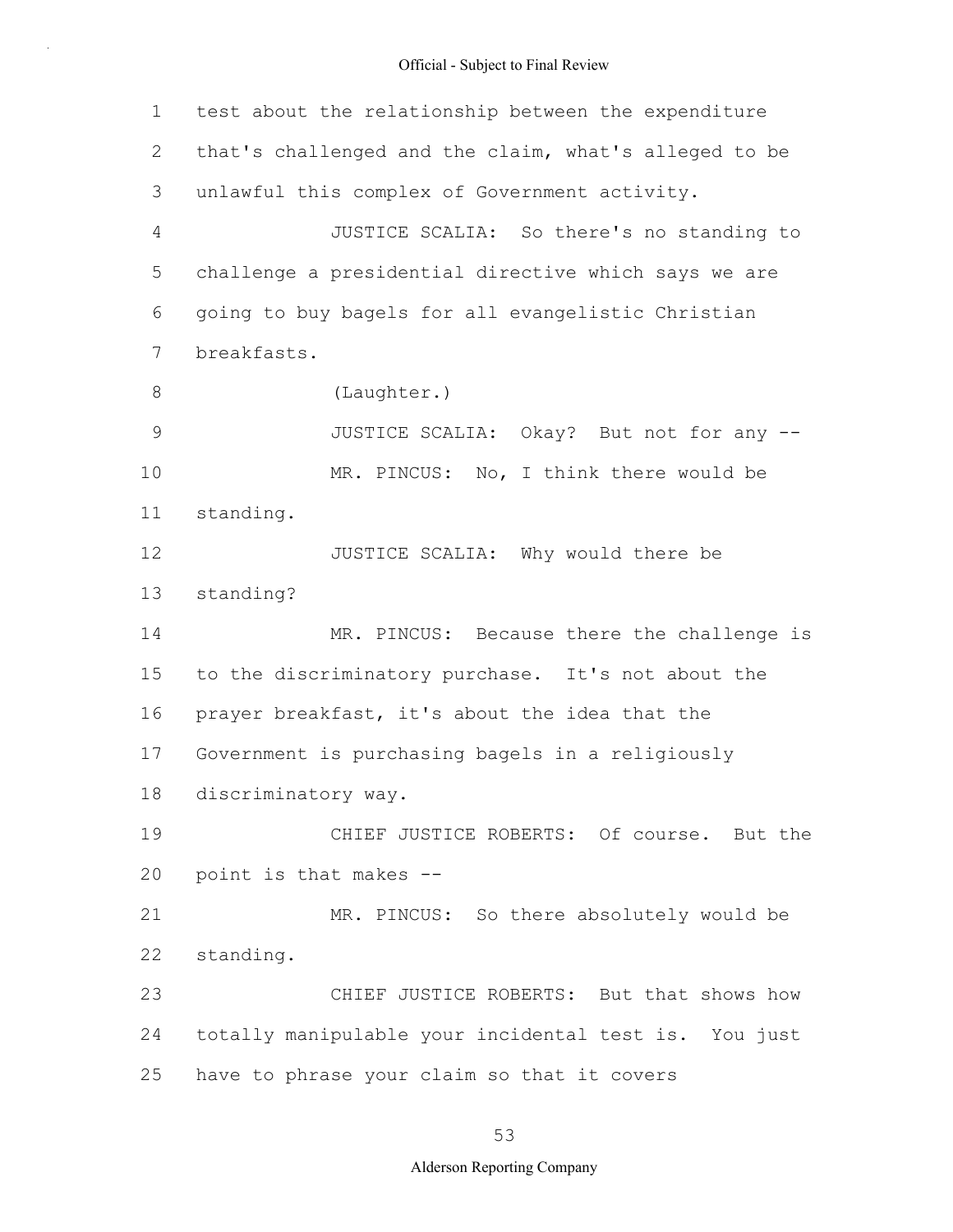1 2 3 4 5 6 7 8 9 10 11 12 13 14 15 16 17 18 19 20 21 22 23 24 25 test about the relationship between the expenditure that's challenged and the claim, what's alleged to be unlawful this complex of Government activity. JUSTICE SCALIA: So there's no standing to challenge a presidential directive which says we are going to buy bagels for all evangelistic Christian breakfasts. (Laughter.) JUSTICE SCALIA: Okay? But not for any -- MR. PINCUS: No, I think there would be standing. JUSTICE SCALIA: Why would there be standing? MR. PINCUS: Because there the challenge is to the discriminatory purchase. It's not about the prayer breakfast, it's about the idea that the Government is purchasing bagels in a religiously discriminatory way. CHIEF JUSTICE ROBERTS: Of course. But the point is that makes -- MR. PINCUS: So there absolutely would be standing. CHIEF JUSTICE ROBERTS: But that shows how totally manipulable your incidental test is. You just have to phrase your claim so that it covers

#### 53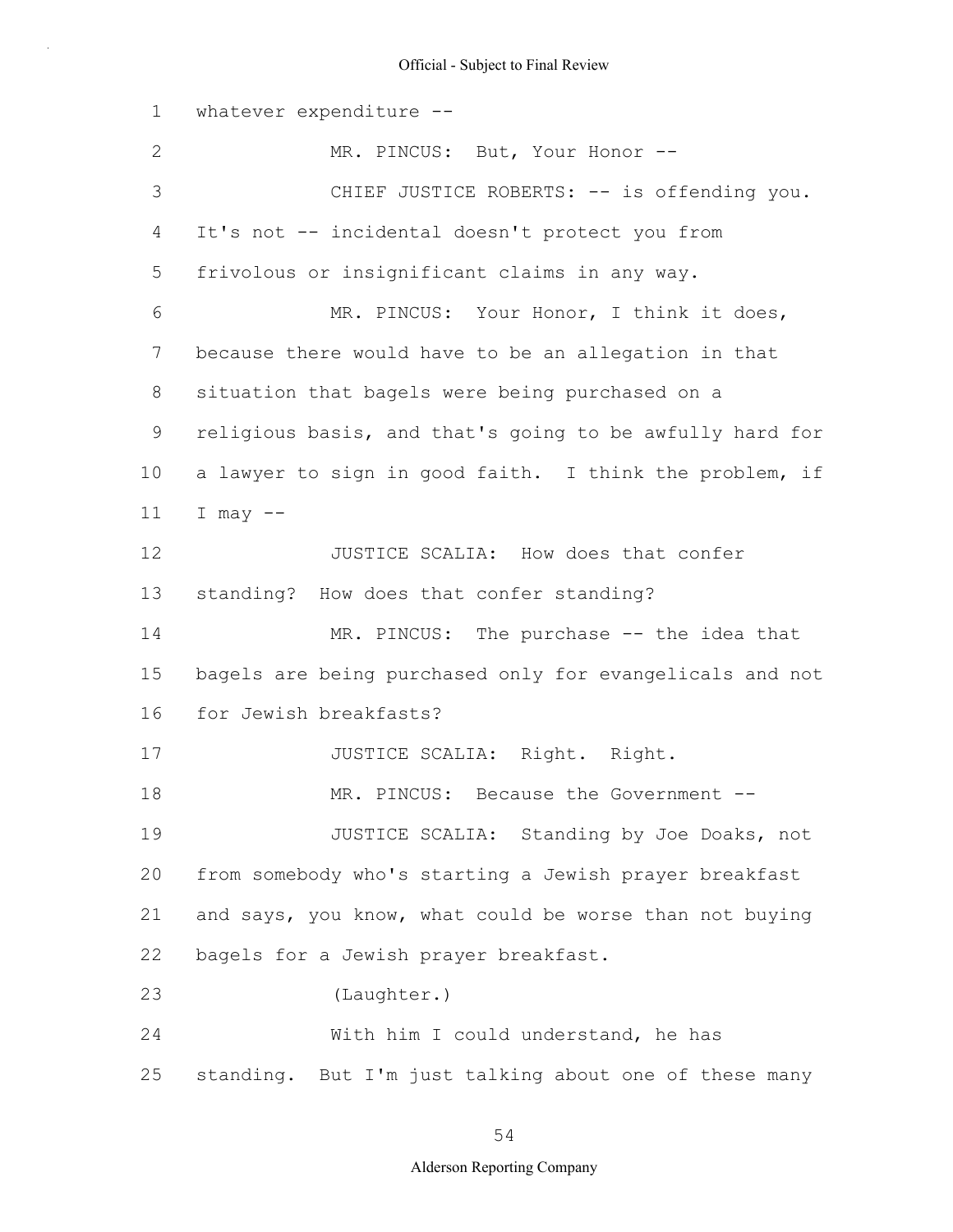1 2 3 4 5 6 7 8 9 10 11 12 13 14 15 16 17 18 19 20 21 22 23 24 25 whatever expenditure -- MR. PINCUS: But, Your Honor --CHIEF JUSTICE ROBERTS: -- is offending you. It's not -- incidental doesn't protect you from frivolous or insignificant claims in any way. MR. PINCUS: Your Honor, I think it does, because there would have to be an allegation in that situation that bagels were being purchased on a religious basis, and that's going to be awfully hard for a lawyer to sign in good faith. I think the problem, if I may  $--$ JUSTICE SCALIA: How does that confer standing? How does that confer standing? MR. PINCUS: The purchase -- the idea that bagels are being purchased only for evangelicals and not for Jewish breakfasts? JUSTICE SCALIA: Right. Right. MR. PINCUS: Because the Government --JUSTICE SCALIA: Standing by Joe Doaks, not from somebody who's starting a Jewish prayer breakfast and says, you know, what could be worse than not buying bagels for a Jewish prayer breakfast. (Laughter.) With him I could understand, he has standing. But I'm just talking about one of these many

54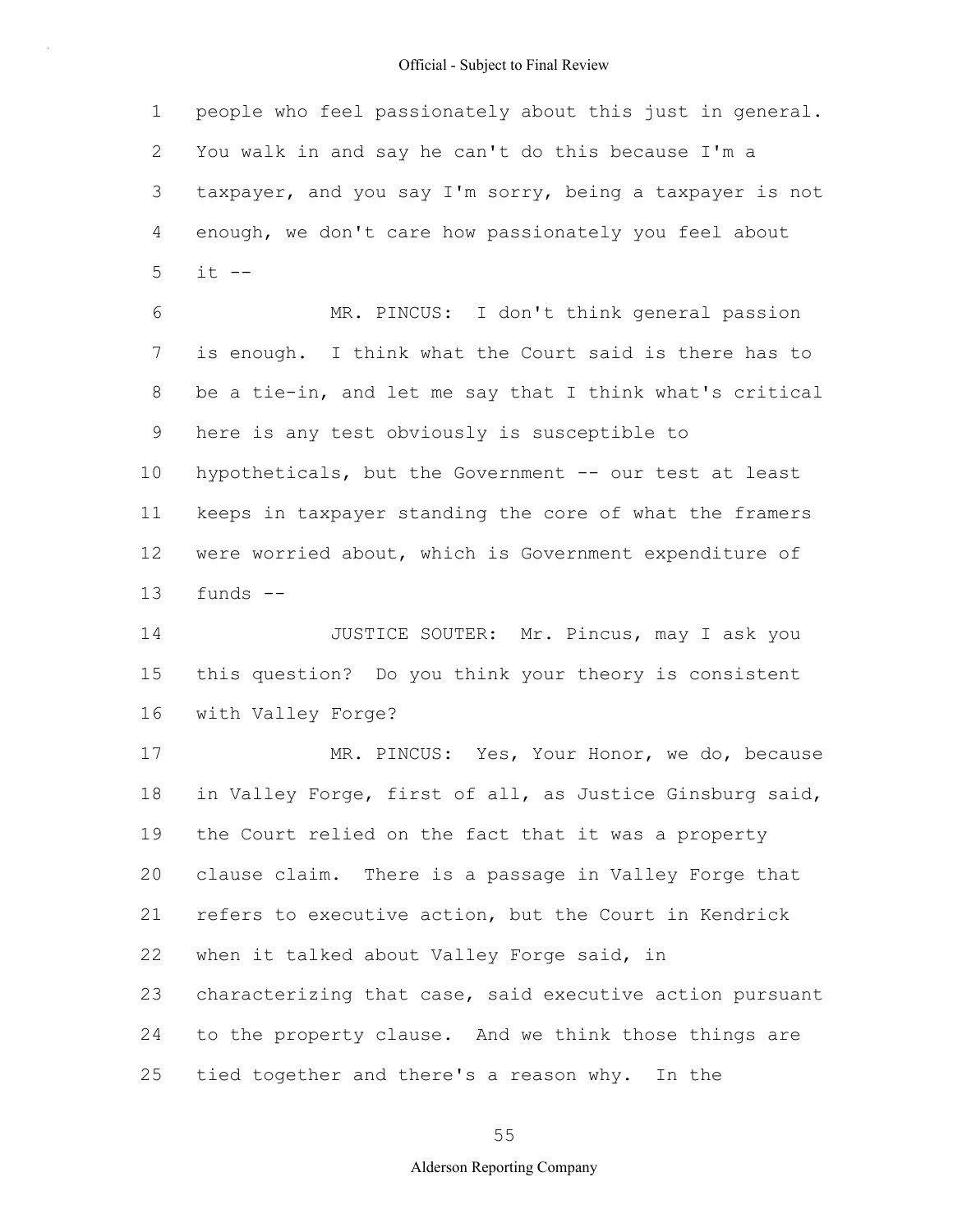1 2 3 4 5 6 7 8 9 10 11 12 13 14 15 16 17 people who feel passionately about this just in general. You walk in and say he can't do this because I'm a taxpayer, and you say I'm sorry, being a taxpayer is not enough, we don't care how passionately you feel about  $it$   $--$ MR. PINCUS: I don't think general passion is enough. I think what the Court said is there has to be a tie-in, and let me say that I think what's critical here is any test obviously is susceptible to hypotheticals, but the Government -- our test at least keeps in taxpayer standing the core of what the framers were worried about, which is Government expenditure of funds -- JUSTICE SOUTER: Mr. Pincus, may I ask you this question? Do you think your theory is consistent with Valley Forge? MR. PINCUS: Yes, Your Honor, we do, because

18 19 20 21 22 23 24 25 in Valley Forge, first of all, as Justice Ginsburg said, the Court relied on the fact that it was a property clause claim. There is a passage in Valley Forge that refers to executive action, but the Court in Kendrick when it talked about Valley Forge said, in characterizing that case, said executive action pursuant to the property clause. And we think those things are tied together and there's a reason why. In the

55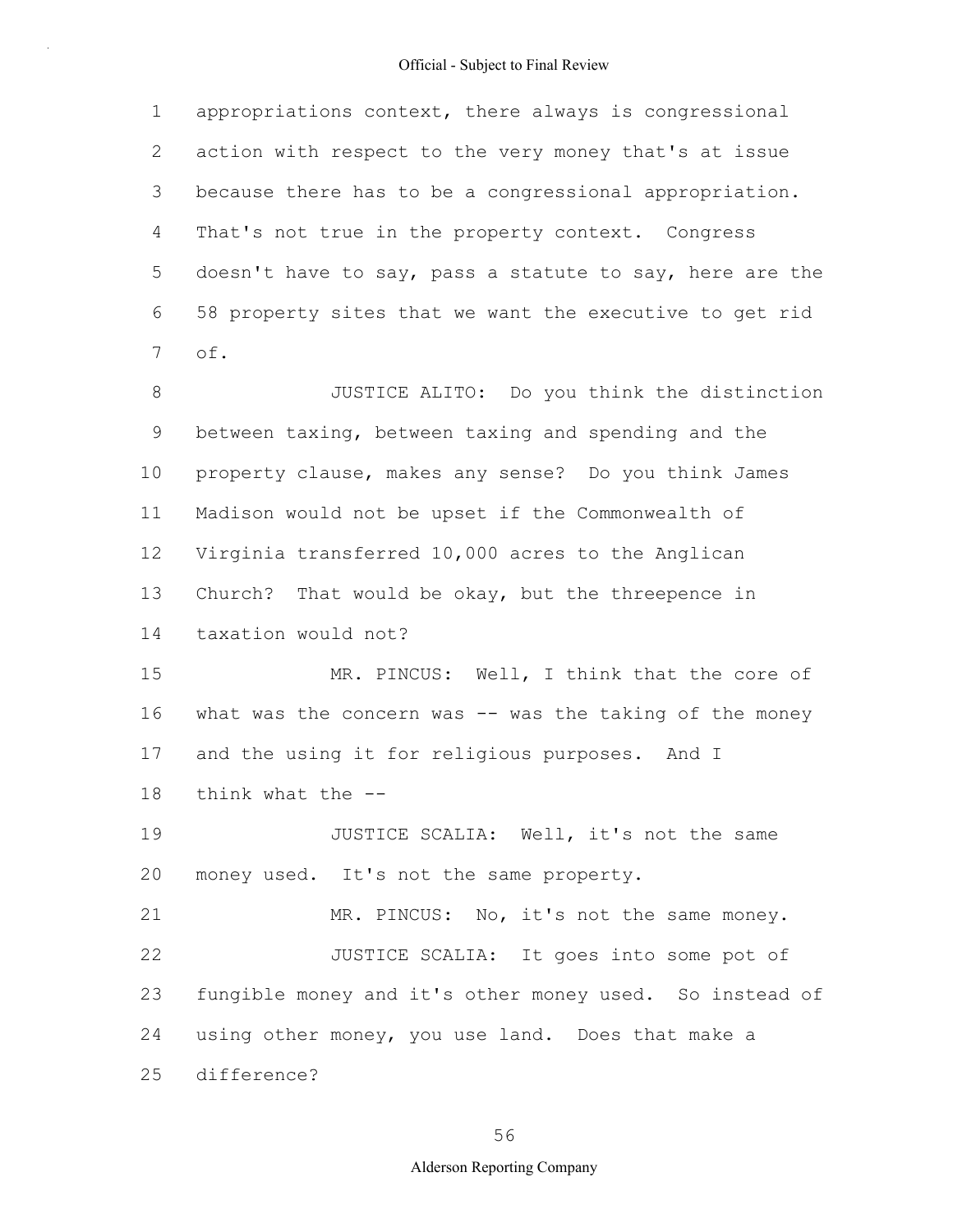1 2 3 4 5 6 7 appropriations context, there always is congressional action with respect to the very money that's at issue because there has to be a congressional appropriation. That's not true in the property context. Congress doesn't have to say, pass a statute to say, here are the 58 property sites that we want the executive to get rid of.

8 9 10 11 12 13 14 JUSTICE ALITO: Do you think the distinction between taxing, between taxing and spending and the property clause, makes any sense? Do you think James Madison would not be upset if the Commonwealth of Virginia transferred 10,000 acres to the Anglican Church? That would be okay, but the threepence in taxation would not?

15 16 17 18 MR. PINCUS: Well, I think that the core of what was the concern was  $--$  was the taking of the money and the using it for religious purposes. And I think what the --

19 20 JUSTICE SCALIA: Well, it's not the same money used. It's not the same property.

21 22 23 24 25 MR. PINCUS: No, it's not the same money. JUSTICE SCALIA: It goes into some pot of fungible money and it's other money used. So instead of using other money, you use land. Does that make a difference?

56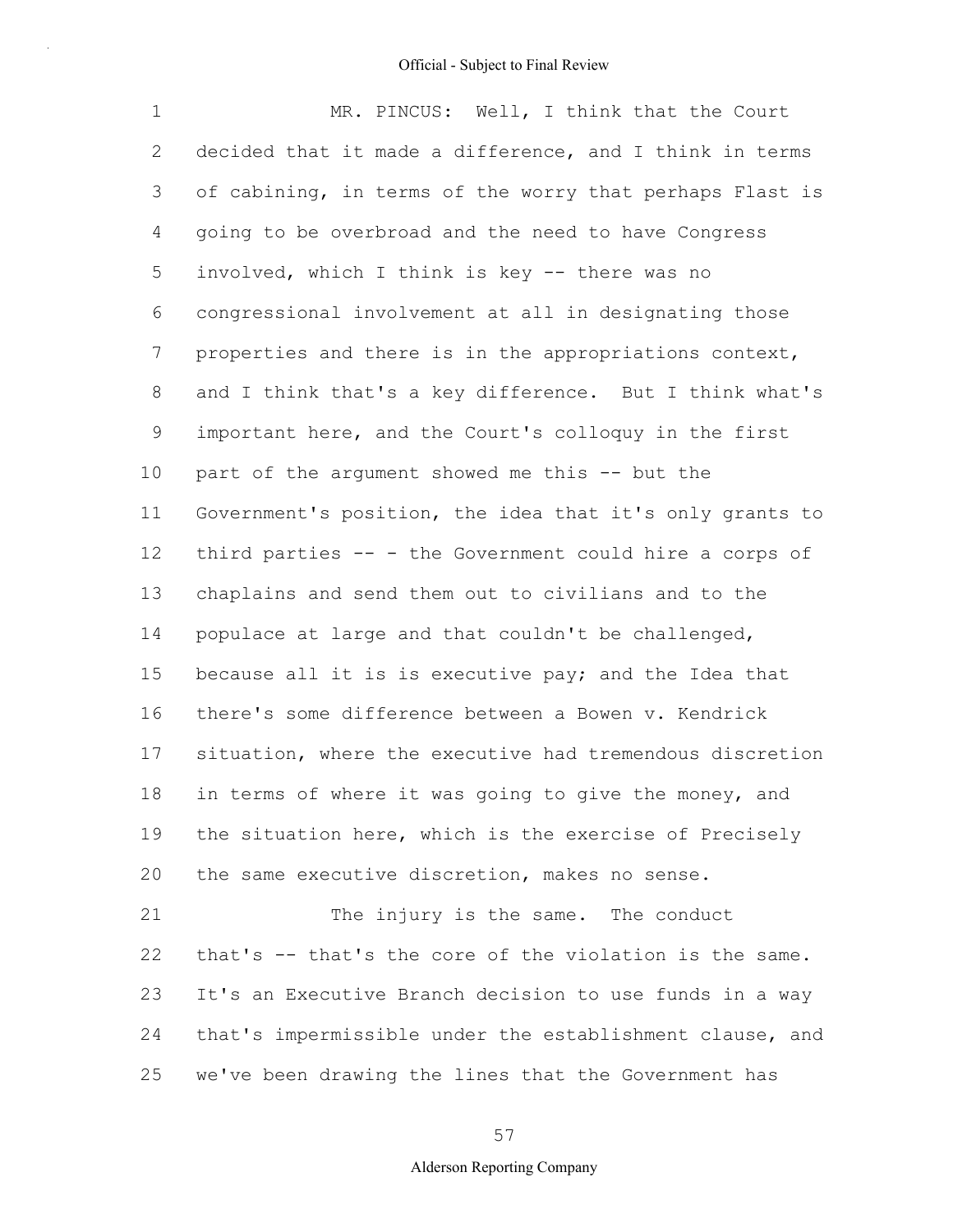1 2 3 4 5 6 7 8 9 10 11 12 13 14 15 16 17 18 19 20 21 22 23 MR. PINCUS: Well, I think that the Court decided that it made a difference, and I think in terms of cabining, in terms of the worry that perhaps Flast is going to be overbroad and the need to have Congress involved, which I think is key -- there was no congressional involvement at all in designating those properties and there is in the appropriations context, and I think that's a key difference. But I think what's important here, and the Court's colloquy in the first part of the argument showed me this -- but the Government's position, the idea that it's only grants to third parties -- - the Government could hire a corps of chaplains and send them out to civilians and to the populace at large and that couldn't be challenged, because all it is is executive pay; and the Idea that there's some difference between a Bowen v. Kendrick situation, where the executive had tremendous discretion in terms of where it was going to give the money, and the situation here, which is the exercise of Precisely the same executive discretion, makes no sense. The injury is the same. The conduct that's -- that's the core of the violation is the same. It's an Executive Branch decision to use funds in a way

24 25 that's impermissible under the establishment clause, and we've been drawing the lines that the Government has

57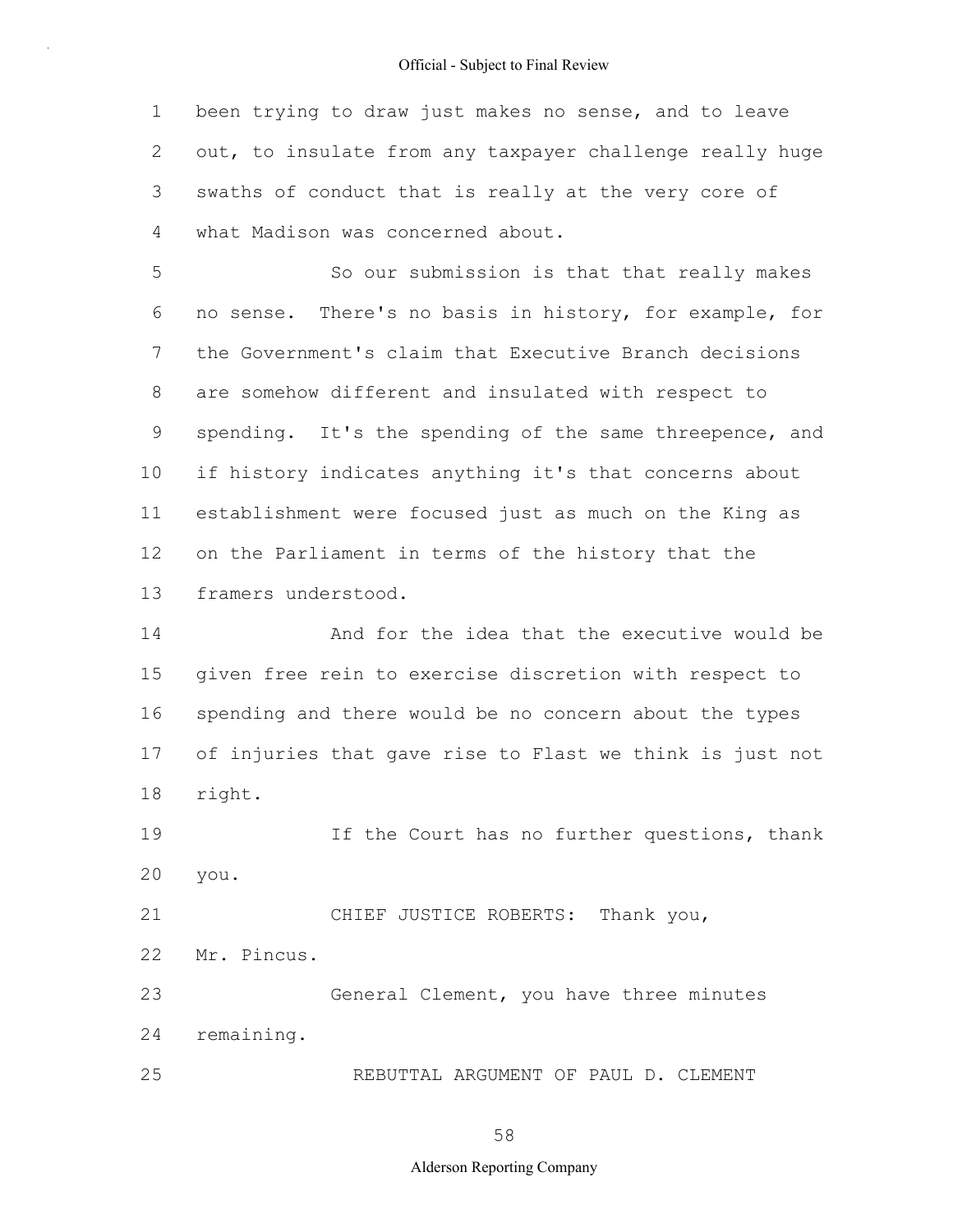1 2 3 4 been trying to draw just makes no sense, and to leave out, to insulate from any taxpayer challenge really huge swaths of conduct that is really at the very core of what Madison was concerned about.

5 6 7 8 9 10 11 12 13 So our submission is that that really makes no sense. There's no basis in history, for example, for the Government's claim that Executive Branch decisions are somehow different and insulated with respect to spending. It's the spending of the same threepence, and if history indicates anything it's that concerns about establishment were focused just as much on the King as on the Parliament in terms of the history that the framers understood.

14 15 16 17 18 And for the idea that the executive would be given free rein to exercise discretion with respect to spending and there would be no concern about the types of injuries that gave rise to Flast we think is just not right.

19 20 If the Court has no further questions, thank you.

21 22 23 24 25 CHIEF JUSTICE ROBERTS: Thank you, Mr. Pincus. General Clement, you have three minutes remaining. REBUTTAL ARGUMENT OF PAUL D. CLEMENT

58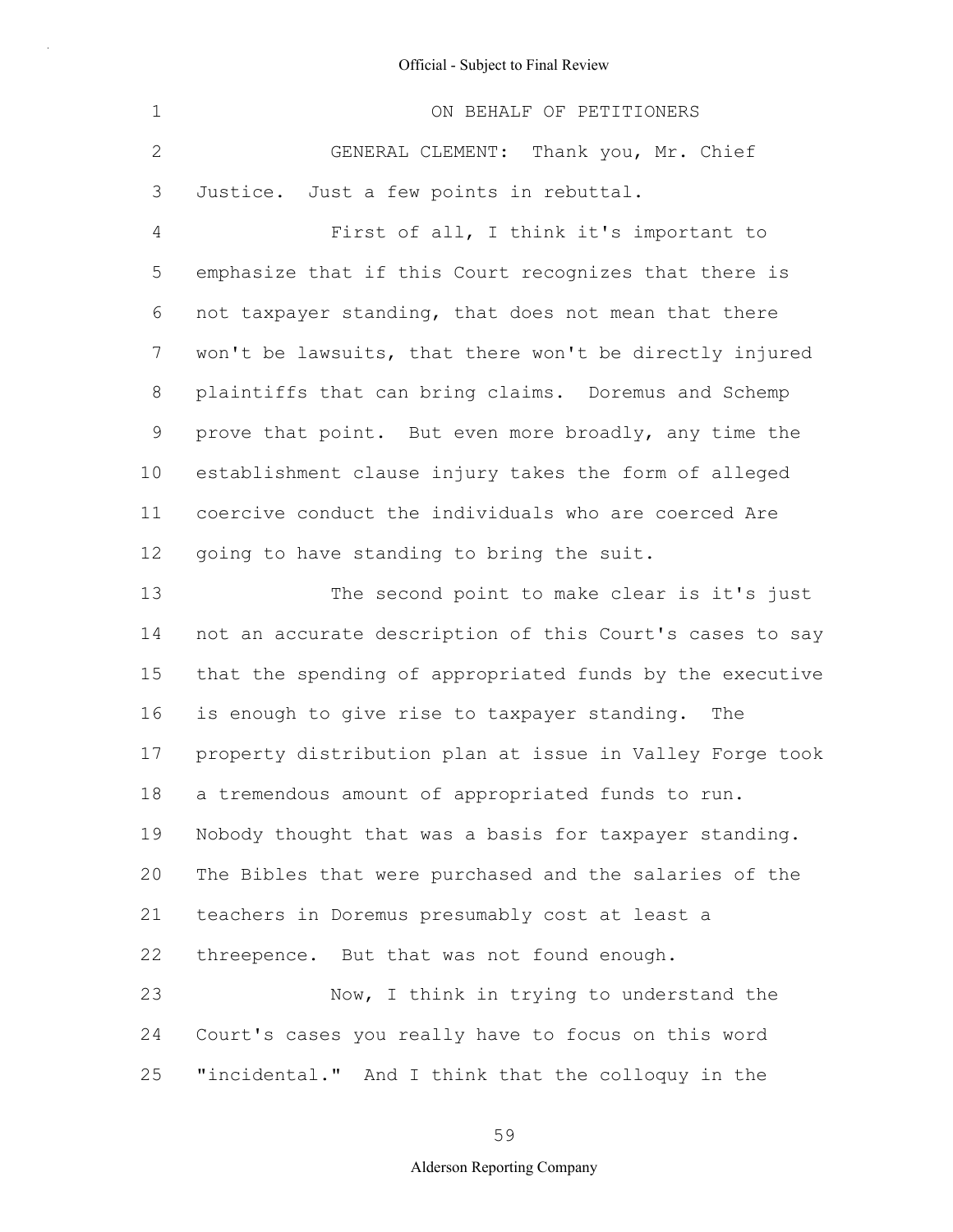| $\mathbf 1$    | ON BEHALF OF PETITIONERS                                 |
|----------------|----------------------------------------------------------|
| $\mathbf{2}$   | GENERAL CLEMENT: Thank you, Mr. Chief                    |
| 3              | Justice. Just a few points in rebuttal.                  |
| $\overline{4}$ | First of all, I think it's important to                  |
| 5              | emphasize that if this Court recognizes that there is    |
| 6              | not taxpayer standing, that does not mean that there     |
| 7              | won't be lawsuits, that there won't be directly injured  |
| 8              | plaintiffs that can bring claims. Doremus and Schemp     |
| 9              | prove that point. But even more broadly, any time the    |
| 10             | establishment clause injury takes the form of alleged    |
| 11             | coercive conduct the individuals who are coerced Are     |
| 12             | going to have standing to bring the suit.                |
| 13             | The second point to make clear is it's just              |
| 14             | not an accurate description of this Court's cases to say |
| 15             | that the spending of appropriated funds by the executive |
| 16             | is enough to give rise to taxpayer standing.<br>The      |
| 17             | property distribution plan at issue in Valley Forge took |
| 18             | a tremendous amount of appropriated funds to run.        |
| 19             | Nobody thought that was a basis for taxpayer standing.   |
| 20             | The Bibles that were purchased and the salaries of the   |
| 21             | teachers in Doremus presumably cost at least a           |
| 22             | threepence. But that was not found enough.               |
| 23             | Now, I think in trying to understand the                 |
| 24             | Court's cases you really have to focus on this word      |
| 25             | "incidental." And I think that the colloquy in the       |

59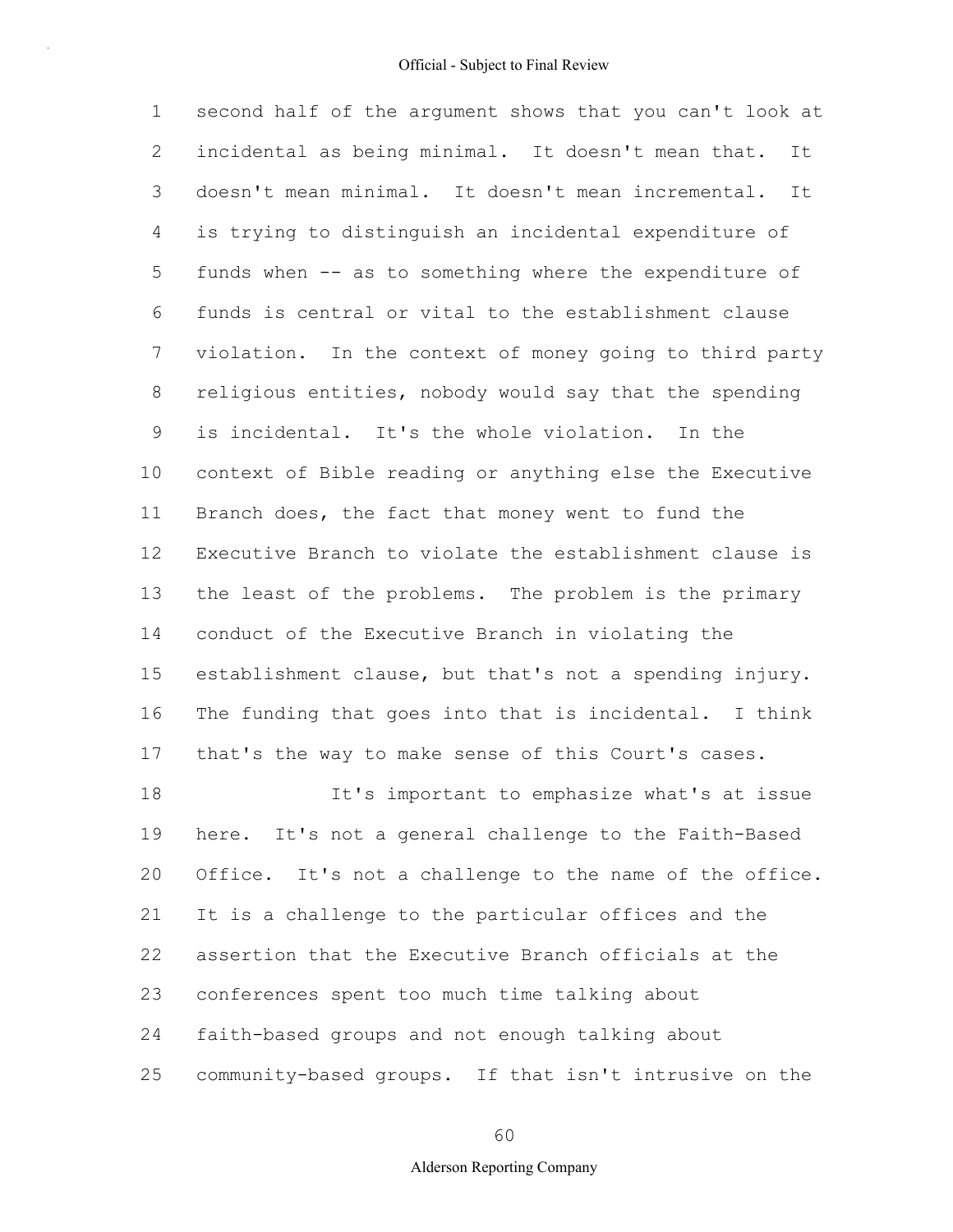1 2 3 4 5 6 7 8 9 10 11 12 13 14 15 16 17 18 19 20 21 22 23 24 second half of the argument shows that you can't look at incidental as being minimal. It doesn't mean that. It doesn't mean minimal. It doesn't mean incremental. It is trying to distinguish an incidental expenditure of funds when -- as to something where the expenditure of funds is central or vital to the establishment clause violation. In the context of money going to third party religious entities, nobody would say that the spending is incidental. It's the whole violation. In the context of Bible reading or anything else the Executive Branch does, the fact that money went to fund the Executive Branch to violate the establishment clause is the least of the problems. The problem is the primary conduct of the Executive Branch in violating the establishment clause, but that's not a spending injury. The funding that goes into that is incidental. I think that's the way to make sense of this Court's cases. It's important to emphasize what's at issue here. It's not a general challenge to the Faith-Based Office. It's not a challenge to the name of the office. It is a challenge to the particular offices and the assertion that the Executive Branch officials at the conferences spent too much time talking about faith-based groups and not enough talking about

25 community-based groups. If that isn't intrusive on the

60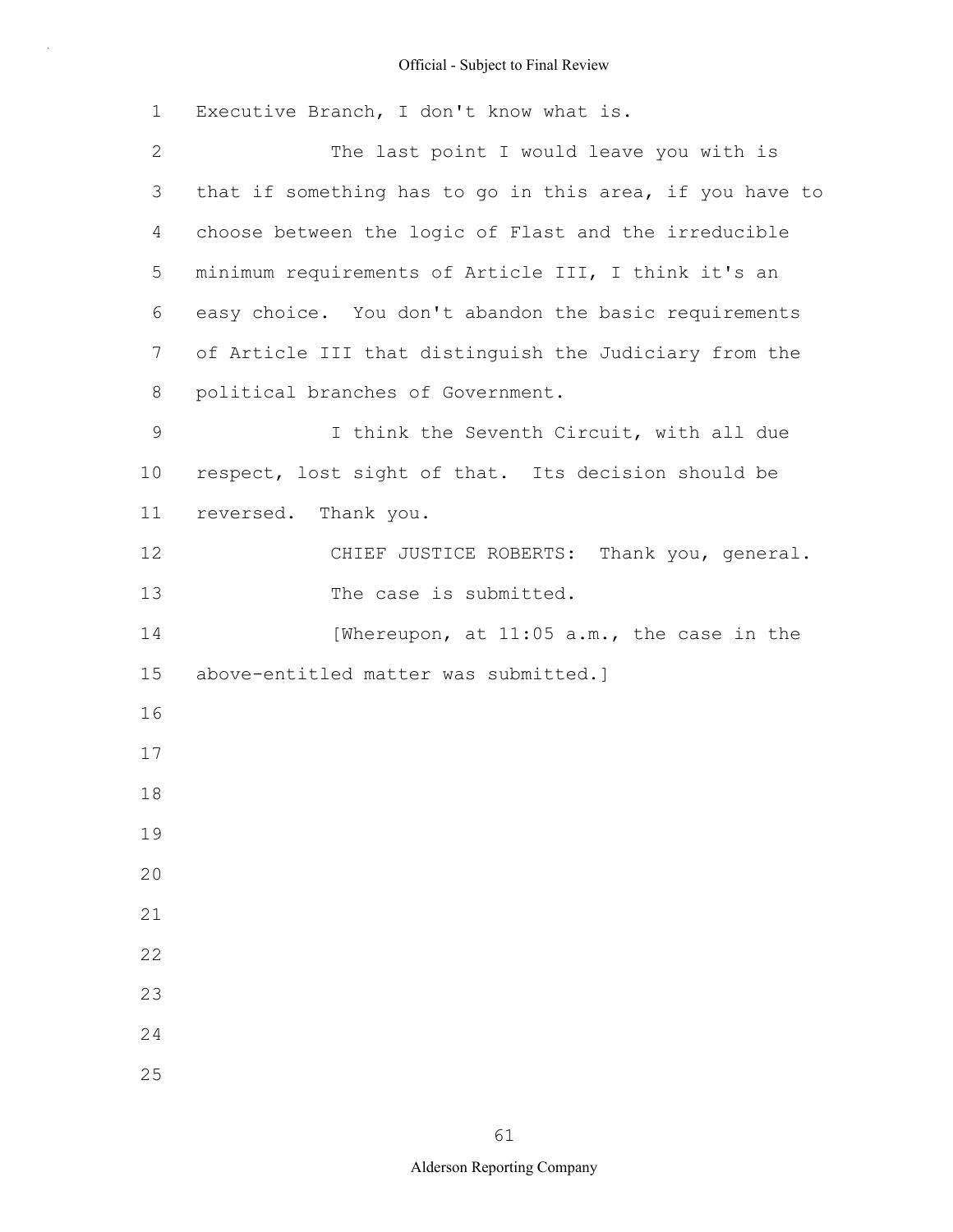| $\mathbf 1$  | Executive Branch, I don't know what is.                  |
|--------------|----------------------------------------------------------|
| $\mathbf{2}$ | The last point I would leave you with is                 |
| 3            | that if something has to go in this area, if you have to |
| 4            | choose between the logic of Flast and the irreducible    |
| 5            | minimum requirements of Article III, I think it's an     |
| 6            | easy choice. You don't abandon the basic requirements    |
| 7            | of Article III that distinguish the Judiciary from the   |
| 8            | political branches of Government.                        |
| $\mathsf 9$  | I think the Seventh Circuit, with all due                |
| 10           | respect, lost sight of that. Its decision should be      |
| 11           | reversed. Thank you.                                     |
| 12           | CHIEF JUSTICE ROBERTS: Thank you, general.               |
| 13           | The case is submitted.                                   |
| 14           | [Whereupon, at 11:05 a.m., the case in the               |
| 15           | above-entitled matter was submitted.]                    |
| 16           |                                                          |
| 17           |                                                          |
| 18           |                                                          |
| 19           |                                                          |
| 20           |                                                          |
| 21           |                                                          |
| 22           |                                                          |
| 23           |                                                          |
| 24           |                                                          |
| 25           |                                                          |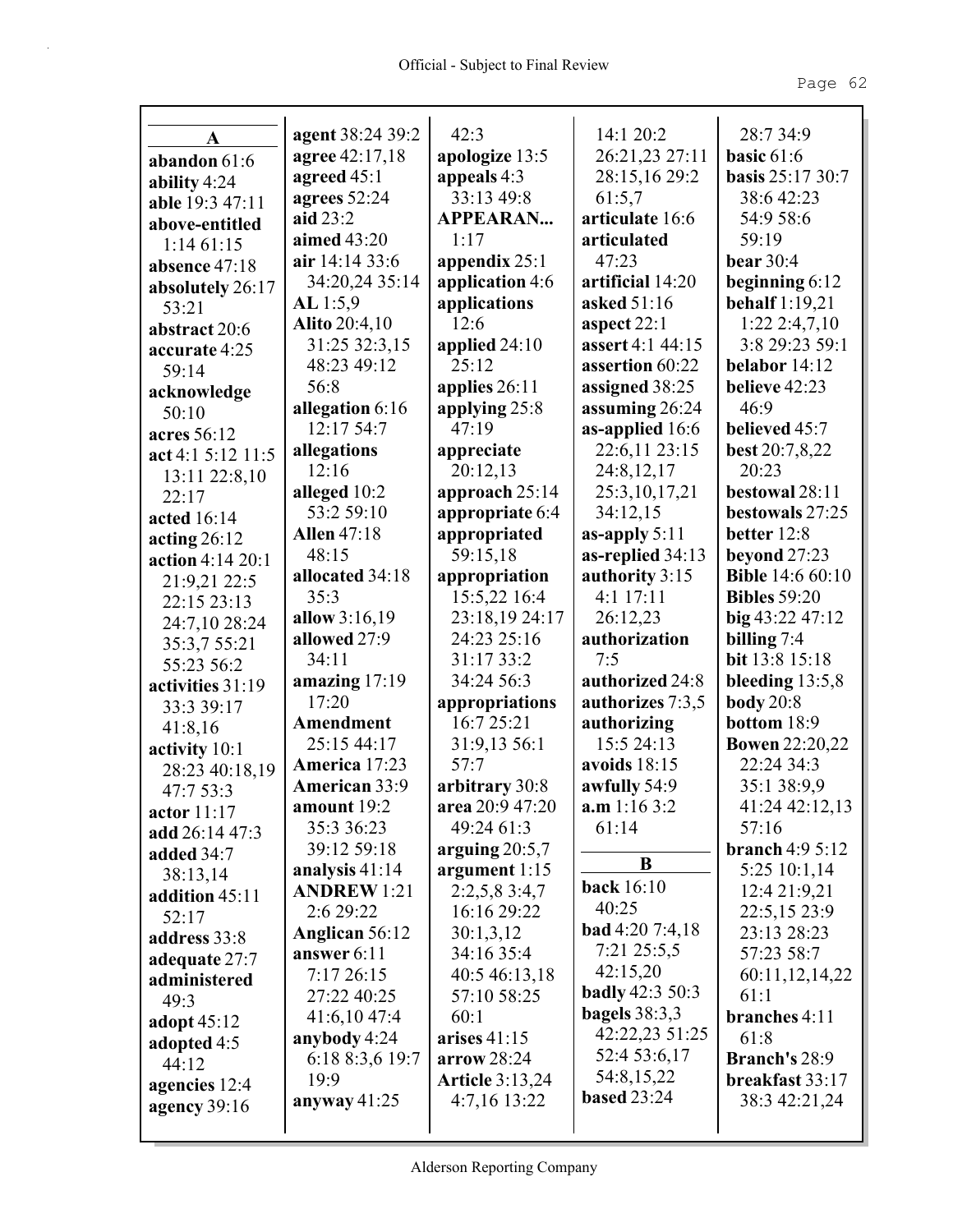|                   | agent 38:24 39:2     | 42:3                     | 14:1 20:2              | 28:7 34:9                                |
|-------------------|----------------------|--------------------------|------------------------|------------------------------------------|
| A                 | agree 42:17,18       | apologize 13:5           | 26:21,23 27:11         | basic $61:6$                             |
| abandon 61:6      | agreed 45:1          | appeals 4:3              | 28:15,16 29:2          | <b>basis</b> 25:17 30:7                  |
| ability $4:24$    | agrees 52:24         | 33:13 49:8               | 61:5.7                 | 38:6 42:23                               |
| able 19:3 47:11   | aid 23:2             | <b>APPEARAN</b>          | articulate 16:6        | 54:9 58:6                                |
| above-entitled    | aimed 43:20          | 1:17                     | articulated            | 59:19                                    |
| 1:1461:15         | air 14:14 33:6       | appendix $25:1$          | 47:23                  | <b>bear</b> 30:4                         |
| absence 47:18     | 34:20,24 35:14       |                          | artificial 14:20       |                                          |
| absolutely 26:17  |                      | application 4:6          | asked 51:16            | beginning $6:12$                         |
| 53:21             | AL 1:5,9             | applications<br>12:6     | aspect $22:1$          | <b>behalf</b> 1:19,21<br>$1:22$ 2:4,7,10 |
| abstract 20:6     | <b>Alito</b> 20:4,10 |                          | assert 4:1 44:15       | 3:8 29:23 59:1                           |
| accurate 4:25     | 31:25 32:3,15        | applied $24:10$<br>25:12 |                        |                                          |
| 59:14             | 48:23 49:12          |                          | assertion 60:22        | belabor 14:12                            |
| acknowledge       | 56:8                 | applies 26:11            | assigned 38:25         | believe 42:23                            |
| 50:10             | allegation 6:16      | applying 25:8            | assuming 26:24         | 46:9                                     |
| acres 56:12       | 12:17 54:7           | 47:19                    | as-applied 16:6        | believed 45:7                            |
| act 4:1 5:12 11:5 | allegations          | appreciate               | 22:6,11 23:15          | <b>best</b> 20:7,8,22                    |
| 13:11 22:8,10     | 12:16                | 20:12,13                 | 24:8,12,17             | 20:23                                    |
| 22:17             | alleged 10:2         | approach 25:14           | 25:3, 10, 17, 21       | bestowal 28:11                           |
| acted 16:14       | 53:2 59:10           | appropriate 6:4          | 34:12,15               | bestowals 27:25                          |
| acting $26:12$    | <b>Allen</b> 47:18   | appropriated             | as-apply $5:11$        | better 12:8                              |
| action 4:14 20:1  | 48:15                | 59:15,18                 | as-replied 34:13       | beyond $27:23$                           |
| 21:9,21 22:5      | allocated 34:18      | appropriation            | authority 3:15         | <b>Bible</b> 14:6 60:10                  |
| 22:15 23:13       | 35:3                 | 15:5,22 16:4             | $4:1$ 17:11            | <b>Bibles</b> 59:20                      |
| 24:7,10 28:24     | allow 3:16,19        | 23:18,19 24:17           | 26:12,23               | $big$ 43:22 47:12                        |
| 35:3,7 55:21      | allowed 27:9         | 24:23 25:16              | authorization          | billing $7:4$                            |
| 55:23 56:2        | 34:11                | 31:17 33:2               | 7:5                    | bit 13:8 15:18                           |
| activities 31:19  | amazing 17:19        | 34:24 56:3               | authorized 24:8        | bleeding $13:5,8$                        |
| 33:3 39:17        | 17:20                | appropriations           | authorizes 7:3,5       | <b>body</b> 20:8                         |
| 41:8,16           | Amendment            | 16:7 25:21               | authorizing            | bottom 18:9                              |
| activity 10:1     | 25:15 44:17          | 31:9,13 56:1             | 15:5 24:13             | <b>Bowen</b> 22:20,22                    |
| 28:23 40:18,19    | America 17:23        | 57:7                     | avoids 18:15           | 22:24 34:3                               |
| 47:7 53:3         | American 33:9        | arbitrary 30:8           | awfully 54:9           | 35:1 38:9,9                              |
| actor 11:17       | amount 19:2          | area 20:9 47:20          | a.m 1:16 3:2           | 41:24 42:12,13                           |
| add 26:14 47:3    | 35:3 36:23           | 49:24 61:3               | 61:14                  | 57:16                                    |
| added 34:7        | 39:12 59:18          | arguing $20:5,7$         | B                      | branch $4:95:12$                         |
| 38:13,14          | analysis $41:14$     | argument $1:15$          |                        | 5:25 10:1,14                             |
| addition 45:11    | <b>ANDREW 1:21</b>   | 2:2,5,83:4,7             | <b>back</b> 16:10      | 12:4 21:9,21                             |
| 52:17             | 2:6 29:22            | 16:16 29:22              | 40:25                  | 22:5,15 23:9                             |
| address 33:8      | Anglican 56:12       | 30:1,3,12                | <b>bad</b> 4:20 7:4,18 | 23:13 28:23                              |
| adequate 27:7     | answer 6:11          | 34:16 35:4               | 7:21 25:5,5            | 57:23 58:7                               |
| administered      | 7:17 26:15           | 40:5 46:13,18            | 42:15,20               | 60:11,12,14,22                           |
| 49:3              | 27:22 40:25          | 57:10 58:25              | <b>badly</b> 42:3 50:3 | 61:1                                     |
| adopt $45:12$     | 41:6,10 47:4         | 60:1                     | bagels $38:3,3$        | branches 4:11                            |
| adopted 4:5       | anybody 4:24         | arises $41:15$           | 42:22,23 51:25         | 61:8                                     |
| 44:12             | 6:18 8:3,6 19:7      | arrow 28:24              | 52:4 53:6,17           | Branch's 28:9                            |
| agencies 12:4     | 19:9                 | <b>Article 3:13,24</b>   | 54:8,15,22             | breakfast 33:17                          |
| agency $39:16$    | anyway $41:25$       | 4:7,16 13:22             | <b>based 23:24</b>     | 38:3 42:21,24                            |
|                   |                      |                          |                        |                                          |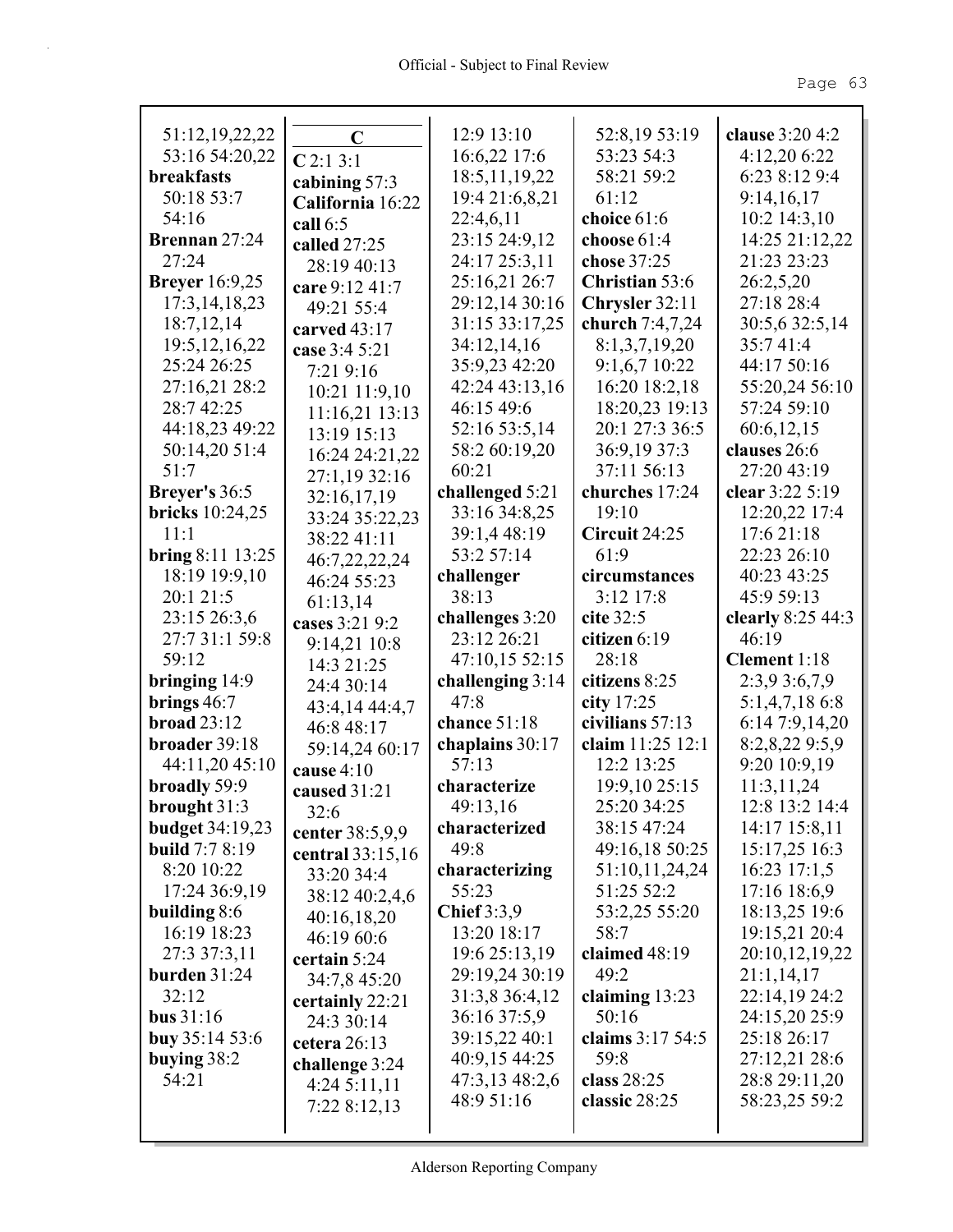|                                  |                    | 12:9 13:10         | 52:8,19 53:19         | clause 3:20 4:2               |
|----------------------------------|--------------------|--------------------|-----------------------|-------------------------------|
| 51:12,19,22,22<br>53:16 54:20,22 | $\mathbf C$        | 16:6,22 17:6       | 53:23 54:3            | 4:12,20 6:22                  |
| <b>breakfasts</b>                | C2:13:1            | 18:5, 11, 19, 22   | 58:21 59:2            | 6:23 8:12 9:4                 |
| 50:18 53:7                       | cabining 57:3      | 19:4 21:6,8,21     | 61:12                 | 9:14,16,17                    |
| 54:16                            | California 16:22   |                    |                       | 10:2 14:3,10                  |
|                                  | call $6:5$         | 22:4,6,11          | choice $61:6$         |                               |
| Brennan 27:24<br>27:24           | called 27:25       | 23:15 24:9,12      | choose $61:4$         | 14:25 21:12,22<br>21:23 23:23 |
|                                  | 28:19 40:13        | 24:17 25:3,11      | chose 37:25           |                               |
| <b>Breyer</b> 16:9,25            | care 9:12 41:7     | 25:16,21 26:7      | <b>Christian 53:6</b> | 26:2,5,20                     |
| 17:3, 14, 18, 23                 | 49:21 55:4         | 29:12,14 30:16     | Chrysler 32:11        | 27:18 28:4                    |
| 18:7,12,14                       | carved $43:17$     | 31:15 33:17,25     | church $7:4,7,24$     | 30:5,6 32:5,14                |
| 19:5, 12, 16, 22                 | case 3:4 5:21      | 34:12,14,16        | 8:1,3,7,19,20         | 35:741:4                      |
| 25:24 26:25                      | 7:21 9:16          | 35:9,23 42:20      | 9:1,6,7 10:22         | 44:17 50:16                   |
| 27:16,21 28:2                    | $10:21$ $11:9,10$  | 42:24 43:13,16     | 16:20 18:2,18         | 55:20,24 56:10                |
| 28:7 42:25                       | 11:16,21 13:13     | 46:15 49:6         | 18:20,23 19:13        | 57:24 59:10                   |
| 44:18,23 49:22                   | 13:19 15:13        | 52:16 53:5,14      | 20:1 27:3 36:5        | 60:6,12,15                    |
| 50:14,20 51:4                    | 16:24 24:21,22     | 58:2 60:19,20      | 36:9,19 37:3          | clauses 26:6                  |
| 51:7                             | 27:1,19 32:16      | 60:21              | 37:11 56:13           | 27:20 43:19                   |
| Breyer's 36:5                    | 32:16,17,19        | challenged 5:21    | churches 17:24        | clear 3:22 5:19               |
| bricks $10:24,25$                | 33:24 35:22,23     | 33:16 34:8,25      | 19:10                 | 12:20,22 17:4                 |
| 11:1                             | 38:22 41:11        | 39:1,4 48:19       | Circuit 24:25         | 17:6 21:18                    |
| <b>bring</b> $8:11 \ 13:25$      | 46:7,22,22,24      | 53:2 57:14         | 61:9                  | 22:23 26:10                   |
| 18:19 19:9,10                    | 46:24 55:23        | challenger         | circumstances         | 40:23 43:25                   |
| 20:1 21:5                        | 61:13,14           | 38:13              | 3:12 17:8             | 45:9 59:13                    |
| 23:15 26:3,6                     | cases 3:21 9:2     | challenges 3:20    | cite $32:5$           | clearly $8:2544:3$            |
|                                  |                    |                    |                       |                               |
| 27:7 31:1 59:8                   | 9:14,21 10:8       | 23:12 26:21        | citizen $6:19$        | 46:19                         |
| 59:12                            | 14:3 21:25         | 47:10,15 52:15     | 28:18                 | Clement 1:18                  |
| bringing $14:9$                  | 24:4 30:14         | challenging $3:14$ | citizens 8:25         | 2:3,9 3:6,7,9                 |
| brings $46:7$                    | 43:4,14 44:4,7     | 47:8               | city $17:25$          | $5:1,4,7,18$ 6:8              |
| broad $23:12$                    | 46:8 48:17         | chance $51:18$     | civilians $57:13$     | 6:14 7:9,14,20                |
| broader 39:18                    | 59:14,24 60:17     | chaplains 30:17    | claim 11:25 12:1      | 8:2,8,22 9:5,9                |
| 44:11,20 45:10                   | cause $4:10$       | 57:13              | 12:2 13:25            | 9:20 10:9,19                  |
| broadly 59:9                     | caused 31:21       | characterize       | 19:9,10 25:15         | 11:3,11,24                    |
| brought 31:3                     | 32:6               | 49:13,16           | 25:20 34:25           | 12:8 13:2 14:4                |
| <b>budget</b> 34:19,23           | center 38:5,9,9    | characterized      | 38:15 47:24           | 14:17 15:8,11                 |
| <b>build</b> 7:7 8:19            | central $33:15,16$ | 49:8               | 49:16,18 50:25        | 15:17,25 16:3                 |
| 8:20 10:22                       | 33:20 34:4         | characterizing     | 51:10,11,24,24        | $16:23$ 17:1,5                |
| 17:24 36:9,19                    | 38:12 40:2,4,6     | 55:23              | 51:25 52:2            | 17:16 18:6,9                  |
| building $8:6$                   | 40:16,18,20        | Chief $3:3,9$      | 53:2,25 55:20         | 18:13,25 19:6                 |
| 16:19 18:23                      | 46:19 60:6         | 13:20 18:17        | 58:7                  | 19:15,21 20:4                 |
| 27:3 37:3,11                     | certain 5:24       | 19:6 25:13,19      | claimed 48:19         | 20:10,12,19,22                |
| burden $31:24$                   | 34:7,8 45:20       | 29:19,24 30:19     | 49:2                  | 21:1,14,17                    |
| 32:12                            | certainly 22:21    | 31:3,8 36:4,12     | claiming $13:23$      | 22:14,19 24:2                 |
| bus $31:16$                      | 24:3 30:14         | 36:16 37:5,9       | 50:16                 | 24:15,20 25:9                 |
| buy $35:1453:6$                  | cetera 26:13       | 39:15,22 40:1      | claims 3:17 54:5      | 25:18 26:17                   |
| buying $38:2$                    | challenge 3:24     | 40:9,15 44:25      | 59:8                  | 27:12,21 28:6                 |
| 54:21                            | 4:245:11,11        | 47:3,13 48:2,6     | class 28:25           | 28:8 29:11,20                 |
|                                  | 7:22 8:12,13       | 48:9 51:16         | classic $28:25$       | 58:23,25 59:2                 |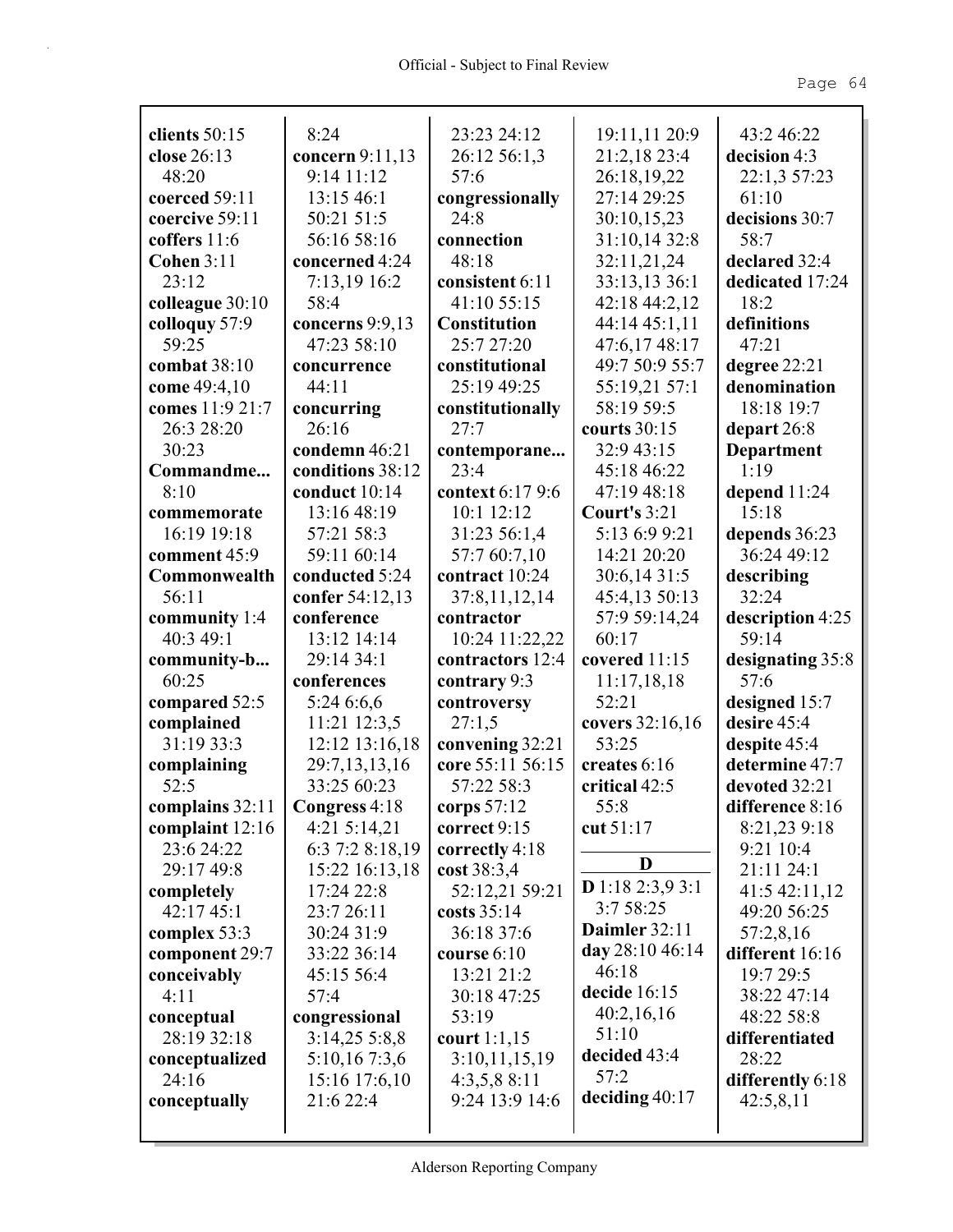| clients $50:15$              | 8:24                         | 23:23 24:12                        | 19:11,11 20:9                 | 43:2 46:22                |
|------------------------------|------------------------------|------------------------------------|-------------------------------|---------------------------|
| close 26:13                  | concern $9:11,13$            | 26:12 56:1,3                       | 21:2,18 23:4                  | decision 4:3              |
| 48:20                        | 9:14 11:12                   | 57:6                               | 26:18,19,22                   | 22:1,3 57:23              |
| coerced 59:11                | 13:15 46:1                   | congressionally                    | 27:14 29:25                   | 61:10                     |
| coercive 59:11               | 50:21 51:5                   | 24:8                               | 30:10,15,23                   | decisions 30:7            |
| coffers 11:6                 | 56:16 58:16                  | connection                         | 31:10,14 32:8                 | 58:7                      |
| <b>Cohen 3:11</b>            | concerned 4:24               | 48:18                              | 32:11,21,24                   | declared 32:4             |
| 23:12                        | 7:13,19 16:2                 | consistent 6:11                    | 33:13,13 36:1                 | dedicated 17:24           |
| colleague 30:10              | 58:4                         | 41:10 55:15                        | 42:18 44:2,12                 | 18:2                      |
| colloquy 57:9                | concerns 9:9,13              | <b>Constitution</b>                | 44:14 45:1,11                 | definitions               |
| 59:25                        | 47:23 58:10                  | 25:7 27:20                         | 47:6,17 48:17                 | 47:21                     |
| combat 38:10                 | concurrence                  | constitutional                     | 49:7 50:9 55:7                | degree 22:21              |
| come 49:4,10                 | 44:11                        | 25:19 49:25                        | 55:19,21 57:1                 | denomination              |
| comes 11:9 21:7              | concurring                   | constitutionally                   | 58:19 59:5                    | 18:18 19:7                |
| 26:3 28:20                   | 26:16                        | 27:7                               | courts 30:15                  | depart $26:8$             |
| 30:23                        | condemn 46:21                | contemporane<br>23:4               | 32:9 43:15                    | <b>Department</b><br>1:19 |
| Commandme                    | conditions 38:12             |                                    | 45:18 46:22                   |                           |
| 8:10                         | conduct 10:14<br>13:16 48:19 | context 6:17 9:6<br>10:1 12:12     | 47:19 48:18                   | depend $11:24$<br>15:18   |
| commemorate<br>16:19 19:18   | 57:21 58:3                   | 31:23 56:1,4                       | Court's 3:21<br>5:13 6:9 9:21 | depends 36:23             |
|                              | 59:11 60:14                  | 57:7 60:7,10                       | 14:21 20:20                   | 36:24 49:12               |
| comment 45:9                 |                              | contract 10:24                     |                               |                           |
| Commonwealth<br>56:11        | conducted 5:24               |                                    | 30:6,14 31:5                  | describing<br>32:24       |
|                              | confer 54:12,13              | 37:8,11,12,14                      | 45:4,13 50:13                 |                           |
| community $1:4$<br>40:3 49:1 | conference<br>13:12 14:14    | contractor                         | 57:9 59:14,24<br>60:17        | description 4:25<br>59:14 |
|                              | 29:14 34:1                   | 10:24 11:22,22<br>contractors 12:4 | covered 11:15                 |                           |
| community-b<br>60:25         | conferences                  | contrary 9:3                       | 11:17,18,18                   | designating 35:8<br>57:6  |
| compared 52:5                | 5:246:6,6                    | controversy                        | 52:21                         | designed 15:7             |
| complained                   | 11:21 12:3,5                 | 27:1,5                             | covers 32:16,16               | desire 45:4               |
| 31:19 33:3                   | 12:12 13:16,18               | convening 32:21                    | 53:25                         | despite 45:4              |
| complaining                  | 29:7,13,13,16                | core 55:11 56:15                   | creates 6:16                  | determine 47:7            |
| 52:5                         | 33:25 60:23                  | 57:22 58:3                         | critical 42:5                 | devoted 32:21             |
| complains 32:11              | Congress 4:18                | corps 57:12                        | 55:8                          | difference 8:16           |
| complaint 12:16              | 4:21 5:14,21                 | correct 9:15                       | cut 51:17                     | 8:21,23 9:18              |
| 23:6 24:22                   | 6:3 7:2 8:18,19              | correctly 4:18                     |                               | 9:21 10:4                 |
| 29:17 49:8                   | 15:22 16:13,18               | cost 38:3,4                        | D                             | 21:11 24:1                |
| completely                   | 17:24 22:8                   | 52:12,21 59:21                     | <b>D</b> 1:18 2:3,9 3:1       | 41:5 42:11,12             |
| 42:17 45:1                   | 23:7 26:11                   | costs 35:14                        | 3:7 58:25                     | 49:20 56:25               |
| complex 53:3                 | 30:24 31:9                   | 36:18 37:6                         | Daimler 32:11                 | 57:2,8,16                 |
| component 29:7               | 33:22 36:14                  | course $6:10$                      | day 28:10 46:14               | different 16:16           |
| conceivably                  | 45:15 56:4                   | 13:21 21:2                         | 46:18                         | 19:7 29:5                 |
| 4:11                         | 57:4                         | 30:18 47:25                        | decide 16:15                  | 38:22 47:14               |
| conceptual                   | congressional                | 53:19                              | 40:2,16,16                    | 48:22 58:8                |
| 28:19 32:18                  | $3:14,25\;5:8,8$             | court $1:1,15$                     | 51:10                         | differentiated            |
| conceptualized               | 5:10,16 7:3,6                | 3:10,11,15,19                      | decided 43:4                  | 28:22                     |
| 24:16                        | 15:16 17:6,10                | 4:3,5,88:11                        | 57:2                          | differently 6:18          |
| conceptually                 | 21:6 22:4                    | 9:24 13:9 14:6                     | deciding $40:17$              | 42:5,8,11                 |
|                              |                              |                                    |                               |                           |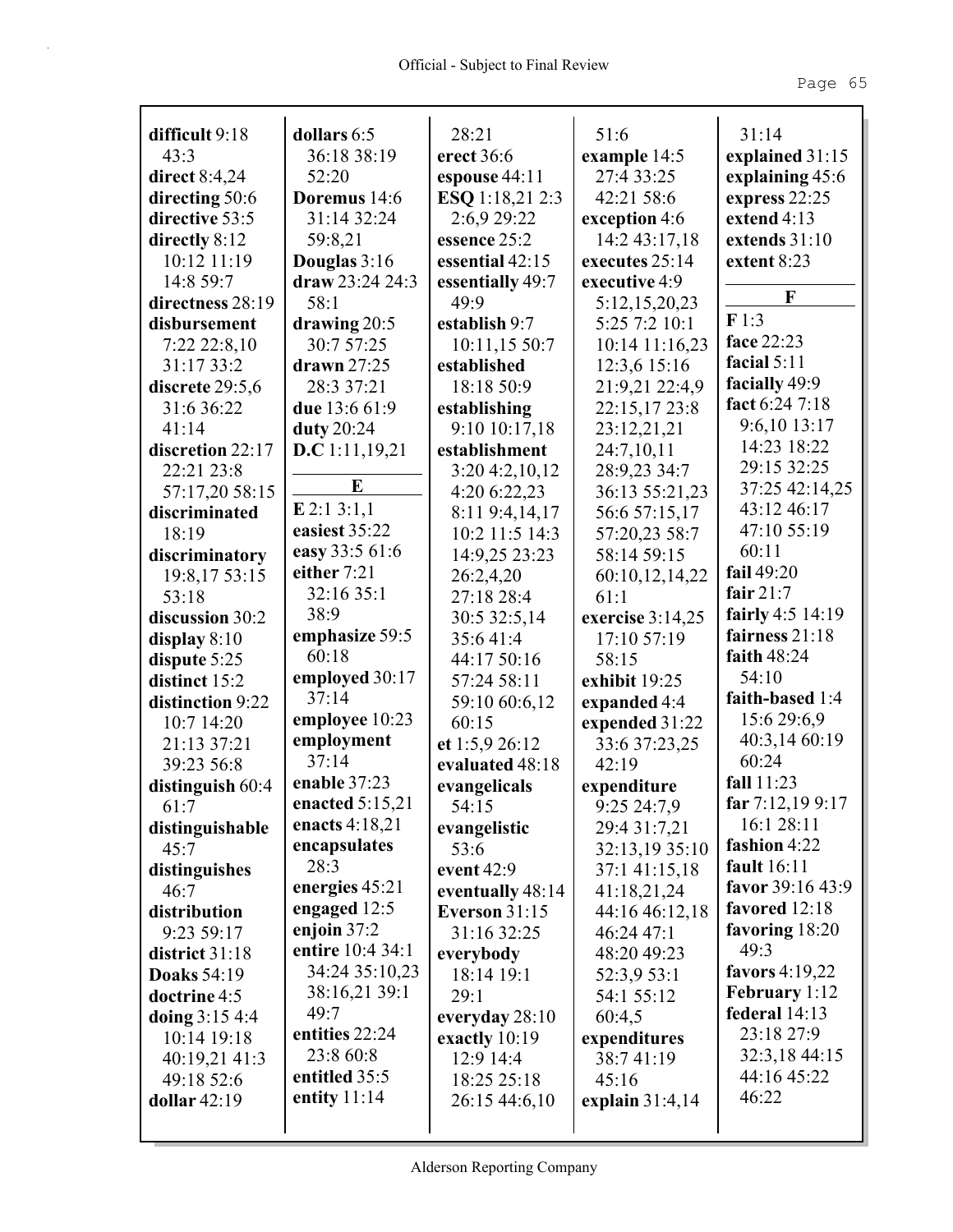|                                  |                            | 28:21                            | 51:6              | 31:14                              |
|----------------------------------|----------------------------|----------------------------------|-------------------|------------------------------------|
| difficult 9:18<br>43:3           | dollars 6:5<br>36:18 38:19 | erect 36:6                       | example 14:5      |                                    |
| <b>direct</b> 8:4,24             | 52:20                      |                                  | 27:4 33:25        | explained 31:15<br>explaining 45:6 |
|                                  | Doremus 14:6               | espouse 44:11<br>ESQ 1:18,21 2:3 | 42:21 58:6        | express 22:25                      |
| directing 50:6<br>directive 53:5 | 31:14 32:24                |                                  |                   | extend 4:13                        |
|                                  |                            | 2:6,9 29:22                      | exception 4:6     | extends 31:10                      |
| directly 8:12                    | 59:8,21                    | essence 25:2                     | 14:2 43:17,18     |                                    |
| 10:12 11:19                      | Douglas 3:16               | essential 42:15                  | executes 25:14    | extent 8:23                        |
| 14:8 59:7                        | draw 23:24 24:3            | essentially 49:7<br>49:9         | executive 4:9     | F                                  |
| directness 28:19                 | 58:1                       |                                  | 5:12,15,20,23     | F1:3                               |
| disbursement                     | drawing 20:5               | establish 9:7                    | 5:25 7:2 10:1     | face 22:23                         |
| $7:22\,22:8,10$                  | 30:7 57:25                 | 10:11,15 50:7                    | 10:14 11:16,23    | facial $5:11$                      |
| 31:17 33:2                       | drawn $27:25$              | established                      | 12:3,6 15:16      | facially 49:9                      |
| discrete 29:5,6                  | 28:3 37:21                 | 18:18 50:9                       | 21:9,21 22:4,9    | fact 6:24 7:18                     |
| 31:6 36:22                       | due 13:6 61:9              | establishing                     | 22:15,17 23:8     | 9:6,10 13:17                       |
| 41:14                            | duty 20:24                 | 9:10 10:17,18                    | 23:12,21,21       | 14:23 18:22                        |
| discretion 22:17                 | D.C 1:11,19,21             | establishment                    | 24:7,10,11        | 29:15 32:25                        |
| 22:21 23:8                       | E                          | $3:20\,4:2,10,12$                | 28:9,23 34:7      | 37:25 42:14,25                     |
| 57:17,20 58:15                   | $E$ 2:1 3:1,1              | 4:20 6:22,23                     | 36:13 55:21,23    | 43:12 46:17                        |
| discriminated                    | easiest 35:22              | 8:11 9:4,14,17                   | 56:6 57:15,17     | 47:10 55:19                        |
| 18:19                            | easy 33:5 61:6             | 10:2 11:5 14:3                   | 57:20,23 58:7     | 60:11                              |
| discriminatory                   | either 7:21                | 14:9,25 23:23                    | 58:14 59:15       | fail 49:20                         |
| 19:8,17 53:15                    | 32:16 35:1                 | 26:2,4,20                        | 60:10,12,14,22    | fair $21:7$                        |
| 53:18                            |                            | 27:18 28:4                       | 61:1              |                                    |
| discussion 30:2                  | 38:9                       | 30:5 32:5,14                     | exercise 3:14,25  | fairly 4:5 14:19                   |
| display $8:10$                   | emphasize 59:5             | 35:641:4                         | 17:10 57:19       | fairness 21:18                     |
| dispute 5:25                     | 60:18                      | 44:17 50:16                      | 58:15             | faith 48:24                        |
| distinct 15:2                    | employed 30:17             | 57:24 58:11                      | exhibit 19:25     | 54:10                              |
| distinction 9:22                 | 37:14                      | 59:10 60:6,12                    | expanded 4:4      | faith-based 1:4                    |
| 10:7 14:20                       | employee 10:23             | 60:15                            | expended 31:22    | 15:6 29:6,9                        |
| 21:13 37:21                      | employment                 | et 1:5,9 26:12                   | 33:6 37:23,25     | 40:3,14 60:19                      |
| 39:23 56:8                       | 37:14                      | evaluated 48:18                  | 42:19             | 60:24                              |
| distinguish 60:4                 | enable 37:23               | evangelicals                     | expenditure       | fall 11:23                         |
| 61:7                             | enacted $5:15,21$          | 54:15                            | 9:25 24:7,9       | far $7:12,199:17$                  |
| distinguishable                  | enacts 4:18,21             | evangelistic                     | 29:4 31:7,21      | 16:1 28:11                         |
| 45:7                             | encapsulates               | 53:6                             | 32:13,19 35:10    | fashion 4:22                       |
| distinguishes                    | 28:3                       | event $42:9$                     | 37:1 41:15,18     | fault 16:11                        |
| 46:7                             | energies 45:21             | eventually 48:14                 | 41:18,21,24       | favor 39:16 43:9                   |
| distribution                     | engaged $12:5$             | <b>Everson 31:15</b>             | 44:16 46:12,18    | favored 12:18                      |
| 9:23 59:17                       | enjoin $37:2$              | 31:16 32:25                      | 46:24 47:1        | favoring 18:20                     |
| district 31:18                   | entire 10:4 34:1           | everybody                        | 48:20 49:23       | 49:3                               |
| <b>Doaks</b> 54:19               | 34:24 35:10,23             | 18:14 19:1                       | 52:3,9 53:1       | favors 4:19,22                     |
| doctrine 4:5                     | 38:16,21 39:1              | 29:1                             | 54:1 55:12        | <b>February</b> 1:12               |
| doing $3:154:4$                  | 49:7                       | everyday $28:10$                 | 60:4,5            | federal 14:13                      |
| 10:14 19:18                      | entities 22:24             | exactly $10:19$                  | expenditures      | 23:18 27:9                         |
| 40:19,21 41:3                    | 23:8 60:8                  | 12:9 14:4                        | 38:741:19         | 32:3,18 44:15                      |
| 49:18 52:6                       | entitled 35:5              | 18:25 25:18                      | 45:16             | 44:16 45:22                        |
| dollar 42:19                     | entity $11:14$             | 26:15 44:6,10                    | explain $31:4,14$ | 46:22                              |
|                                  |                            |                                  |                   |                                    |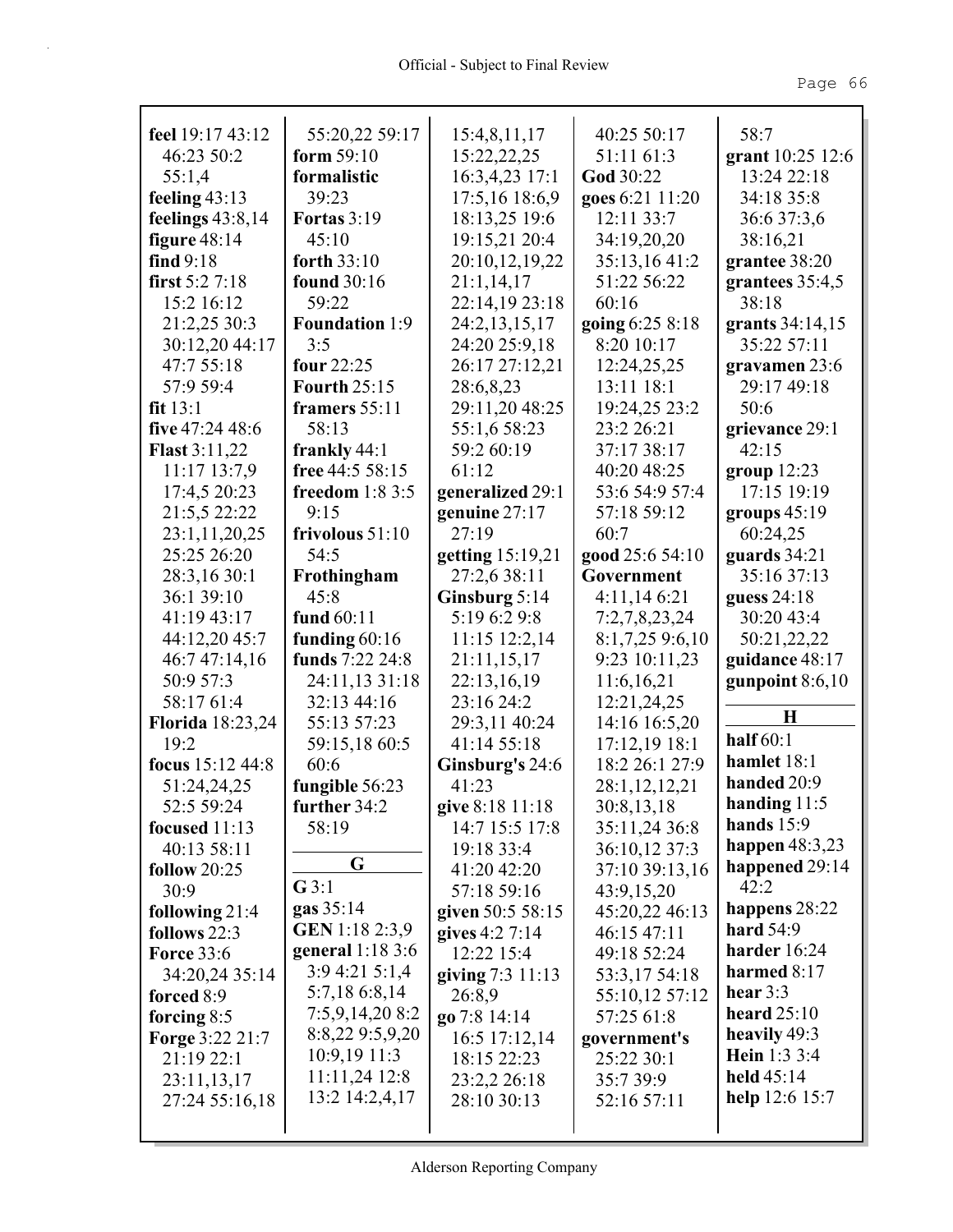| feel 19:17 43:12        | 55:20,22 59:17        | 15:4,8,11,17       | 40:25 50:17     | 58:7              |
|-------------------------|-----------------------|--------------------|-----------------|-------------------|
| 46:23 50:2              | form 59:10            | 15:22,22,25        | 51:11 61:3      | grant 10:25 12:6  |
| 55:1,4                  | formalistic           | 16:3,4,23 17:1     | God 30:22       | 13:24 22:18       |
| feeling $43:13$         | 39:23                 | 17:5,16 18:6,9     | goes 6:21 11:20 | 34:18 35:8        |
| feelings $43:8,14$      | <b>Fortas</b> 3:19    | 18:13,25 19:6      | 12:11 33:7      | 36:6 37:3,6       |
| figure $48:14$          | 45:10                 | 19:15,21 20:4      | 34:19,20,20     | 38:16,21          |
| find $9:18$             | forth $33:10$         | 20:10,12,19,22     | 35:13,16 41:2   | grantee 38:20     |
| first $5:27:18$         | found 30:16           | 21:1,14,17         | 51:22 56:22     | grantees $35:4,5$ |
| 15:2 16:12              | 59:22                 | 22:14,19 23:18     | 60:16           | 38:18             |
| 21:2,25 30:3            | <b>Foundation</b> 1:9 | 24:2,13,15,17      | going 6:25 8:18 | grants 34:14,15   |
| 30:12,20 44:17          | 3:5                   | 24:20 25:9,18      | 8:20 10:17      | 35:22 57:11       |
| 47:7 55:18              | four $22:25$          | 26:17 27:12,21     | 12:24,25,25     | gravamen 23:6     |
| 57:9 59:4               | <b>Fourth 25:15</b>   | 28:6,8,23          | 13:11 18:1      | 29:17 49:18       |
| fit 13:1                | framers $55:11$       | 29:11,20 48:25     | 19:24,25 23:2   | 50:6              |
| five 47:24 48:6         | 58:13                 | 55:1,6 58:23       | 23:2 26:21      | grievance 29:1    |
| <b>Flast 3:11,22</b>    | frankly 44:1          | 59:2 60:19         | 37:17 38:17     | 42:15             |
| 11:17 13:7,9            | free 44:5 58:15       | 61:12              | 40:20 48:25     | group $12:23$     |
| 17:4,5 20:23            | freedom $1:83:5$      | generalized 29:1   | 53:6 54:9 57:4  | 17:15 19:19       |
| 21:5,5 22:22            | 9:15                  | genuine $27:17$    | 57:18 59:12     | groups 45:19      |
| 23:1,11,20,25           | frivolous $51:10$     | 27:19              | 60:7            | 60:24,25          |
| 25:25 26:20             | 54:5                  | getting 15:19,21   | good 25:6 54:10 | guards 34:21      |
| 28:3,16 30:1            | Frothingham           | 27:2,6 38:11       | Government      | 35:16 37:13       |
| 36:1 39:10              | 45:8                  | Ginsburg $5:14$    | 4:11,146:21     | guess 24:18       |
| 41:19 43:17             | fund 60:11            | 5:19 6:2 9:8       | 7:2,7,8,23,24   | 30:20 43:4        |
| 44:12,20 45:7           | funding $60:16$       | $11:15$ $12:2,14$  | 8:1,7,259:6,10  | 50:21,22,22       |
| 46:7 47:14,16           | funds 7:22 24:8       | 21:11,15,17        | 9:23 10:11,23   | guidance 48:17    |
| 50:9 57:3               | 24:11,13 31:18        | 22:13,16,19        | 11:6,16,21      | gunpoint $8:6,10$ |
| 58:17 61:4              | 32:13 44:16           | 23:16 24:2         | 12:21,24,25     |                   |
| <b>Florida</b> 18:23,24 | 55:13 57:23           | 29:3,11 40:24      | 14:16 16:5,20   | H                 |
| 19:2                    | 59:15,18 60:5         | 41:14 55:18        | 17:12,19 18:1   | half $60:1$       |
| focus 15:12 44:8        | 60:6                  | Ginsburg's 24:6    | 18:2 26:1 27:9  | hamlet 18:1       |
| 51:24,24,25             | fungible 56:23        | 41:23              | 28:1,12,12,21   | handed 20:9       |
| 52:5 59:24              | further 34:2          | give 8:18 11:18    | 30:8,13,18      | handing $11:5$    |
| focused 11:13           | 58:19                 | 14:7 15:5 17:8     | 35:11,24 36:8   | hands $15:9$      |
| 40:13 58:11             |                       | 19:18 33:4         | 36:10,12 37:3   | happen $48:3,23$  |
| follow $20:25$          | G                     | 41:20 42:20        | 37:10 39:13,16  | happened 29:14    |
| 30:9                    | G3:1                  | 57:18 59:16        | 43:9,15,20      | 42:2              |
| following $21:4$        | gas 35:14             | given 50:5 58:15   | 45:20,22 46:13  | happens 28:22     |
| follows 22:3            | GEN 1:18 2:3,9        | gives 4:2 7:14     | 46:15 47:11     | hard $54:9$       |
| <b>Force 33:6</b>       | general $1:183:6$     | 12:22 15:4         | 49:18 52:24     | harder 16:24      |
| 34:20,24 35:14          | 3:94:215:1,4          | giving $7:3$ 11:13 | 53:3,17 54:18   | harmed $8:17$     |
| forced 8:9              | 5:7,18 6:8,14         | 26:8,9             | 55:10,12 57:12  | hear $3:3$        |
| forcing $8:5$           | 7:5,9,14,208:2        | go 7:8 14:14       | 57:25 61:8      | heard $25:10$     |
| <b>Forge 3:22 21:7</b>  | 8:8,22 9:5,9,20       | 16:5 17:12,14      | government's    | heavily 49:3      |
| 21:19 22:1              | $10:9,19$ 11:3        | 18:15 22:23        | 25:22 30:1      | Hein 1:3 3:4      |
| 23:11,13,17             | $11:11,24$ 12:8       | 23:2,2 26:18       | 35:7 39:9       | held $45:14$      |
| 27:24 55:16,18          | 13:2 14:2,4,17        | 28:10 30:13        | 52:16 57:11     | help $12:6$ 15:7  |
|                         |                       |                    |                 |                   |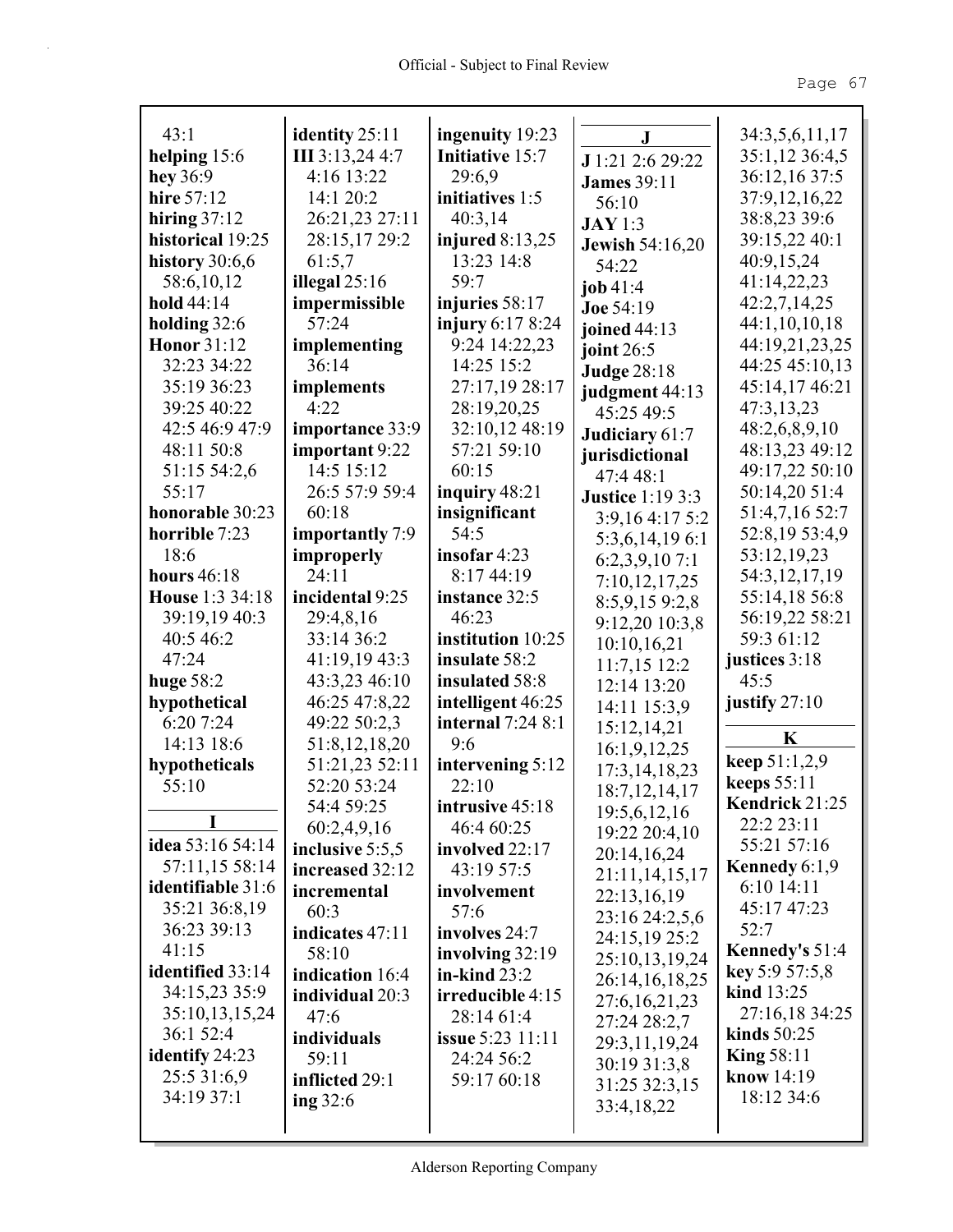| 43:1                     | identity 25:11  | ingenuity 19:23          | $\bf J$                 | 34:3,5,6,11,17     |
|--------------------------|-----------------|--------------------------|-------------------------|--------------------|
| helping $15:6$           | III 3:13,24 4:7 | <b>Initiative 15:7</b>   | J 1:21 2:6 29:22        | 35:1,12 36:4,5     |
| hey 36:9                 | 4:16 13:22      | 29:6,9                   | <b>James</b> 39:11      | 36:12,16 37:5      |
| hire 57:12               | 14:1 20:2       | initiatives 1:5          | 56:10                   | 37:9,12,16,22      |
| hiring $37:12$           | 26:21,23 27:11  | 40:3,14                  | <b>JAY</b> 1:3          | 38:8,23 39:6       |
| historical 19:25         | 28:15,17 29:2   | injured $8:13,25$        | Jewish 54:16,20         | 39:15,22 40:1      |
| history $30:6,6$         | 61:5,7          | 13:23 14:8               | 54:22                   | 40:9,15,24         |
| 58:6,10,12               | illegal $25:16$ | 59:7                     | job $41:4$              | 41:14,22,23        |
| hold $44:14$             | impermissible   | injuries 58:17           | Joe 54:19               | 42:2,7,14,25       |
| holding $32:6$           | 57:24           | injury 6:17 8:24         | joined 44:13            | 44:1,10,10,18      |
| <b>Honor</b> 31:12       | implementing    | 9:24 14:22,23            | joint $26:5$            | 44:19,21,23,25     |
| 32:23 34:22              | 36:14           | 14:25 15:2               | <b>Judge 28:18</b>      | 44:25 45:10,13     |
| 35:19 36:23              | implements      | 27:17,19 28:17           | judgment 44:13          | 45:14,17 46:21     |
| 39:25 40:22              | 4:22            | 28:19,20,25              | 45:25 49:5              | 47:3,13,23         |
| 42:5 46:9 47:9           | importance 33:9 | 32:10,12 48:19           | Judiciary 61:7          | 48:2,6,8,9,10      |
| 48:11 50:8               | important 9:22  | 57:21 59:10              | jurisdictional          | 48:13,23 49:12     |
| 51:15 54:2,6             | 14:5 15:12      | 60:15                    | 47:448:1                | 49:17,22 50:10     |
| 55:17                    | 26:5 57:9 59:4  | inquiry $48:21$          | <b>Justice 1:19 3:3</b> | 50:14,20 51:4      |
| honorable 30:23          | 60:18           | insignificant            | 3:9,164:175:2           | 51:4,7,16 52:7     |
| horrible 7:23            | importantly 7:9 | 54:5                     | 5:3,6,14,196:1          | 52:8,19 53:4,9     |
| 18:6                     | improperly      | insofar 4:23             | 6:2,3,9,107:1           | 53:12,19,23        |
| hours $46:18$            | 24:11           | 8:17 44:19               | 7:10,12,17,25           | 54:3,12,17,19      |
| House 1:3 34:18          | incidental 9:25 | instance 32:5            | 8:5,9,159:2,8           | 55:14,18 56:8      |
| 39:19,19 40:3            | 29:4,8,16       | 46:23                    | 9:12,20 10:3,8          | 56:19,22 58:21     |
| 40:5 46:2                | 33:14 36:2      | institution 10:25        | 10:10,16,21             | 59:3 61:12         |
| 47:24                    | 41:19,19 43:3   | insulate 58:2            | $11:7,15$ 12:2          | justices 3:18      |
| huge $58:2$              | 43:3,23 46:10   | insulated 58:8           | 12:14 13:20             | 45:5               |
| hypothetical             | 46:25 47:8,22   | intelligent 46:25        | 14:11 15:3,9            | justify $27:10$    |
| 6:20 7:24                | 49:22 50:2,3    | <b>internal</b> 7:24 8:1 |                         |                    |
| 14:13 18:6               | 51:8,12,18,20   | 9:6                      | 15:12,14,21             | $\mathbf K$        |
| hypotheticals            | 51:21,23 52:11  | intervening 5:12         | 16:1,9,12,25            | keep 51:1,2,9      |
| 55:10                    | 52:20 53:24     | 22:10                    | 17:3, 14, 18, 23        | <b>keeps</b> 55:11 |
|                          | 54:4 59:25      | intrusive 45:18          | 18:7, 12, 14, 17        | Kendrick 21:25     |
| I                        | 60:2,4,9,16     | 46:4 60:25               | 19:5,6,12,16            | 22:2 23:11         |
| idea 53:16 54:14         | inclusive 5:5,5 | involved 22:17           | 19:22 20:4,10           | 55:21 57:16        |
| 57:11,15 58:14           | increased 32:12 | 43:19 57:5               | 20:14,16,24             | Kennedy $6:1,9$    |
| <b>identifiable</b> 31:6 | incremental     | involvement              | 21:11,14,15,17          | 6:10 14:11         |
| 35:21 36:8,19            | 60:3            | 57:6                     | 22:13,16,19             | 45:17 47:23        |
| 36:23 39:13              | indicates 47:11 | involves 24:7            | 23:16 24:2,5,6          | 52:7               |
| 41:15                    | 58:10           | involving 32:19          | 24:15,19 25:2           | Kennedy's 51:4     |
| identified 33:14         | indication 16:4 | in-kind $23:2$           | 25:10,13,19,24          | key 5:9 57:5,8     |
| 34:15,23 35:9            |                 |                          | 26:14,16,18,25          | kind 13:25         |
| 35:10,13,15,24           | individual 20:3 | irreducible 4:15         | 27:6, 16, 21, 23        | 27:16,18 34:25     |
| 36:1 52:4                | 47:6            | 28:14 61:4               | 27:24 28:2,7            | kinds 50:25        |
| identify 24:23           | individuals     | <b>issue 5:23 11:11</b>  | 29:3,11,19,24           | King $58:11$       |
| 25:5 31:6,9              | 59:11           | 24:24 56:2               | 30:19 31:3,8            | know $14:19$       |
| 34:19 37:1               | inflicted 29:1  | 59:17 60:18              | 31:25 32:3,15           | 18:12 34:6         |
|                          | ing $32:6$      |                          | 33:4,18,22              |                    |
|                          |                 |                          |                         |                    |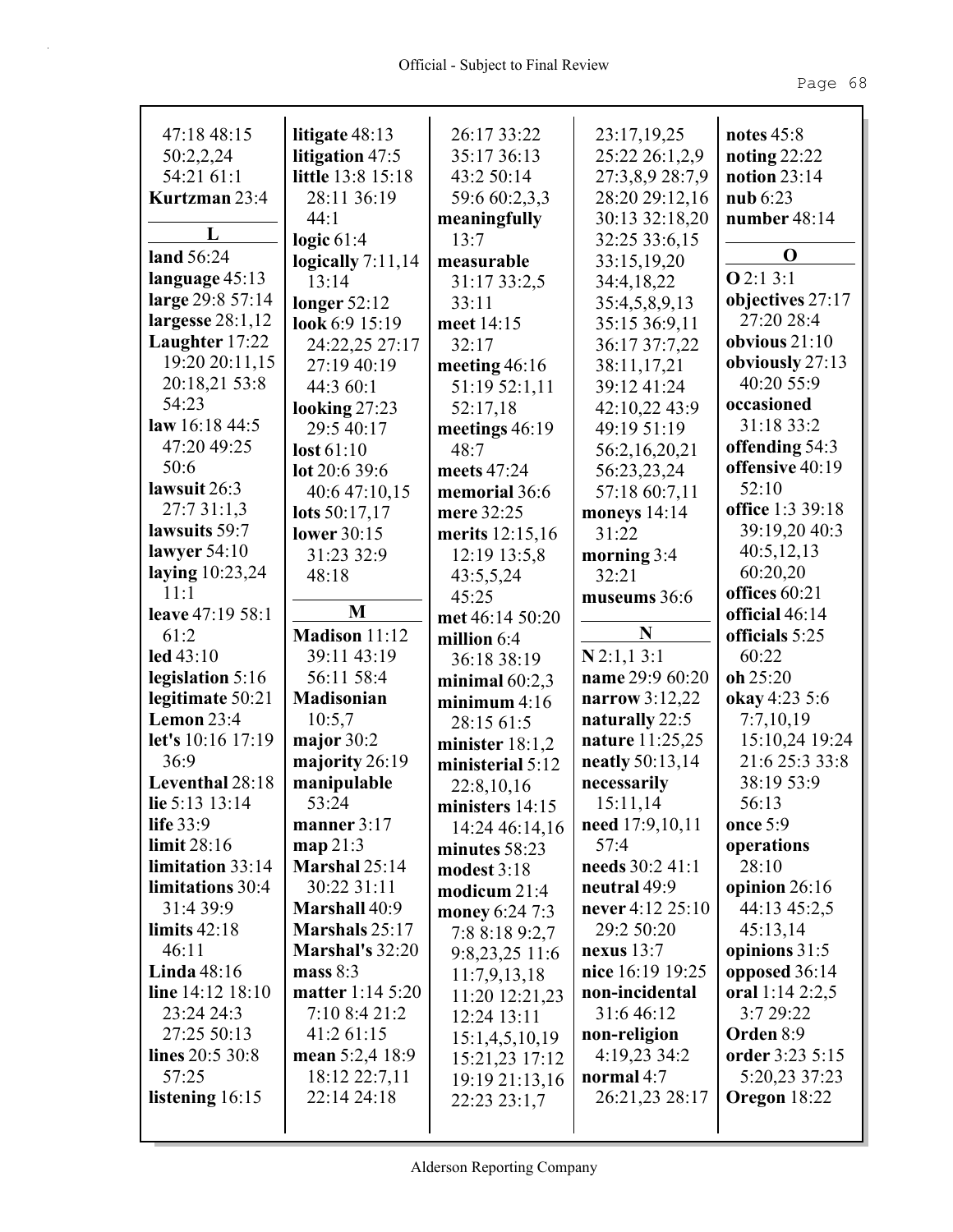| 47:18 48:15                        | litigate 48:13                    | 26:17 33:22       | 23:17,19,25                  | notes $45:8$                 |
|------------------------------------|-----------------------------------|-------------------|------------------------------|------------------------------|
| 50:2,2,24                          | litigation 47:5                   | 35:17 36:13       | 25:22 26:1,2,9               | noting $22:22$               |
| 54:21 61:1                         | little 13:8 15:18                 | 43:2 50:14        | 27:3,8,9 28:7,9              | notion $23:14$               |
| Kurtzman 23:4                      | 28:11 36:19                       | 59:6 60:2,3,3     | 28:20 29:12,16               | nub 6:23                     |
|                                    | 44:1                              | meaningfully      | 30:13 32:18,20               | number 48:14                 |
| L                                  | logic $61:4$                      | 13:7              | 32:25 33:6,15                |                              |
| land 56:24                         | logically $7:11,14$               | measurable        | 33:15,19,20                  | $\bf{0}$                     |
| language $45:13$                   | 13:14                             | 31:17 33:2,5      | 34:4,18,22                   | Q2:13:1                      |
| large 29:8 57:14                   | longer $52:12$                    | 33:11             | 35:4,5,8,9,13                | objectives 27:17             |
| largesse $28:1,12$                 | look 6:9 15:19                    | meet 14:15        | 35:15 36:9,11                | 27:20 28:4                   |
| Laughter 17:22                     | 24:22,25 27:17                    | 32:17             | 36:17 37:7,22                | obvious $21:10$              |
| 19:20 20:11,15                     | 27:19 40:19                       | meeting $46:16$   | 38:11,17,21                  | obviously 27:13              |
| 20:18,21 53:8                      | 44:3 60:1                         | 51:19 52:1,11     | 39:12 41:24                  | 40:20 55:9                   |
| 54:23                              | looking $27:23$                   | 52:17,18          | 42:10,22 43:9                | occasioned                   |
| law $16:184:5$                     | 29:5 40:17                        | meetings $46:19$  | 49:19 51:19                  | 31:18 33:2                   |
| 47:20 49:25                        | lost $61:10$                      | 48:7              | 56:2,16,20,21                | offending 54:3               |
| 50:6                               | lot $20:639:6$                    | meets 47:24       | 56:23,23,24                  | offensive 40:19              |
| lawsuit 26:3                       | 40:6 47:10,15                     | memorial 36:6     | 57:18 60:7,11                | 52:10                        |
| 27:731:1,3                         | lots 50:17,17                     | mere 32:25        | moneys $14:14$               | office 1:3 39:18             |
| lawsuits 59:7                      | lower 30:15                       | merits 12:15,16   | 31:22                        | 39:19,20 40:3                |
| lawyer $54:10$                     | 31:23 32:9                        | 12:19 13:5,8      | morning 3:4                  | 40:5,12,13                   |
| laying $10:23,24$                  | 48:18                             | 43:5,5,24         | 32:21                        | 60:20,20                     |
| 11:1                               | M                                 | 45:25             | museums 36:6                 | offices 60:21                |
| leave 47:19 58:1<br>61:2           | Madison 11:12                     | met 46:14 50:20   | N                            | official 46:14               |
|                                    |                                   |                   |                              |                              |
|                                    |                                   | million 6:4       |                              | officials 5:25               |
| $led$ 43:10                        | 39:11 43:19                       | 36:18 38:19       | $N$ 2:1,13:1                 | 60:22                        |
| legislation 5:16                   | 56:11 58:4                        | minimal $60:2,3$  | name 29:9 60:20              | $oh$ 25:20                   |
| legitimate 50:21                   | Madisonian                        | minimum $4:16$    | narrow 3:12,22               | okay 4:23 5:6                |
| Lemon $23:4$                       | 10:5,7                            | 28:15 61:5        | naturally 22:5               | 7:7,10,19                    |
| let's 10:16 17:19                  | major $30:2$                      | minister $18:1,2$ | <b>nature</b> 11:25,25       | 15:10,24 19:24               |
| 36:9                               | majority 26:19                    | ministerial 5:12  | neatly 50:13,14              | 21:6 25:3 33:8               |
| Leventhal 28:18                    | manipulable                       | 22:8,10,16        | necessarily                  | 38:19 53:9                   |
| lie 5:13 13:14                     | 53:24                             | ministers 14:15   | 15:11,14                     | 56:13                        |
| life $33:9$                        | manner $3:17$                     | 14:24 46:14,16    | need 17:9,10,11              | once 5:9                     |
| limit 28:16                        | map 21:3                          | minutes 58:23     | 57:4                         | operations                   |
| limitation 33:14                   | Marshal 25:14                     | modest $3:18$     | needs 30:2 41:1              | 28:10                        |
| limitations 30:4                   | 30:22 31:11                       | modicum $21:4$    | neutral 49:9                 | opinion $26:16$              |
| 31:4 39:9                          | Marshall 40:9                     | money 6:24 7:3    | never 4:12 25:10             | 44:13 45:2,5                 |
| limits $42:18$                     | Marshals 25:17                    | 7:8 8:18 9:2,7    | 29:2 50:20                   | 45:13,14                     |
| 46:11                              | Marshal's 32:20                   | 9:8,23,25 11:6    | nexus $13:7$                 | opinions 31:5                |
| <b>Linda</b> 48:16                 | mass $8:3$                        | 11:7,9,13,18      | nice 16:19 19:25             | opposed 36:14                |
| line $14:12$ $18:10$<br>23:24 24:3 | matter 1:14 5:20<br>7:10 8:4 21:2 | 11:20 12:21,23    | non-incidental<br>31:6 46:12 | oral 1:14 2:2,5<br>3:7 29:22 |
| 27:25 50:13                        | 41:2 61:15                        | 12:24 13:11       | non-religion                 | Orden 8:9                    |
| lines 20:5 30:8                    | mean 5:2,4 18:9                   | 15:1,4,5,10,19    | 4:19,23 34:2                 | order 3:23 5:15              |
| 57:25                              |                                   | 15:21,23 17:12    | normal 4:7                   | 5:20,23 37:23                |
|                                    | 18:12 22:7,11<br>22:14 24:18      | 19:19 21:13,16    |                              |                              |
| listening 16:15                    |                                   | 22:23 23:1,7      | 26:21,23 28:17               | Oregon 18:22                 |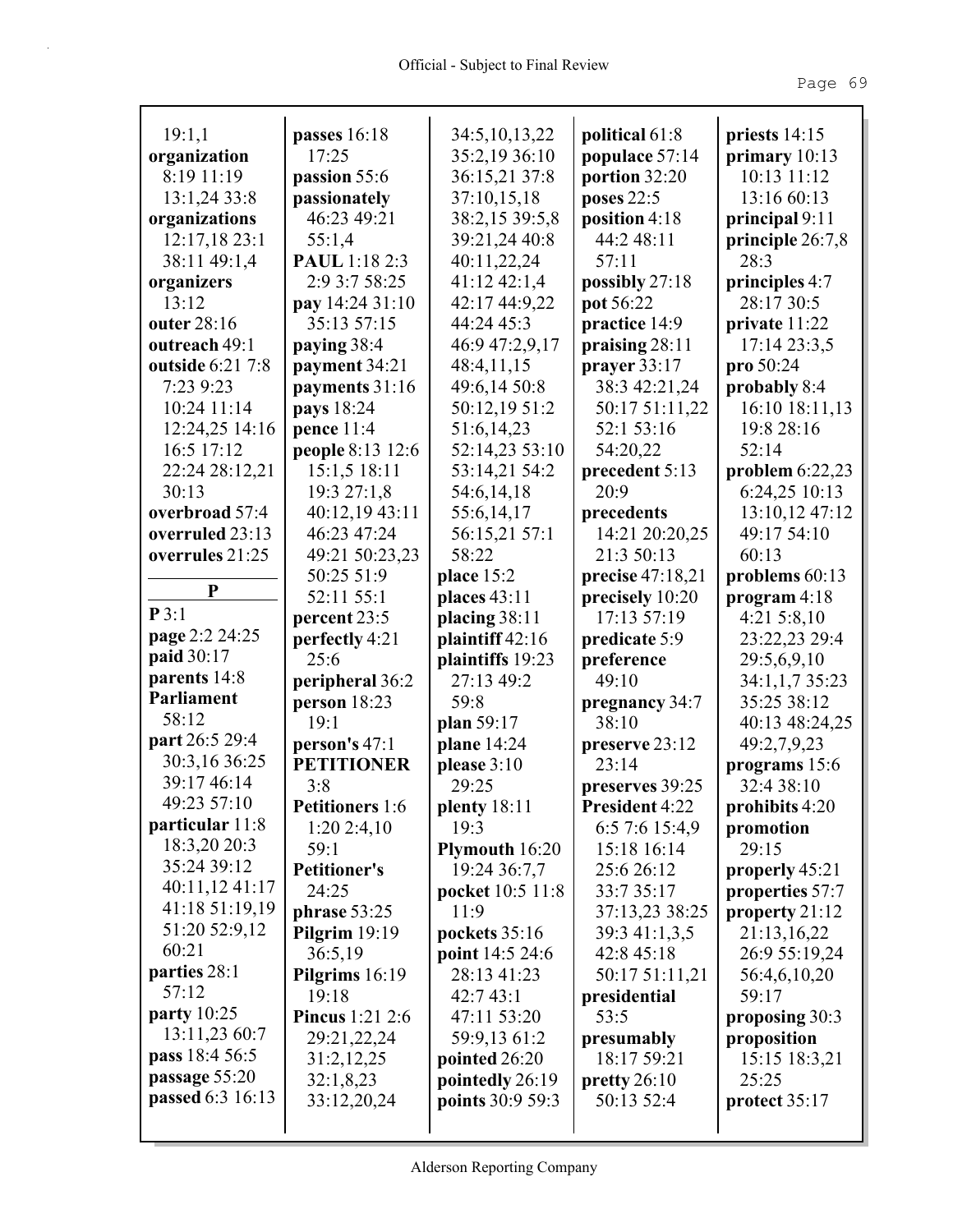| 19:1,1                       | passes 16:18<br>17:25            | 34:5, 10, 13, 22<br>35:2,19 36:10 | political 61:8                 | priests 14:15                         |
|------------------------------|----------------------------------|-----------------------------------|--------------------------------|---------------------------------------|
| organization<br>8:19 11:19   |                                  |                                   | populace 57:14                 | primary $10:13$<br>10:13 11:12        |
|                              | passion 55:6<br>passionately     | 36:15,21 37:8                     | portion 32:20                  |                                       |
| 13:1,2433:8                  | 46:23 49:21                      | 37:10,15,18                       | poses 22:5                     | 13:16 60:13                           |
| organizations                |                                  | 38:2,15 39:5,8                    | position 4:18<br>44:2 48:11    | principal $9:11$                      |
| 12:17,1823:1<br>38:11 49:1,4 | 55:1,4<br><b>PAUL</b> 1:18 2:3   | 39:21,24 40:8<br>40:11,22,24      | 57:11                          | principle 26:7,8<br>28:3              |
|                              | 2:9 3:7 58:25                    | 41:12 42:1,4                      |                                | principles 4:7                        |
| organizers<br>13:12          |                                  | 42:17 44:9,22                     | possibly 27:18<br>pot 56:22    | 28:17 30:5                            |
| outer 28:16                  | pay 14:24 31:10<br>35:13 57:15   | 44:24 45:3                        | practice 14:9                  | private 11:22                         |
| outreach 49:1                | paying 38:4                      | 46:9 47:2,9,17                    |                                | 17:14 23:3,5                          |
| outside 6:21 7:8             |                                  | 48:4,11,15                        | praising 28:11<br>prayer 33:17 |                                       |
| 7:23 9:23                    | payment 34:21<br>payments 31:16  | 49:6,14 50:8                      | 38:3 42:21,24                  | $\mathbf{proj}$ 50:24<br>probably 8:4 |
| 10:24 11:14                  | <b>pays</b> 18:24                | 50:12,19 51:2                     | 50:17 51:11,22                 | 16:10 18:11,13                        |
|                              |                                  | 51:6,14,23                        | 52:1 53:16                     | 19:8 28:16                            |
| 12:24,25 14:16<br>16:5 17:12 | pence $11:4$<br>people 8:13 12:6 | 52:14,23 53:10                    | 54:20,22                       | 52:14                                 |
| 22:24 28:12,21               | 15:1,5 18:11                     | 53:14,21 54:2                     | precedent 5:13                 | problem $6:22,23$                     |
| 30:13                        | 19:3 27:1,8                      | 54:6,14,18                        | 20:9                           | 6:24,25 10:13                         |
| overbroad 57:4               | 40:12,19 43:11                   | 55:6,14,17                        | precedents                     | 13:10,12 47:12                        |
| overruled 23:13              | 46:23 47:24                      | 56:15,21 57:1                     | 14:21 20:20,25                 | 49:17 54:10                           |
| overrules 21:25              | 49:21 50:23,23                   | 58:22                             | 21:3 50:13                     | 60:13                                 |
|                              | 50:25 51:9                       | place 15:2                        | precise 47:18,21               | problems 60:13                        |
| ${\bf P}$                    | 52:11 55:1                       | places 43:11                      | precisely 10:20                | program 4:18                          |
| P3:1                         | percent 23:5                     | placing 38:11                     | 17:13 57:19                    | $4:21\;5:8,10$                        |
| page 2:2 24:25               | perfectly 4:21                   | plaintiff $42:16$                 | predicate 5:9                  | 23:22,23 29:4                         |
| paid 30:17                   | 25:6                             | plaintiffs 19:23                  | preference                     | 29:5,6,9,10                           |
| parents 14:8                 | peripheral 36:2                  | 27:13 49:2                        | 49:10                          | 34:1,1,7 35:23                        |
| Parliament                   | person 18:23                     | 59:8                              | pregnancy 34:7                 | 35:25 38:12                           |
| 58:12                        | 19:1                             | plan 59:17                        | 38:10                          | 40:13 48:24,25                        |
| part 26:5 29:4               | person's 47:1                    | plane 14:24                       | preserve 23:12                 | 49:2,7,9,23                           |
| 30:3,16 36:25                | <b>PETITIONER</b>                | please 3:10                       | 23:14                          | programs 15:6                         |
| 39:17 46:14                  | 3:8                              | 29:25                             | preserves 39:25                | 32:4 38:10                            |
| 49:23 57:10                  | <b>Petitioners</b> 1:6           | plenty 18:11                      | President 4:22                 | prohibits 4:20                        |
| particular 11:8              | 1:202:4,10                       | 19:3                              | 6:5 7:6 15:4,9                 | promotion                             |
| 18:3,20 20:3                 | 59:1                             | Plymouth 16:20                    | 15:18 16:14                    | 29:15                                 |
| 35:24 39:12                  | <b>Petitioner's</b>              | 19:24 36:7,7                      | 25:6 26:12                     | properly 45:21                        |
| 40:11,12 41:17               | 24:25                            | pocket 10:5 11:8                  | 33:7 35:17                     | properties 57:7                       |
| 41:18 51:19,19               | phrase $53:25$                   | 11:9                              | 37:13,23 38:25                 | property 21:12                        |
| 51:20 52:9,12                | Pilgrim $19:19$                  | pockets 35:16                     | 39:3 41:1,3,5                  | 21:13,16,22                           |
| 60:21                        | 36:5,19                          | point 14:5 24:6                   | 42:8 45:18                     | 26:9 55:19,24                         |
| parties 28:1                 | Pilgrims 16:19                   | 28:13 41:23                       | 50:17 51:11,21                 | 56:4,6,10,20                          |
| 57:12                        | 19:18                            | 42:743:1                          | presidential                   | 59:17                                 |
| party 10:25                  | <b>Pincus</b> 1:21 2:6           | 47:11 53:20                       | 53:5                           | proposing 30:3                        |
| 13:11,23 60:7                | 29:21,22,24                      | 59:9,13 61:2                      | presumably                     | proposition                           |
| pass 18:4 56:5               | 31:2,12,25                       | pointed 26:20                     | 18:17 59:21                    | 15:15 18:3,21                         |
| passage 55:20                | 32:1,8,23                        | pointedly 26:19                   | pretty $26:10$                 | 25:25                                 |
| passed 6:3 16:13             | 33:12,20,24                      | points 30:9 59:3                  | 50:13 52:4                     | protect $35:17$                       |
|                              |                                  |                                   |                                |                                       |
|                              |                                  |                                   |                                |                                       |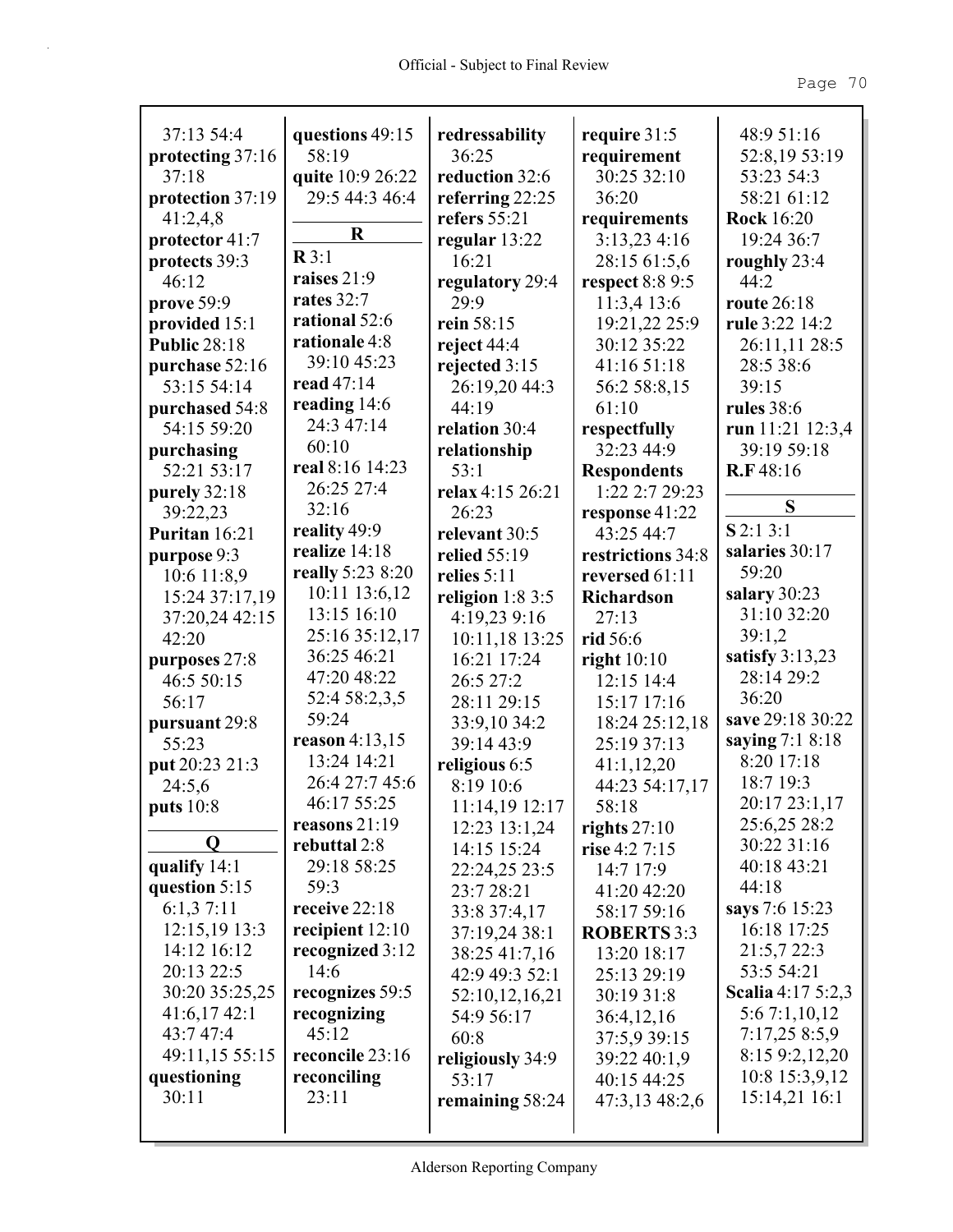| 37:13 54:4          | questions 49:15   | redressability    | require 31:5       | 48:9 51:16        |
|---------------------|-------------------|-------------------|--------------------|-------------------|
| protecting 37:16    | 58:19             | 36:25             | requirement        | 52:8,19 53:19     |
| 37:18               | quite 10:9 26:22  | reduction 32:6    | 30:25 32:10        | 53:23 54:3        |
| protection 37:19    | 29:5 44:3 46:4    | referring 22:25   | 36:20              | 58:21 61:12       |
| 41:2,4,8            | $\bf R$           | refers 55:21      | requirements       | <b>Rock</b> 16:20 |
| protector 41:7      | $\mathbb{R}3:1$   | regular 13:22     | 3:13,234:16        | 19:24 36:7        |
| protects 39:3       | raises 21:9       | 16:21             | 28:15 61:5,6       | roughly 23:4      |
| 46:12               |                   | regulatory 29:4   | respect 8:8 9:5    | 44:2              |
| prove 59:9          | rates 32:7        | 29:9              | 11:3,413:6         | route 26:18       |
| provided 15:1       | rational 52:6     | rein 58:15        | 19:21,22 25:9      | rule 3:22 14:2    |
| <b>Public 28:18</b> | rationale 4:8     | reject $44:4$     | 30:12 35:22        | 26:11,11 28:5     |
| purchase 52:16      | 39:10 45:23       | rejected 3:15     | 41:16 51:18        | 28:5 38:6         |
| 53:15 54:14         | read 47:14        | 26:19,20 44:3     | 56:2 58:8,15       | 39:15             |
| purchased 54:8      | reading 14:6      | 44:19             | 61:10              | <b>rules</b> 38:6 |
| 54:15 59:20         | 24:3 47:14        | relation 30:4     | respectfully       | run 11:21 12:3,4  |
| purchasing          | 60:10             | relationship      | 32:23 44:9         | 39:19 59:18       |
| 52:21 53:17         | real 8:16 14:23   | 53:1              | <b>Respondents</b> | R.F48:16          |
| purely 32:18        | 26:25 27:4        | relax 4:15 26:21  | 1:22 2:7 29:23     |                   |
| 39:22,23            | 32:16             | 26:23             | response 41:22     | S                 |
| Puritan 16:21       | reality 49:9      | relevant 30:5     | 43:25 44:7         | $S$ 2:1 3:1       |
| purpose 9:3         | realize 14:18     | relied 55:19      | restrictions 34:8  | salaries 30:17    |
| 10:6 11:8,9         | really 5:23 8:20  | relies $5:11$     | reversed 61:11     | 59:20             |
| 15:24 37:17,19      | 10:11 13:6,12     | religion $1:83:5$ | <b>Richardson</b>  | salary 30:23      |
| 37:20,24 42:15      | 13:15 16:10       | 4:19,23 9:16      | 27:13              | 31:10 32:20       |
| 42:20               | 25:16 35:12,17    | 10:11,18 13:25    | rid 56:6           | 39:1,2            |
| purposes 27:8       | 36:25 46:21       | 16:21 17:24       | right $10:10$      | satisfy $3:13,23$ |
| 46:5 50:15          | 47:20 48:22       | 26:5 27:2         | 12:15 14:4         | 28:14 29:2        |
| 56:17               | 52:4 58:2,3,5     | 28:11 29:15       | 15:17 17:16        | 36:20             |
| pursuant 29:8       | 59:24             | 33:9,10 34:2      | 18:24 25:12,18     | save 29:18 30:22  |
| 55:23               | reason $4:13,15$  | 39:14 43:9        | 25:19 37:13        | saying 7:1 8:18   |
| put 20:23 21:3      | 13:24 14:21       | religious 6:5     | 41:1,12,20         | 8:20 17:18        |
| 24:5,6              | 26:4 27:7 45:6    | 8:19 10:6         | 44:23 54:17,17     | 18:7 19:3         |
| puts 10:8           | 46:17 55:25       | 11:14,19 12:17    | 58:18              | 20:17 23:1,17     |
|                     | reasons $21:19$   | 12:23 13:1,24     | rights $27:10$     | 25:6,25 28:2      |
| Q                   | rebuttal 2:8      | 14:15 15:24       | rise $4:2 7:15$    | 30:22 31:16       |
| qualify 14:1        | 29:18 58:25       | 22:24,25 23:5     | 14:7 17:9          | 40:18 43:21       |
| question 5:15       | 59:3              | 23:7 28:21        | 41:20 42:20        | 44:18             |
| 6:1,37:11           | receive 22:18     | 33:8 37:4,17      | 58:17 59:16        | says 7:6 15:23    |
| 12:15,19 13:3       | recipient $12:10$ | 37:19,24 38:1     | <b>ROBERTS</b> 3:3 | 16:18 17:25       |
| 14:12 16:12         | recognized 3:12   | 38:25 41:7,16     | 13:20 18:17        | 21:5,7 22:3       |
| 20:13 22:5          | 14:6              | 42:9 49:3 52:1    | 25:13 29:19        | 53:5 54:21        |
| 30:20 35:25,25      | recognizes 59:5   | 52:10,12,16,21    | 30:19 31:8         | Scalia 4:17 5:2,3 |
| 41:6,1742:1         | recognizing       | 54:9 56:17        | 36:4,12,16         | 5:6 7:1,10,12     |
| 43:7 47:4           | 45:12             | 60:8              | 37:5,9 39:15       | 7:17,25 8:5,9     |
| 49:11,15 55:15      | reconcile 23:16   | religiously 34:9  | 39:22 40:1,9       | 8:15 9:2,12,20    |
| questioning         | reconciling       | 53:17             | 40:15 44:25        | 10:8 15:3,9,12    |
| 30:11               | 23:11             | remaining 58:24   | 47:3,13 48:2,6     | 15:14,21 16:1     |
|                     |                   |                   |                    |                   |
|                     |                   |                   |                    |                   |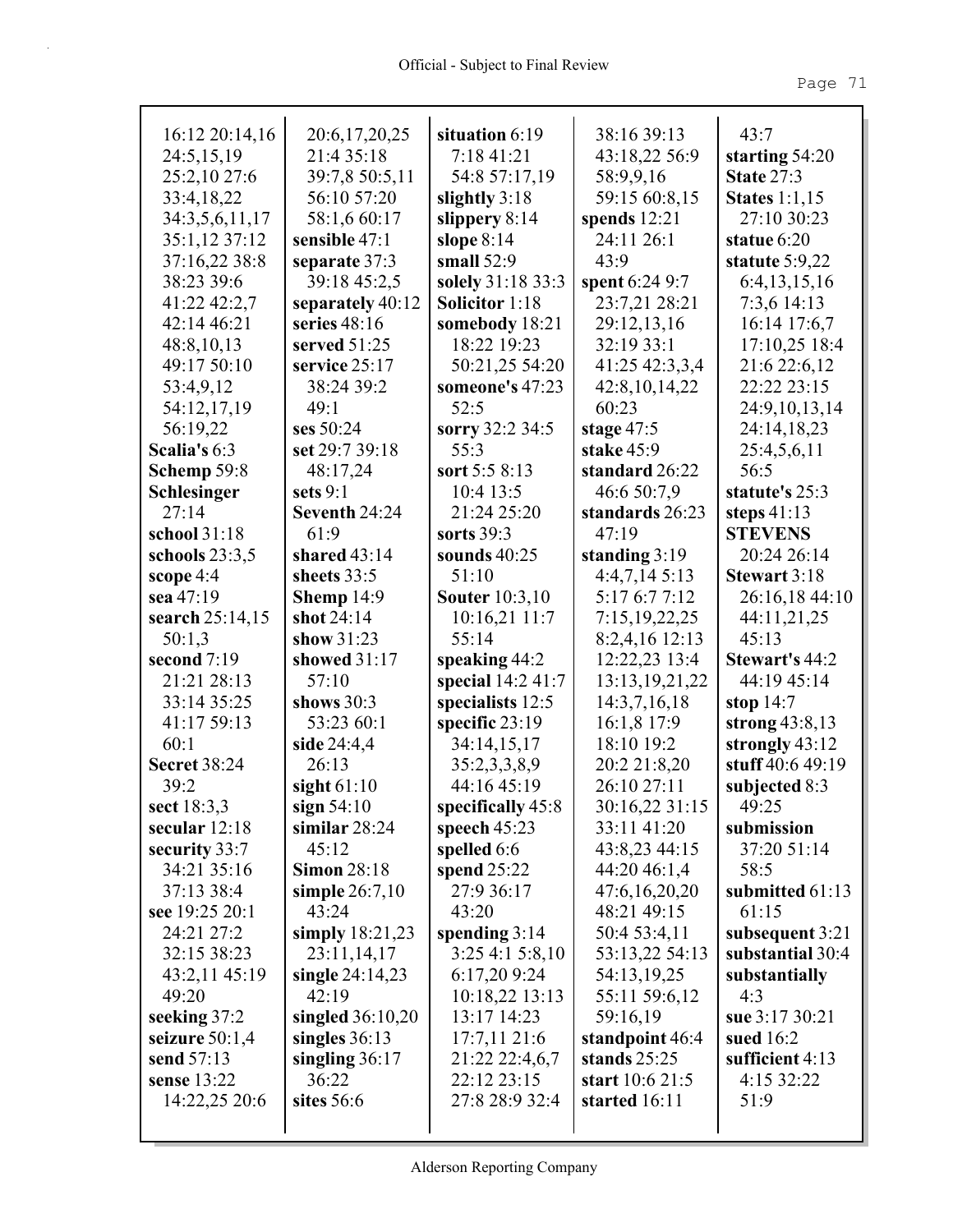| 16:12 20:14,16      | 20:6,17,20,25      | situation 6:19        | 38:16 39:13       | 43:7                 |
|---------------------|--------------------|-----------------------|-------------------|----------------------|
| 24:5,15,19          | 21:4 35:18         | 7:18 41:21            | 43:18,22 56:9     | starting $54:20$     |
| 25:2,10 27:6        | 39:7,8 50:5,11     | 54:8 57:17,19         | 58:9,9,16         | <b>State 27:3</b>    |
| 33:4,18,22          | 56:10 57:20        | slightly $3:18$       | 59:15 60:8,15     | <b>States</b> 1:1,15 |
| 34:3,5,6,11,17      | 58:1,6 60:17       | slippery $8:14$       | spends $12:21$    | 27:10 30:23          |
| 35:1,12 37:12       | sensible 47:1      | slope $8:14$          | 24:11 26:1        | statue 6:20          |
| 37:16,22 38:8       | separate 37:3      | small $52:9$          | 43:9              | statute $5:9,22$     |
| 38:23 39:6          | 39:18 45:2,5       | solely 31:18 33:3     | spent 6:24 9:7    | 6:4, 13, 15, 16      |
| 41:22 42:2,7        | separately 40:12   | <b>Solicitor</b> 1:18 | 23:7,21 28:21     | 7:3,6 14:13          |
| 42:14 46:21         | series $48:16$     | somebody 18:21        | 29:12,13,16       | 16:14 17:6,7         |
| 48:8,10,13          | served $51:25$     | 18:22 19:23           | 32:19 33:1        | 17:10,25 18:4        |
| 49:17 50:10         | service 25:17      | 50:21,25 54:20        | 41:25 42:3,3,4    | 21:6 22:6,12         |
| 53:4,9,12           | 38:24 39:2         | someone's 47:23       | 42:8, 10, 14, 22  | 22:22 23:15          |
| 54:12,17,19         | 49:1               | 52:5                  | 60:23             | 24:9,10,13,14        |
| 56:19,22            | ses 50:24          | sorry 32:2 34:5       | stage $47:5$      | 24:14,18,23          |
| Scalia's 6:3        | set 29:7 39:18     | 55:3                  | stake 45:9        | 25:4,5,6,11          |
| Schemp 59:8         | 48:17,24           | sort 5:5 8:13         | standard 26:22    | 56:5                 |
| Schlesinger         | sets $9:1$         | 10:4 13:5             | 46:6 50:7,9       | statute's 25:3       |
| 27:14               | Seventh 24:24      | 21:24 25:20           | standards 26:23   | steps $41:13$        |
| school 31:18        | 61:9               | sorts $39:3$          | 47:19             | <b>STEVENS</b>       |
| schools $23:3,5$    | shared $43:14$     | sounds $40:25$        | standing $3:19$   | 20:24 26:14          |
| scope $4:4$         | sheets 33:5        | 51:10                 | 4:4,7,145:13      | <b>Stewart 3:18</b>  |
| sea 47:19           | Shemp $14:9$       | <b>Souter</b> 10:3,10 | 5:17 6:7 7:12     | 26:16,18 44:10       |
| search 25:14,15     | shot 24:14         | 10:16,21 11:7         | 7:15,19,22,25     | 44:11,21,25          |
| 50:1,3              | show 31:23         | 55:14                 | 8:2,4,16 12:13    | 45:13                |
| second $7:19$       | showed 31:17       | speaking 44:2         | 12:22,23 13:4     | Stewart's 44:2       |
| 21:21 28:13         | 57:10              | special $14:241:7$    | 13:13, 19, 21, 22 | 44:19 45:14          |
| 33:14 35:25         | shows $30:3$       | specialists 12:5      | 14:3,7,16,18      | stop $14:7$          |
| 41:17 59:13         | 53:23 60:1         | specific 23:19        | 16:1,8 17:9       | strong $43:8,13$     |
| 60:1                | side 24:4,4        | 34:14,15,17           | 18:10 19:2        | strongly 43:12       |
| <b>Secret 38:24</b> | 26:13              | 35:2,3,3,8,9          | 20:2 21:8,20      | stuff 40:6 49:19     |
| 39:2                | sight $61:10$      | 44:16 45:19           | 26:10 27:11       | subjected 8:3        |
| sect 18:3,3         | sign $54:10$       | specifically 45:8     | 30:16,22 31:15    | 49:25                |
| secular 12:18       | similar $28:24$    | speech $45:23$        | 33:11 41:20       | submission           |
| security 33:7       | 45:12              | spelled 6:6           | 43:8,23 44:15     | 37:20 51:14          |
| 34:21 35:16         | <b>Simon 28:18</b> | spend $25:22$         | 44:20 46:1,4      | 58:5                 |
| 37:13 38:4          | simple $26:7,10$   | 27:9 36:17            | 47:6,16,20,20     | submitted 61:13      |
| see 19:25 20:1      | 43:24              | 43:20                 | 48:21 49:15       | 61:15                |
| 24:21 27:2          | simply $18:21,23$  | spending $3:14$       | 50:4 53:4,11      | subsequent 3:21      |
| 32:15 38:23         | 23:11,14,17        | 3:254:15:8,10         | 53:13,22 54:13    | substantial 30:4     |
| 43:2,11 45:19       | single $24:14,23$  | 6:17,209:24           | 54:13,19,25       | substantially        |
| 49:20               | 42:19              | 10:18,22 13:13        | 55:11 59:6,12     | 4:3                  |
| seeking 37:2        | singled $36:10,20$ | 13:17 14:23           | 59:16,19          | sue 3:17 30:21       |
| seizure $50:1,4$    | singles $36:13$    | 17:7,1121:6           | standpoint 46:4   | sued 16:2            |
| send 57:13          | singling $36:17$   | 21:22 22:4,6,7        | stands $25:25$    | sufficient $4:13$    |
| sense 13:22         | 36:22              | 22:12 23:15           | start 10:6 21:5   | 4:15 32:22           |
| 14:22,25 20:6       | sites 56:6         | 27:8 28:9 32:4        | started 16:11     | 51:9                 |
|                     |                    |                       |                   |                      |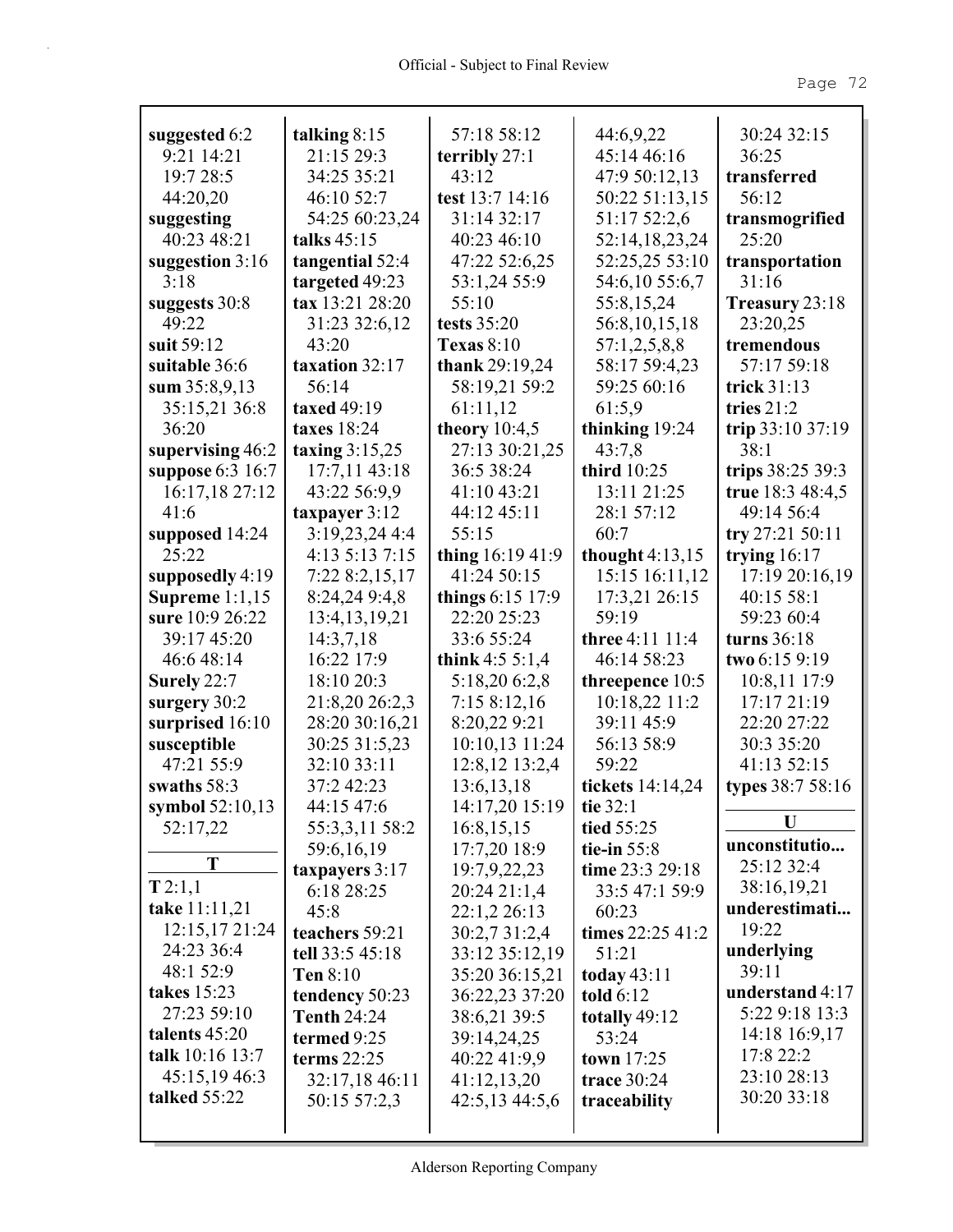| suggested 6:2           | talking $8:15$                    | 57:18 58:12                   | 44:6,9,22                        | 30:24 32:15             |
|-------------------------|-----------------------------------|-------------------------------|----------------------------------|-------------------------|
| 9:21 14:21              | 21:15 29:3                        | terribly $27:1$<br>43:12      | 45:14 46:16                      | 36:25                   |
| 19:7 28:5               | 34:25 35:21                       |                               | 47:9 50:12,13                    | transferred             |
| 44:20,20                | 46:10 52:7                        | test 13:7 14:16               | 50:22 51:13,15                   | 56:12                   |
| suggesting              | 54:25 60:23,24                    | 31:14 32:17                   | 51:17 52:2,6                     | transmogrified          |
| 40:23 48:21             | talks 45:15                       | 40:23 46:10                   | 52:14,18,23,24                   | 25:20                   |
| suggestion 3:16<br>3:18 | tangential 52:4<br>targeted 49:23 | 47:22 52:6,25<br>53:1,24 55:9 | 52:25,25 53:10<br>54:6,10 55:6,7 | transportation<br>31:16 |
| suggests 30:8           | tax 13:21 28:20                   | 55:10                         | 55:8,15,24                       | Treasury 23:18          |
| 49:22                   | 31:23 32:6,12                     | tests 35:20                   | 56:8, 10, 15, 18                 | 23:20,25                |
| suit 59:12              | 43:20                             | <b>Texas 8:10</b>             | 57:1,2,5,8,8                     | tremendous              |
| suitable 36:6           | taxation 32:17                    | thank 29:19,24                | 58:17 59:4,23                    | 57:17 59:18             |
| sum $35:8,9,13$         | 56:14                             | 58:19,21 59:2                 | 59:25 60:16                      | trick $31:13$           |
| 35:15,21 36:8           | taxed 49:19                       | 61:11,12                      | 61:5,9                           | tries 21:2              |
| 36:20                   | taxes 18:24                       | theory $10:4,5$               | thinking 19:24                   | trip 33:10 37:19        |
| supervising 46:2        | taxing $3:15,25$                  | 27:13 30:21,25                | 43:7,8                           | 38:1                    |
| suppose 6:3 16:7        | 17:7,11 43:18                     | 36:5 38:24                    | third 10:25                      | trips 38:25 39:3        |
| 16:17,18 27:12          | 43:22 56:9,9                      | 41:10 43:21                   | 13:11 21:25                      | true 18:3 48:4,5        |
| 41:6                    | taxpayer 3:12                     | 44:12 45:11                   | 28:1 57:12                       | 49:14 56:4              |
| supposed 14:24          | 3:19,23,24 4:4                    | 55:15                         | 60:7                             | try 27:21 50:11         |
| 25:22                   | 4:13 5:13 7:15                    | thing 16:19 41:9              | thought $4:13,15$                | trying $16:17$          |
| supposedly 4:19         | 7:22 8:2,15,17                    | 41:24 50:15                   | 15:15 16:11,12                   | 17:19 20:16,19          |
| Supreme $1:1,15$        | 8:24,24 9:4,8                     | things 6:15 17:9              | 17:3,21 26:15                    | 40:15 58:1              |
| sure 10:9 26:22         | 13:4, 13, 19, 21                  | 22:20 25:23                   | 59:19                            | 59:23 60:4              |
| 39:17 45:20             | 14:3,7,18                         | 33:6 55:24                    | three 4:11 11:4                  | turns 36:18             |
| 46:6 48:14              | 16:22 17:9                        | think $4:55:1,4$              | 46:14 58:23                      | two 6:15 9:19           |
| Surely 22:7             | 18:10 20:3                        | 5:18,20 6:2,8                 | threepence 10:5                  | 10:8,11 17:9            |
| surgery 30:2            | 21:8,20 26:2,3                    | 7:158:12,16                   | 10:18,22 11:2                    | 17:17 21:19             |
| surprised 16:10         | 28:20 30:16,21                    | 8:20,22 9:21                  | 39:11 45:9                       | 22:20 27:22             |
| susceptible             | 30:25 31:5,23                     | 10:10,13 11:24                |                                  |                         |
|                         |                                   |                               | 56:13 58:9                       | 30:3 35:20              |
| 47:21 55:9              | 32:10 33:11                       | 12:8,12 13:2,4                | 59:22                            | 41:13 52:15             |
| swaths 58:3             | 37:2 42:23                        | 13:6, 13, 18                  | tickets 14:14,24                 | types 38:7 58:16        |
| symbol $52:10,13$       | 44:15 47:6                        | 14:17,20 15:19                | tie 32:1                         |                         |
| 52:17,22                | 55:3,3,11 58:2                    | 16:8,15,15                    | tied 55:25                       | U                       |
|                         | 59:6,16,19                        | 17:7,20 18:9                  | tie-in $55:8$                    | unconstitutio           |
| T                       | taxpayers $3:17$                  | 19:7,9,22,23                  | time 23:3 29:18                  | 25:12 32:4              |
| T 2:1,1                 | 6:18 28:25                        | 20:24 21:1,4                  | 33:5 47:1 59:9                   | 38:16,19,21             |
| take 11:11,21           | 45:8                              | 22:1,2 26:13                  | 60:23                            | underestimati           |
| 12:15,17 21:24          | teachers 59:21                    | 30:2,7 31:2,4                 | times 22:25 41:2                 | 19:22                   |
| 24:23 36:4              | tell 33:5 45:18                   | 33:12 35:12,19                | 51:21                            | underlying              |
| 48:1 52:9               | Ten $8:10$                        | 35:20 36:15,21                | today 43:11                      | 39:11                   |
| takes 15:23             | tendency 50:23                    | 36:22,23 37:20                | told $6:12$                      | understand 4:17         |
| 27:23 59:10             | <b>Tenth 24:24</b>                | 38:6,21 39:5                  | totally 49:12                    | 5:22 9:18 13:3          |
| talents 45:20           | termed 9:25                       | 39:14,24,25                   | 53:24                            | 14:18 16:9,17           |
| talk 10:16 13:7         | terms $22:25$                     | 40:22 41:9,9                  | town $17:25$                     | 17:8 22:2               |
| 45:15,19 46:3           | 32:17,18 46:11                    | 41:12,13,20                   | trace 30:24                      | 23:10 28:13             |
| talked 55:22            | 50:15 57:2,3                      | 42:5,13 44:5,6                | traceability                     | 30:20 33:18             |